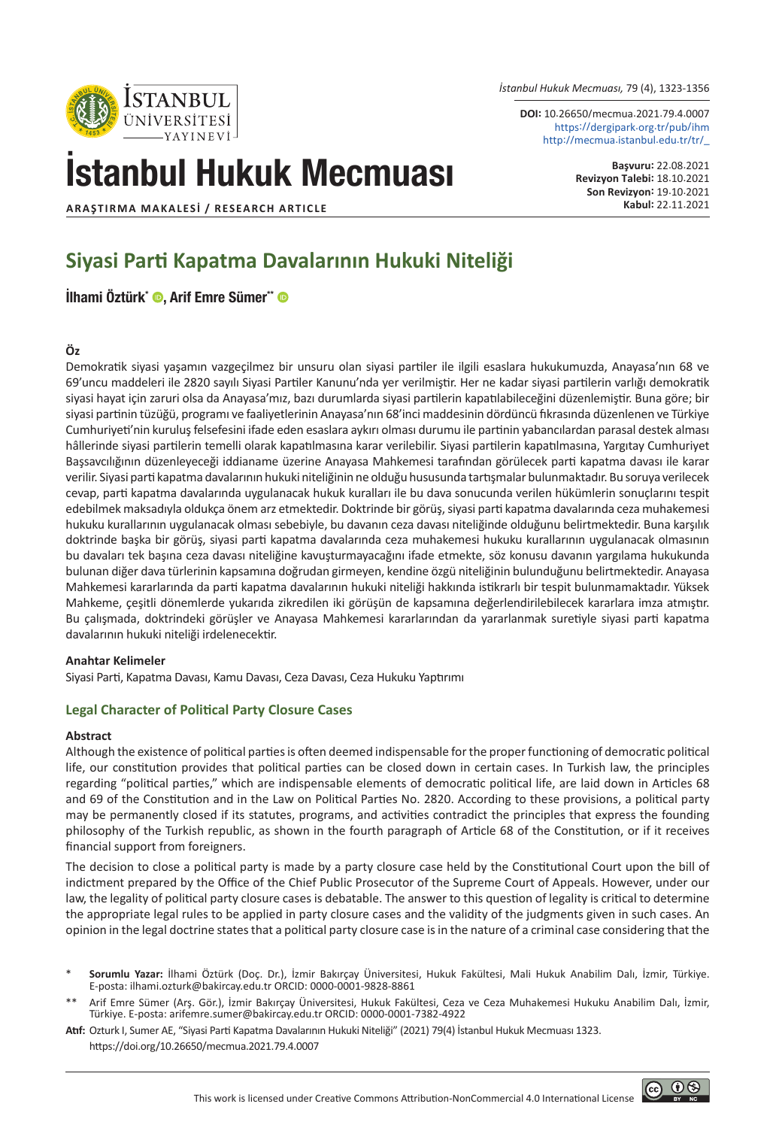*İstanbul Hukuk Mecmuası,* 79 (4), 1323-1356

**DOI:** 10.26650/mecmua.2021.79.4.0007 https://dergipark.org.tr/pub/ihm http://mecmua.istanbul.edu.tr/tr/\_

# İstanbul Hukuk Mecmuası

**Başvuru:** 22.08.2021 **Revizyon Talebi:** 18.10.2021 **Son Revizyon:** 19.10.2021

© 0⊛

**ARAŞTIRMA MAKALESİ / RESEARCH ARTICLE** 

**STANBUI** ÜNİVER SİTESİ

# **Siyasi Parti Kapatma Davalarının Hukuki Niteliği**

[İlhami Öztürk\\*](https://orcid.org/0000-0001-9828-8861) ®, [Arif Emre Sümer\\*\\*](https://orcid.org/0000-0001-7382-4922) ®

#### **Öz**

Demokratik siyasi yaşamın vazgeçilmez bir unsuru olan siyasi partiler ile ilgili esaslara hukukumuzda, Anayasa'nın 68 ve 69'uncu maddeleri ile 2820 sayılı Siyasi Partiler Kanunu'nda yer verilmiştir. Her ne kadar siyasi partilerin varlığı demokratik siyasi hayat için zaruri olsa da Anayasa'mız, bazı durumlarda siyasi partilerin kapatılabileceğini düzenlemiştir. Buna göre; bir siyasi partinin tüzüğü, programı ve faaliyetlerinin Anayasa'nın 68'inci maddesinin dördüncü fıkrasında düzenlenen ve Türkiye Cumhuriyeti'nin kuruluş felsefesini ifade eden esaslara aykırı olması durumu ile partinin yabancılardan parasal destek alması hâllerinde siyasi partilerin temelli olarak kapatılmasına karar verilebilir. Siyasi partilerin kapatılmasına, Yargıtay Cumhuriyet Başsavcılığının düzenleyeceği iddianame üzerine Anayasa Mahkemesi tarafından görülecek parti kapatma davası ile karar verilir. Siyasi parti kapatma davalarının hukuki niteliğinin ne olduğu hususunda tartışmalar bulunmaktadır. Bu soruya verilecek cevap, parti kapatma davalarında uygulanacak hukuk kuralları ile bu dava sonucunda verilen hükümlerin sonuçlarını tespit edebilmek maksadıyla oldukça önem arz etmektedir. Doktrinde bir görüş, siyasi parti kapatma davalarında ceza muhakemesi hukuku kurallarının uygulanacak olması sebebiyle, bu davanın ceza davası niteliğinde olduğunu belirtmektedir. Buna karşılık doktrinde başka bir görüş, siyasi parti kapatma davalarında ceza muhakemesi hukuku kurallarının uygulanacak olmasının bu davaları tek başına ceza davası niteliğine kavuşturmayacağını ifade etmekte, söz konusu davanın yargılama hukukunda bulunan diğer dava türlerinin kapsamına doğrudan girmeyen, kendine özgü niteliğinin bulunduğunu belirtmektedir. Anayasa Mahkemesi kararlarında da parti kapatma davalarının hukuki niteliği hakkında istikrarlı bir tespit bulunmamaktadır. Yüksek Mahkeme, çeşitli dönemlerde yukarıda zikredilen iki görüşün de kapsamına değerlendirilebilecek kararlara imza atmıştır. Bu çalışmada, doktrindeki görüşler ve Anayasa Mahkemesi kararlarından da yararlanmak suretiyle siyasi parti kapatma davalarının hukuki niteliği irdelenecektir.

#### **Anahtar Kelimeler**

Siyasi Parti, Kapatma Davası, Kamu Davası, Ceza Davası, Ceza Hukuku Yaptırımı

#### **Legal Character of Political Party Closure Cases**

#### **Abstract**

Although the existence of political parties is often deemed indispensable for the proper functioning of democratic political life, our constitution provides that political parties can be closed down in certain cases. In Turkish law, the principles regarding "political parties," which are indispensable elements of democratic political life, are laid down in Articles 68 and 69 of the Constitution and in the Law on Political Parties No. 2820. According to these provisions, a political party may be permanently closed if its statutes, programs, and activities contradict the principles that express the founding philosophy of the Turkish republic, as shown in the fourth paragraph of Article 68 of the Constitution, or if it receives financial support from foreigners.

The decision to close a political party is made by a party closure case held by the Constitutional Court upon the bill of indictment prepared by the Office of the Chief Public Prosecutor of the Supreme Court of Appeals. However, under our law, the legality of political party closure cases is debatable. The answer to this question of legality is critical to determine the appropriate legal rules to be applied in party closure cases and the validity of the judgments given in such cases. An opinion in the legal doctrine states that a political party closure case is in the nature of a criminal case considering that the

- \* **Sorumlu Yazar:** İlhami Öztürk (Doç. Dr.), İzmir Bakırçay Üniversitesi, Hukuk Fakültesi, Mali Hukuk Anabilim Dalı, İzmir, Türkiye. E-posta: ilhami.ozturk@bakircay.edu.tr ORCID: 0000-0001-9828-8861
- Arif Emre Sümer (Arş. Gör.), İzmir Bakırçay Üniversitesi, Hukuk Fakültesi, Ceza ve Ceza Muhakemesi Hukuku Anabilim Dalı, İzmir, Türkiye. E-posta: arifemre.sumer@bakircay.edu.tr ORCID: 0000-0001-7382-4922
- **Atıf:** Ozturk I, Sumer AE, "Siyasi Parti Kapatma Davalarının Hukuki Niteliği" (2021) 79(4) İstanbul Hukuk Mecmuası 1323. https://doi.org/10.26650/mecmua.2021.79.4.0007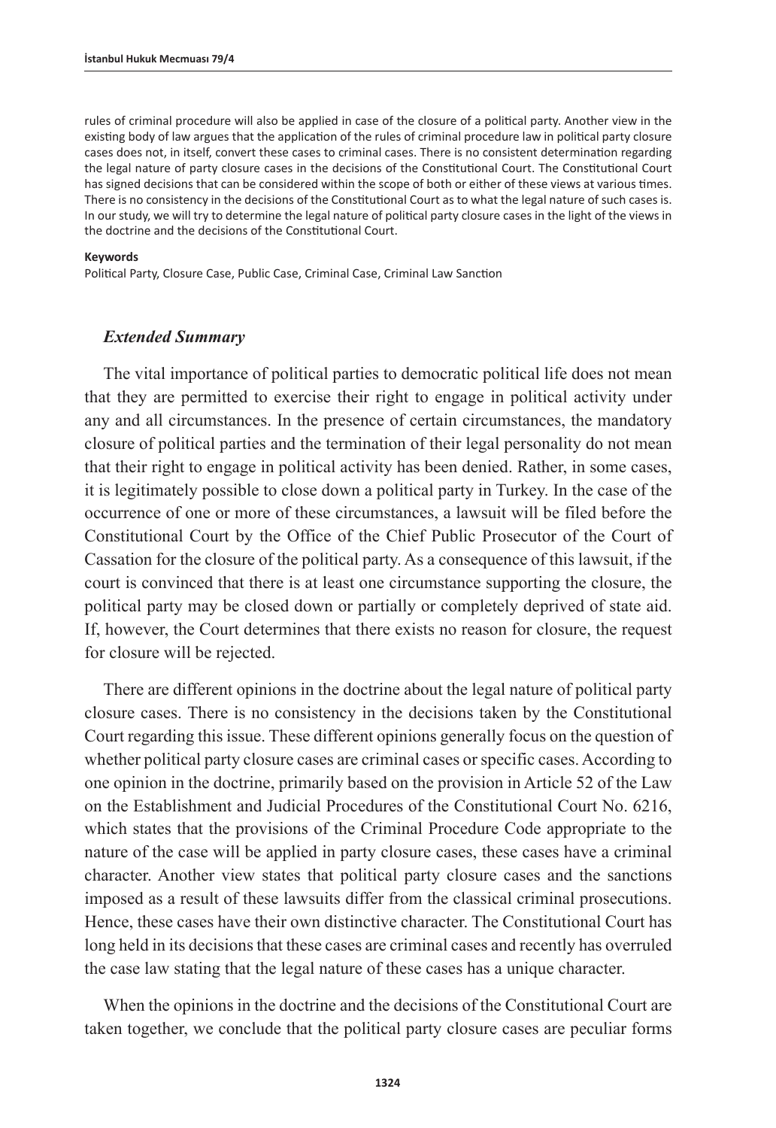rules of criminal procedure will also be applied in case of the closure of a political party. Another view in the existing body of law argues that the application of the rules of criminal procedure law in political party closure cases does not, in itself, convert these cases to criminal cases. There is no consistent determination regarding the legal nature of party closure cases in the decisions of the Constitutional Court. The Constitutional Court has signed decisions that can be considered within the scope of both or either of these views at various times. There is no consistency in the decisions of the Constitutional Court as to what the legal nature of such cases is. In our study, we will try to determine the legal nature of political party closure cases in the light of the views in the doctrine and the decisions of the Constitutional Court.

#### **Keywords**

Political Party, Closure Case, Public Case, Criminal Case, Criminal Law Sanction

#### *Extended Summary*

The vital importance of political parties to democratic political life does not mean that they are permitted to exercise their right to engage in political activity under any and all circumstances. In the presence of certain circumstances, the mandatory closure of political parties and the termination of their legal personality do not mean that their right to engage in political activity has been denied. Rather, in some cases, it is legitimately possible to close down a political party in Turkey. In the case of the occurrence of one or more of these circumstances, a lawsuit will be filed before the Constitutional Court by the Office of the Chief Public Prosecutor of the Court of Cassation for the closure of the political party. As a consequence of this lawsuit, if the court is convinced that there is at least one circumstance supporting the closure, the political party may be closed down or partially or completely deprived of state aid. If, however, the Court determines that there exists no reason for closure, the request for closure will be rejected.

There are different opinions in the doctrine about the legal nature of political party closure cases. There is no consistency in the decisions taken by the Constitutional Court regarding this issue. These different opinions generally focus on the question of whether political party closure cases are criminal cases or specific cases. According to one opinion in the doctrine, primarily based on the provision in Article 52 of the Law on the Establishment and Judicial Procedures of the Constitutional Court No. 6216, which states that the provisions of the Criminal Procedure Code appropriate to the nature of the case will be applied in party closure cases, these cases have a criminal character. Another view states that political party closure cases and the sanctions imposed as a result of these lawsuits differ from the classical criminal prosecutions. Hence, these cases have their own distinctive character. The Constitutional Court has long held in its decisions that these cases are criminal cases and recently has overruled the case law stating that the legal nature of these cases has a unique character.

When the opinions in the doctrine and the decisions of the Constitutional Court are taken together, we conclude that the political party closure cases are peculiar forms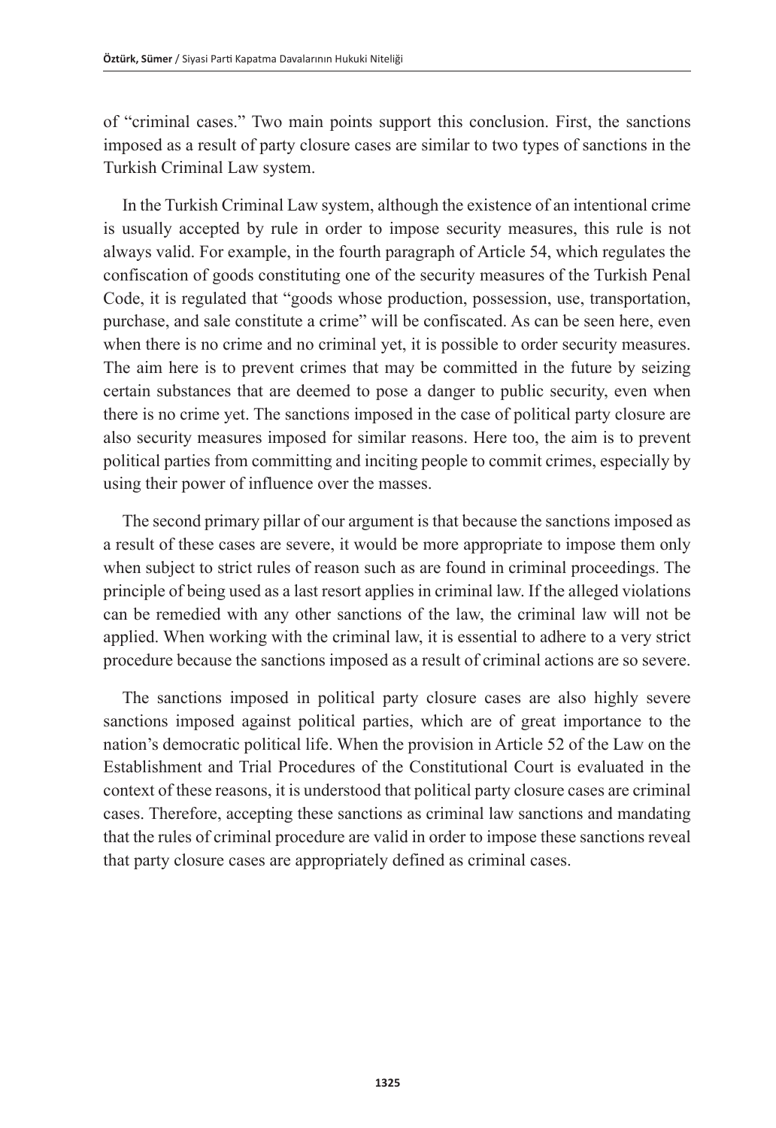of "criminal cases." Two main points support this conclusion. First, the sanctions imposed as a result of party closure cases are similar to two types of sanctions in the Turkish Criminal Law system.

In the Turkish Criminal Law system, although the existence of an intentional crime is usually accepted by rule in order to impose security measures, this rule is not always valid. For example, in the fourth paragraph of Article 54, which regulates the confiscation of goods constituting one of the security measures of the Turkish Penal Code, it is regulated that "goods whose production, possession, use, transportation, purchase, and sale constitute a crime" will be confiscated. As can be seen here, even when there is no crime and no criminal yet, it is possible to order security measures. The aim here is to prevent crimes that may be committed in the future by seizing certain substances that are deemed to pose a danger to public security, even when there is no crime yet. The sanctions imposed in the case of political party closure are also security measures imposed for similar reasons. Here too, the aim is to prevent political parties from committing and inciting people to commit crimes, especially by using their power of influence over the masses.

The second primary pillar of our argument is that because the sanctions imposed as a result of these cases are severe, it would be more appropriate to impose them only when subject to strict rules of reason such as are found in criminal proceedings. The principle of being used as a last resort applies in criminal law. If the alleged violations can be remedied with any other sanctions of the law, the criminal law will not be applied. When working with the criminal law, it is essential to adhere to a very strict procedure because the sanctions imposed as a result of criminal actions are so severe.

The sanctions imposed in political party closure cases are also highly severe sanctions imposed against political parties, which are of great importance to the nation's democratic political life. When the provision in Article 52 of the Law on the Establishment and Trial Procedures of the Constitutional Court is evaluated in the context of these reasons, it is understood that political party closure cases are criminal cases. Therefore, accepting these sanctions as criminal law sanctions and mandating that the rules of criminal procedure are valid in order to impose these sanctions reveal that party closure cases are appropriately defined as criminal cases.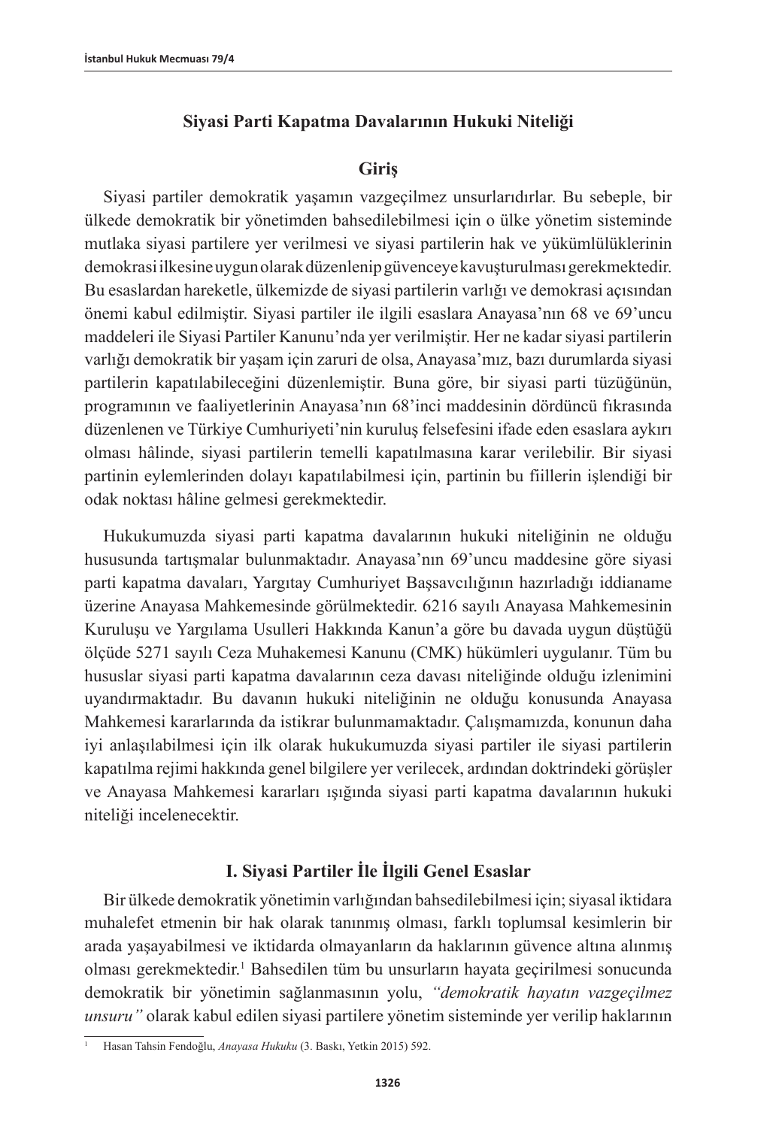### **Siyasi Parti Kapatma Davalarının Hukuki Niteliği**

#### **Giriş**

Siyasi partiler demokratik yaşamın vazgeçilmez unsurlarıdırlar. Bu sebeple, bir ülkede demokratik bir yönetimden bahsedilebilmesi için o ülke yönetim sisteminde mutlaka siyasi partilere yer verilmesi ve siyasi partilerin hak ve yükümlülüklerinin demokrasi ilkesine uygun olarak düzenlenip güvenceye kavuşturulması gerekmektedir. Bu esaslardan hareketle, ülkemizde de siyasi partilerin varlığı ve demokrasi açısından önemi kabul edilmiştir. Siyasi partiler ile ilgili esaslara Anayasa'nın 68 ve 69'uncu maddeleri ile Siyasi Partiler Kanunu'nda yer verilmiştir. Her ne kadar siyasi partilerin varlığı demokratik bir yaşam için zaruri de olsa, Anayasa'mız, bazı durumlarda siyasi partilerin kapatılabileceğini düzenlemiştir. Buna göre, bir siyasi parti tüzüğünün, programının ve faaliyetlerinin Anayasa'nın 68'inci maddesinin dördüncü fıkrasında düzenlenen ve Türkiye Cumhuriyeti'nin kuruluş felsefesini ifade eden esaslara aykırı olması hâlinde, siyasi partilerin temelli kapatılmasına karar verilebilir. Bir siyasi partinin eylemlerinden dolayı kapatılabilmesi için, partinin bu fiillerin işlendiği bir odak noktası hâline gelmesi gerekmektedir.

Hukukumuzda siyasi parti kapatma davalarının hukuki niteliğinin ne olduğu hususunda tartışmalar bulunmaktadır. Anayasa'nın 69'uncu maddesine göre siyasi parti kapatma davaları, Yargıtay Cumhuriyet Başsavcılığının hazırladığı iddianame üzerine Anayasa Mahkemesinde görülmektedir. 6216 sayılı Anayasa Mahkemesinin Kuruluşu ve Yargılama Usulleri Hakkında Kanun'a göre bu davada uygun düştüğü ölçüde 5271 sayılı Ceza Muhakemesi Kanunu (CMK) hükümleri uygulanır. Tüm bu hususlar siyasi parti kapatma davalarının ceza davası niteliğinde olduğu izlenimini uyandırmaktadır. Bu davanın hukuki niteliğinin ne olduğu konusunda Anayasa Mahkemesi kararlarında da istikrar bulunmamaktadır. Çalışmamızda, konunun daha iyi anlaşılabilmesi için ilk olarak hukukumuzda siyasi partiler ile siyasi partilerin kapatılma rejimi hakkında genel bilgilere yer verilecek, ardından doktrindeki görüşler ve Anayasa Mahkemesi kararları ışığında siyasi parti kapatma davalarının hukuki niteliği incelenecektir.

## **I. Siyasi Partiler İle İlgili Genel Esaslar**

Bir ülkede demokratik yönetimin varlığından bahsedilebilmesi için; siyasal iktidara muhalefet etmenin bir hak olarak tanınmış olması, farklı toplumsal kesimlerin bir arada yaşayabilmesi ve iktidarda olmayanların da haklarının güvence altına alınmış olması gerekmektedir.<sup>1</sup> Bahsedilen tüm bu unsurların hayata geçirilmesi sonucunda demokratik bir yönetimin sağlanmasının yolu, *"demokratik hayatın vazgeçilmez unsuru"* olarak kabul edilen siyasi partilere yönetim sisteminde yer verilip haklarının

<sup>1</sup> Hasan Tahsin Fendoğlu, *Anayasa Hukuku* (3. Baskı, Yetkin 2015) 592.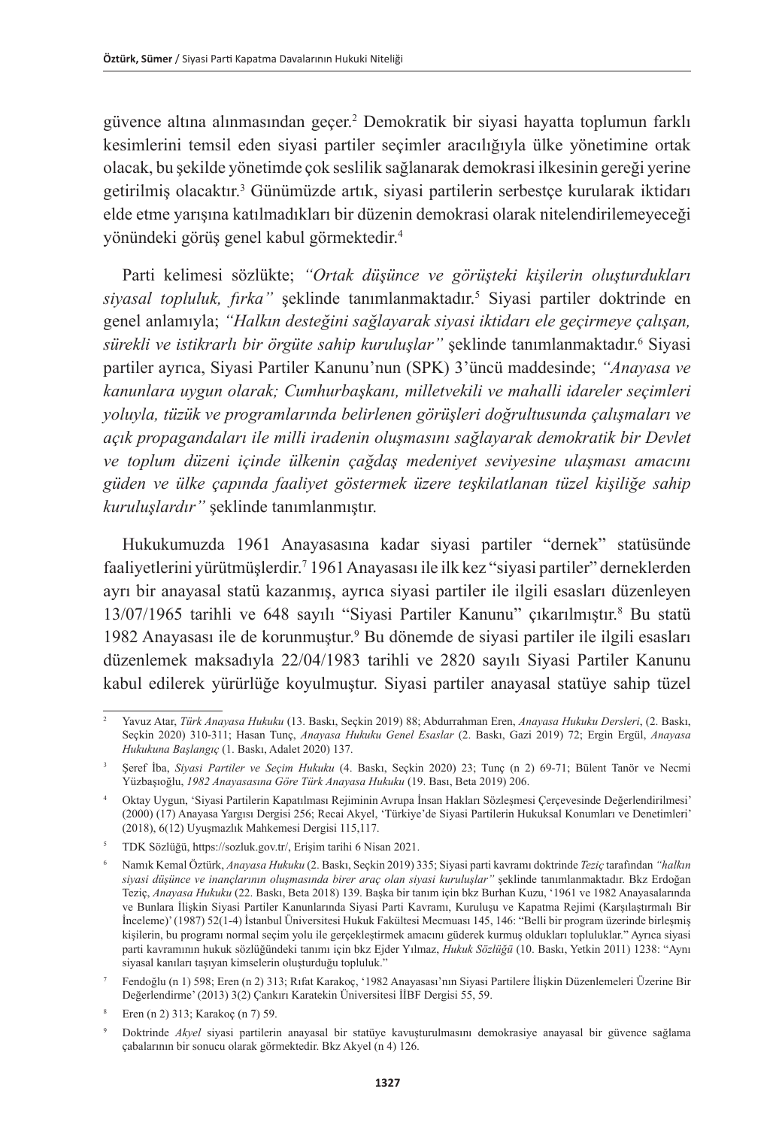güvence altına alınmasından geçer.2 Demokratik bir siyasi hayatta toplumun farklı kesimlerini temsil eden siyasi partiler seçimler aracılığıyla ülke yönetimine ortak olacak, bu şekilde yönetimde çok seslilik sağlanarak demokrasi ilkesinin gereği yerine getirilmiş olacaktır.<sup>3</sup> Günümüzde artık, siyasi partilerin serbestçe kurularak iktidarı elde etme yarışına katılmadıkları bir düzenin demokrasi olarak nitelendirilemeyeceği yönündeki görüş genel kabul görmektedir.4

Parti kelimesi sözlükte; *"Ortak düşünce ve görüşteki kişilerin oluşturdukları siyasal topluluk, fırka"* şeklinde tanımlanmaktadır.5 Siyasi partiler doktrinde en genel anlamıyla; *"Halkın desteğini sağlayarak siyasi iktidarı ele geçirmeye çalışan, sürekli ve istikrarlı bir örgüte sahip kuruluşlar"* şeklinde tanımlanmaktadır.6 Siyasi partiler ayrıca, Siyasi Partiler Kanunu'nun (SPK) 3'üncü maddesinde; *"Anayasa ve kanunlara uygun olarak; Cumhurbaşkanı, milletvekili ve mahalli idareler seçimleri yoluyla, tüzük ve programlarında belirlenen görüşleri doğrultusunda çalışmaları ve açık propagandaları ile milli iradenin oluşmasını sağlayarak demokratik bir Devlet ve toplum düzeni içinde ülkenin çağdaş medeniyet seviyesine ulaşması amacını güden ve ülke çapında faaliyet göstermek üzere teşkilatlanan tüzel kişiliğe sahip kuruluşlardır"* şeklinde tanımlanmıştır.

Hukukumuzda 1961 Anayasasına kadar siyasi partiler "dernek" statüsünde faaliyetlerini yürütmüşlerdir.7 1961 Anayasası ile ilk kez "siyasi partiler" derneklerden ayrı bir anayasal statü kazanmış, ayrıca siyasi partiler ile ilgili esasları düzenleyen 13/07/1965 tarihli ve 648 sayılı "Siyasi Partiler Kanunu" çıkarılmıştır.<sup>8</sup> Bu statü 1982 Anayasası ile de korunmuştur.9 Bu dönemde de siyasi partiler ile ilgili esasları düzenlemek maksadıyla 22/04/1983 tarihli ve 2820 sayılı Siyasi Partiler Kanunu kabul edilerek yürürlüğe koyulmuştur. Siyasi partiler anayasal statüye sahip tüzel

<sup>2</sup> Yavuz Atar, *Türk Anayasa Hukuku* (13. Baskı, Seçkin 2019) 88; Abdurrahman Eren, *Anayasa Hukuku Dersleri*, (2. Baskı, Seçkin 2020) 310-311; Hasan Tunç, *Anayasa Hukuku Genel Esaslar* (2. Baskı, Gazi 2019) 72; Ergin Ergül, *Anayasa Hukukuna Başlangıç* (1. Baskı, Adalet 2020) 137.

<sup>3</sup> Şeref İba, *Siyasi Partiler ve Seçim Hukuku* (4. Baskı, Seçkin 2020) 23; Tunç (n 2) 69-71; Bülent Tanör ve Necmi Yüzbaşıoğlu, *1982 Anayasasına Göre Türk Anayasa Hukuku* (19. Bası, Beta 2019) 206.

<sup>4</sup> Oktay Uygun, 'Siyasi Partilerin Kapatılması Rejiminin Avrupa İnsan Hakları Sözleşmesi Çerçevesinde Değerlendirilmesi' (2000) (17) Anayasa Yargısı Dergisi 256; Recai Akyel, 'Türkiye'de Siyasi Partilerin Hukuksal Konumları ve Denetimleri' (2018), 6(12) Uyuşmazlık Mahkemesi Dergisi 115,117.

<sup>5</sup> TDK Sözlüğü, [https://sozluk.gov.tr/,](https://sozluk.gov.tr/) Erişim tarihi 6 Nisan 2021.

<sup>6</sup> Namık Kemal Öztürk, *Anayasa Hukuku* (2. Baskı, Seçkin 2019) 335; Siyasi parti kavramı doktrinde *Teziç* tarafından *"halkın siyasi düşünce ve inançlarının oluşmasında birer araç olan siyasi kuruluşlar"* şeklinde tanımlanmaktadır. Bkz Erdoğan Teziç, *Anayasa Hukuku* (22. Baskı, Beta 2018) 139. Başka bir tanım için bkz Burhan Kuzu, '1961 ve 1982 Anayasalarında ve Bunlara İlişkin Siyasi Partiler Kanunlarında Siyasi Parti Kavramı, Kuruluşu ve Kapatma Rejimi (Karşılaştırmalı Bir İnceleme)' (1987) 52(1-4) İstanbul Üniversitesi Hukuk Fakültesi Mecmuası 145, 146: "Belli bir program üzerinde birleşmiş kişilerin, bu programı normal seçim yolu ile gerçekleştirmek amacını güderek kurmuş oldukları topluluklar." Ayrıca siyasi parti kavramının hukuk sözlüğündeki tanımı için bkz Ejder Yılmaz, *Hukuk Sözlüğü* (10. Baskı, Yetkin 2011) 1238: "Aynı siyasal kanıları taşıyan kimselerin oluşturduğu topluluk."

<sup>7</sup> Fendoğlu (n 1) 598; Eren (n 2) 313; Rıfat Karakoç, '1982 Anayasası'nın Siyasi Partilere İlişkin Düzenlemeleri Üzerine Bir Değerlendirme' (2013) 3(2) Çankırı Karatekin Üniversitesi İİBF Dergisi 55, 59.

<sup>8</sup> Eren (n 2) 313; Karakoç (n 7) 59.

<sup>9</sup> Doktrinde *Akyel* siyasi partilerin anayasal bir statüye kavuşturulmasını demokrasiye anayasal bir güvence sağlama çabalarının bir sonucu olarak görmektedir. Bkz Akyel (n 4) 126.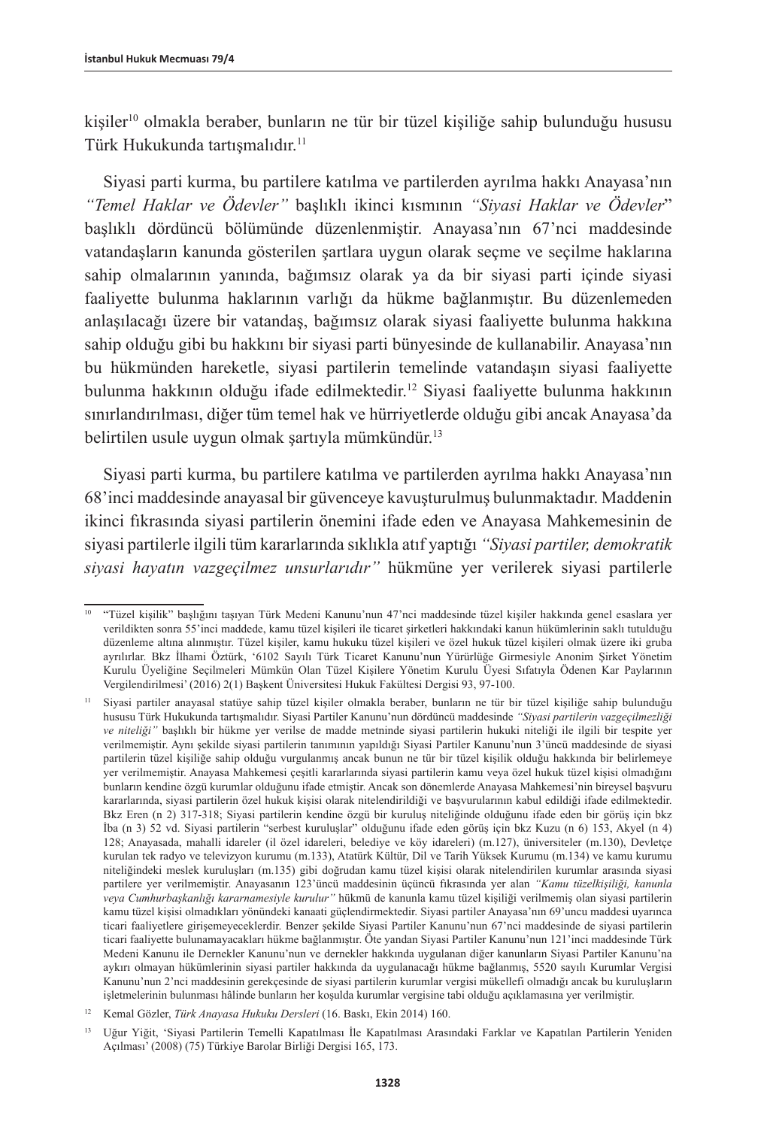kişiler10 olmakla beraber, bunların ne tür bir tüzel kişiliğe sahip bulunduğu hususu Türk Hukukunda tartışmalıdır.11

Siyasi parti kurma, bu partilere katılma ve partilerden ayrılma hakkı Anayasa'nın *"Temel Haklar ve Ödevler"* başlıklı ikinci kısmının *"Siyasi Haklar ve Ödevler*" başlıklı dördüncü bölümünde düzenlenmiştir. Anayasa'nın 67'nci maddesinde vatandaşların kanunda gösterilen şartlara uygun olarak seçme ve seçilme haklarına sahip olmalarının yanında, bağımsız olarak ya da bir siyasi parti içinde siyasi faaliyette bulunma haklarının varlığı da hükme bağlanmıştır. Bu düzenlemeden anlaşılacağı üzere bir vatandaş, bağımsız olarak siyasi faaliyette bulunma hakkına sahip olduğu gibi bu hakkını bir siyasi parti bünyesinde de kullanabilir. Anayasa'nın bu hükmünden hareketle, siyasi partilerin temelinde vatandaşın siyasi faaliyette bulunma hakkının olduğu ifade edilmektedir.12 Siyasi faaliyette bulunma hakkının sınırlandırılması, diğer tüm temel hak ve hürriyetlerde olduğu gibi ancak Anayasa'da belirtilen usule uygun olmak şartıyla mümkündür.13

Siyasi parti kurma, bu partilere katılma ve partilerden ayrılma hakkı Anayasa'nın 68'inci maddesinde anayasal bir güvenceye kavuşturulmuş bulunmaktadır. Maddenin ikinci fıkrasında siyasi partilerin önemini ifade eden ve Anayasa Mahkemesinin de siyasi partilerle ilgili tüm kararlarında sıklıkla atıf yaptığı *"Siyasi partiler, demokratik siyasi hayatın vazgeçilmez unsurlarıdır"* hükmüne yer verilerek siyasi partilerle

<sup>10</sup> "Tüzel kişilik" başlığını taşıyan Türk Medeni Kanunu'nun 47'nci maddesinde tüzel kişiler hakkında genel esaslara yer verildikten sonra 55'inci maddede, kamu tüzel kişileri ile ticaret şirketleri hakkındaki kanun hükümlerinin saklı tutulduğu düzenleme altına alınmıştır. Tüzel kişiler, kamu hukuku tüzel kişileri ve özel hukuk tüzel kişileri olmak üzere iki gruba ayrılırlar. Bkz İlhami Öztürk, '6102 Sayılı Türk Ticaret Kanunu'nun Yürürlüğe Girmesiyle Anonim Şirket Yönetim Kurulu Üyeliğine Seçilmeleri Mümkün Olan Tüzel Kişilere Yönetim Kurulu Üyesi Sıfatıyla Ödenen Kar Paylarının Vergilendirilmesi' (2016) 2(1) Başkent Üniversitesi Hukuk Fakültesi Dergisi 93, 97-100.

<sup>11</sup> Siyasi partiler anayasal statüye sahip tüzel kişiler olmakla beraber, bunların ne tür bir tüzel kişiliğe sahip bulunduğu hususu Türk Hukukunda tartışmalıdır. Siyasi Partiler Kanunu'nun dördüncü maddesinde *"Siyasi partilerin vazgeçilmezliği ve niteliği"* başlıklı bir hükme yer verilse de madde metninde siyasi partilerin hukuki niteliği ile ilgili bir tespite yer verilmemiştir. Aynı şekilde siyasi partilerin tanımının yapıldığı Siyasi Partiler Kanunu'nun 3'üncü maddesinde de siyasi partilerin tüzel kişiliğe sahip olduğu vurgulanmış ancak bunun ne tür bir tüzel kişilik olduğu hakkında bir belirlemeye yer verilmemiştir. Anayasa Mahkemesi çeşitli kararlarında siyasi partilerin kamu veya özel hukuk tüzel kişisi olmadığını bunların kendine özgü kurumlar olduğunu ifade etmiştir. Ancak son dönemlerde Anayasa Mahkemesi'nin bireysel başvuru kararlarında, siyasi partilerin özel hukuk kişisi olarak nitelendirildiği ve başvurularının kabul edildiği ifade edilmektedir. Bkz Eren (n 2) 317-318; Siyasi partilerin kendine özgü bir kuruluş niteliğinde olduğunu ifade eden bir görüş için bkz İba (n 3) 52 vd. Siyasi partilerin "serbest kuruluşlar" olduğunu ifade eden görüş için bkz Kuzu (n 6) 153, Akyel (n 4) 128; Anayasada, mahalli idareler (il özel idareleri, belediye ve köy idareleri) (m.127), üniversiteler (m.130), Devletçe kurulan tek radyo ve televizyon kurumu (m.133), Atatürk Kültür, Dil ve Tarih Yüksek Kurumu (m.134) ve kamu kurumu niteliğindeki meslek kuruluşları (m.135) gibi doğrudan kamu tüzel kişisi olarak nitelendirilen kurumlar arasında siyasi partilere yer verilmemiştir. Anayasanın 123'üncü maddesinin üçüncü fıkrasında yer alan *"Kamu tüzelkişiliği, kanunla veya Cumhurbaşkanlığı kararnamesiyle kurulur"* hükmü de kanunla kamu tüzel kişiliği verilmemiş olan siyasi partilerin kamu tüzel kişisi olmadıkları yönündeki kanaati güçlendirmektedir. Siyasi partiler Anayasa'nın 69'uncu maddesi uyarınca ticari faaliyetlere girişemeyeceklerdir. Benzer şekilde Siyasi Partiler Kanunu'nun 67'nci maddesinde de siyasi partilerin ticari faaliyette bulunamayacakları hükme bağlanmıştır. Öte yandan Siyasi Partiler Kanunu'nun 121'inci maddesinde Türk Medeni Kanunu ile Dernekler Kanunu'nun ve dernekler hakkında uygulanan diğer kanunların Siyasi Partiler Kanunu'na aykırı olmayan hükümlerinin siyasi partiler hakkında da uygulanacağı hükme bağlanmış, 5520 sayılı Kurumlar Vergisi Kanunu'nun 2'nci maddesinin gerekçesinde de siyasi partilerin kurumlar vergisi mükellefi olmadığı ancak bu kuruluşların işletmelerinin bulunması hâlinde bunların her koşulda kurumlar vergisine tabi olduğu açıklamasına yer verilmiştir.

<sup>12</sup> Kemal Gözler, *Türk Anayasa Hukuku Dersleri* (16. Baskı, Ekin 2014) 160.

<sup>13</sup> Uğur Yiğit, 'Siyasi Partilerin Temelli Kapatılması İle Kapatılması Arasındaki Farklar ve Kapatılan Partilerin Yeniden Açılması' (2008) (75) Türkiye Barolar Birliği Dergisi 165, 173.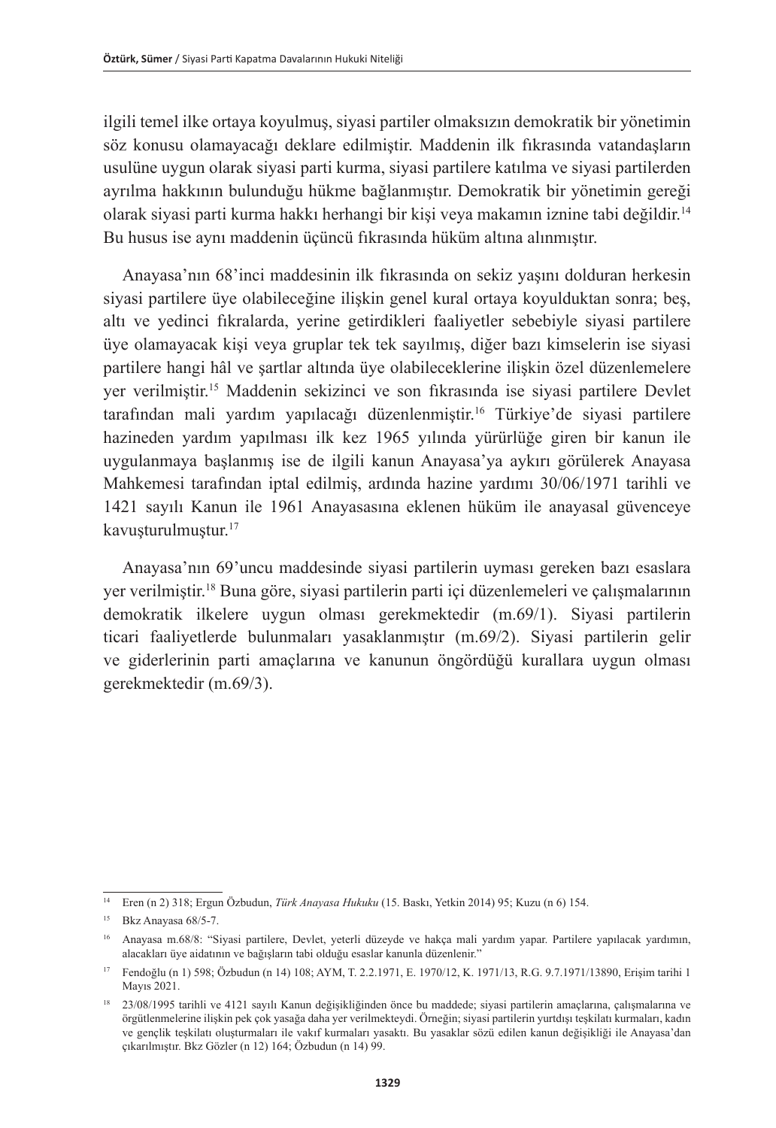ilgili temel ilke ortaya koyulmuş, siyasi partiler olmaksızın demokratik bir yönetimin söz konusu olamayacağı deklare edilmiştir. Maddenin ilk fıkrasında vatandaşların usulüne uygun olarak siyasi parti kurma, siyasi partilere katılma ve siyasi partilerden ayrılma hakkının bulunduğu hükme bağlanmıştır. Demokratik bir yönetimin gereği olarak siyasi parti kurma hakkı herhangi bir kişi veya makamın iznine tabi değildir.14 Bu husus ise aynı maddenin üçüncü fıkrasında hüküm altına alınmıştır.

Anayasa'nın 68'inci maddesinin ilk fıkrasında on sekiz yaşını dolduran herkesin siyasi partilere üye olabileceğine ilişkin genel kural ortaya koyulduktan sonra; beş, altı ve yedinci fıkralarda, yerine getirdikleri faaliyetler sebebiyle siyasi partilere üye olamayacak kişi veya gruplar tek tek sayılmış, diğer bazı kimselerin ise siyasi partilere hangi hâl ve şartlar altında üye olabileceklerine ilişkin özel düzenlemelere yer verilmiştir.15 Maddenin sekizinci ve son fıkrasında ise siyasi partilere Devlet tarafından mali yardım yapılacağı düzenlenmiştir.<sup>16</sup> Türkiye'de siyasi partilere hazineden yardım yapılması ilk kez 1965 yılında yürürlüğe giren bir kanun ile uygulanmaya başlanmış ise de ilgili kanun Anayasa'ya aykırı görülerek Anayasa Mahkemesi tarafından iptal edilmiş, ardında hazine yardımı 30/06/1971 tarihli ve 1421 sayılı Kanun ile 1961 Anayasasına eklenen hüküm ile anayasal güvenceye kavuşturulmuştur.17

Anayasa'nın 69'uncu maddesinde siyasi partilerin uyması gereken bazı esaslara yer verilmiştir.18 Buna göre, siyasi partilerin parti içi düzenlemeleri ve çalışmalarının demokratik ilkelere uygun olması gerekmektedir (m.69/1). Siyasi partilerin ticari faaliyetlerde bulunmaları yasaklanmıştır (m.69/2). Siyasi partilerin gelir ve giderlerinin parti amaçlarına ve kanunun öngördüğü kurallara uygun olması gerekmektedir (m.69/3).

<sup>14</sup> Eren (n 2) 318; Ergun Özbudun, *Türk Anayasa Hukuku* (15. Baskı, Yetkin 2014) 95; Kuzu (n 6) 154.

<sup>15</sup> Bkz Anayasa 68/5-7.

<sup>16</sup> Anayasa m.68/8: "Siyasi partilere, Devlet, yeterli düzeyde ve hakça mali yardım yapar. Partilere yapılacak yardımın, alacakları üye aidatının ve bağışların tabi olduğu esaslar kanunla düzenlenir."

<sup>17</sup> Fendoğlu (n 1) 598; Özbudun (n 14) 108; AYM, T. 2.2.1971, E. 1970/12, K. 1971/13, R.G. 9.7.1971/13890, Erişim tarihi 1 Mayıs 2021.

<sup>18</sup> 23/08/1995 tarihli ve 4121 sayılı Kanun değişikliğinden önce bu maddede; siyasi partilerin amaçlarına, çalışmalarına ve örgütlenmelerine ilişkin pek çok yasağa daha yer verilmekteydi. Örneğin; siyasi partilerin yurtdışı teşkilatı kurmaları, kadın ve gençlik teşkilatı oluşturmaları ile vakıf kurmaları yasaktı. Bu yasaklar sözü edilen kanun değişikliği ile Anayasa'dan çıkarılmıştır. Bkz Gözler (n 12) 164; Özbudun (n 14) 99.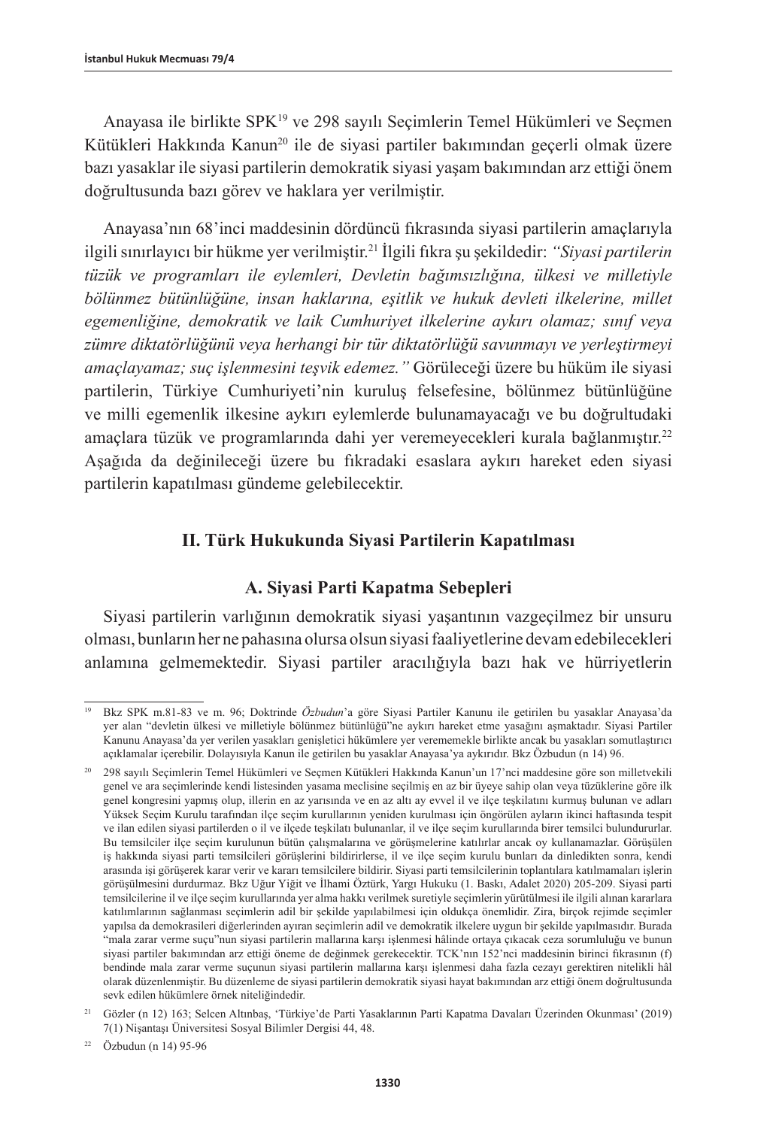Anayasa ile birlikte SPK19 ve 298 sayılı Seçimlerin Temel Hükümleri ve Seçmen Kütükleri Hakkında Kanun<sup>20</sup> ile de siyasi partiler bakımından geçerli olmak üzere bazı yasaklar ile siyasi partilerin demokratik siyasi yaşam bakımından arz ettiği önem doğrultusunda bazı görev ve haklara yer verilmiştir.

Anayasa'nın 68'inci maddesinin dördüncü fıkrasında siyasi partilerin amaçlarıyla ilgili sınırlayıcı bir hükme yer verilmiştir.21 İlgili fıkra şu şekildedir: *"Siyasi partilerin tüzük ve programları ile eylemleri, Devletin bağımsızlığına, ülkesi ve milletiyle bölünmez bütünlüğüne, insan haklarına, eşitlik ve hukuk devleti ilkelerine, millet egemenliğine, demokratik ve laik Cumhuriyet ilkelerine aykırı olamaz; sınıf veya zümre diktatörlüğünü veya herhangi bir tür diktatörlüğü savunmayı ve yerleştirmeyi amaçlayamaz; suç işlenmesini teşvik edemez."* Görüleceği üzere bu hüküm ile siyasi partilerin, Türkiye Cumhuriyeti'nin kuruluş felsefesine, bölünmez bütünlüğüne ve milli egemenlik ilkesine aykırı eylemlerde bulunamayacağı ve bu doğrultudaki amaçlara tüzük ve programlarında dahi yer veremeyecekleri kurala bağlanmıştır.22 Aşağıda da değinileceği üzere bu fıkradaki esaslara aykırı hareket eden siyasi partilerin kapatılması gündeme gelebilecektir.

## **II. Türk Hukukunda Siyasi Partilerin Kapatılması**

## **A. Siyasi Parti Kapatma Sebepleri**

Siyasi partilerin varlığının demokratik siyasi yaşantının vazgeçilmez bir unsuru olması, bunların her ne pahasına olursa olsun siyasi faaliyetlerine devam edebilecekleri anlamına gelmemektedir. Siyasi partiler aracılığıyla bazı hak ve hürriyetlerin

<sup>19</sup> Bkz SPK m.81-83 ve m. 96; Doktrinde *Özbudun*'a göre Siyasi Partiler Kanunu ile getirilen bu yasaklar Anayasa'da yer alan "devletin ülkesi ve milletiyle bölünmez bütünlüğü"ne aykırı hareket etme yasağını aşmaktadır. Siyasi Partiler Kanunu Anayasa'da yer verilen yasakları genişletici hükümlere yer verememekle birlikte ancak bu yasakları somutlaştırıcı açıklamalar içerebilir. Dolayısıyla Kanun ile getirilen bu yasaklar Anayasa'ya aykırıdır. Bkz Özbudun (n 14) 96.

<sup>20</sup> 298 sayılı Seçimlerin Temel Hükümleri ve Seçmen Kütükleri Hakkında Kanun'un 17'nci maddesine göre son milletvekili genel ve ara seçimlerinde kendi listesinden yasama meclisine seçilmiş en az bir üyeye sahip olan veya tüzüklerine göre ilk genel kongresini yapmış olup, illerin en az yarısında ve en az altı ay evvel il ve ilçe teşkilatını kurmuş bulunan ve adları Yüksek Seçim Kurulu tarafından ilçe seçim kurullarının yeniden kurulması için öngörülen ayların ikinci haftasında tespit ve ilan edilen siyasi partilerden o il ve ilçede teşkilatı bulunanlar, il ve ilçe seçim kurullarında birer temsilci bulundururlar. Bu temsilciler ilçe seçim kurulunun bütün çalışmalarına ve görüşmelerine katılırlar ancak oy kullanamazlar. Görüşülen iş hakkında siyasi parti temsilcileri görüşlerini bildirirlerse, il ve ilçe seçim kurulu bunları da dinledikten sonra, kendi arasında işi görüşerek karar verir ve kararı temsilcilere bildirir. Siyasi parti temsilcilerinin toplantılara katılmamaları işlerin görüşülmesini durdurmaz. Bkz Uğur Yiğit ve İlhami Öztürk, Yargı Hukuku (1. Baskı, Adalet 2020) 205-209. Siyasi parti temsilcilerine il ve ilçe seçim kurullarında yer alma hakkı verilmek suretiyle seçimlerin yürütülmesi ile ilgili alınan kararlara katılımlarının sağlanması seçimlerin adil bir şekilde yapılabilmesi için oldukça önemlidir. Zira, birçok rejimde seçimler yapılsa da demokrasileri diğerlerinden ayıran seçimlerin adil ve demokratik ilkelere uygun bir şekilde yapılmasıdır. Burada "mala zarar verme suçu"nun siyasi partilerin mallarına karşı işlenmesi hâlinde ortaya çıkacak ceza sorumluluğu ve bunun siyasi partiler bakımından arz ettiği öneme de değinmek gerekecektir. TCK'nın 152'nci maddesinin birinci fıkrasının (f) bendinde mala zarar verme suçunun siyasi partilerin mallarına karşı işlenmesi daha fazla cezayı gerektiren nitelikli hâl olarak düzenlenmiştir. Bu düzenleme de siyasi partilerin demokratik siyasi hayat bakımından arz ettiği önem doğrultusunda sevk edilen hükümlere örnek niteliğindedir.

<sup>21</sup> Gözler (n 12) 163; Selcen Altınbaş, 'Türkiye'de Parti Yasaklarının Parti Kapatma Davaları Üzerinden Okunması' (2019) 7(1) Nişantaşı Üniversitesi Sosyal Bilimler Dergisi 44, 48.

<sup>22</sup> Özbudun (n 14) 95-96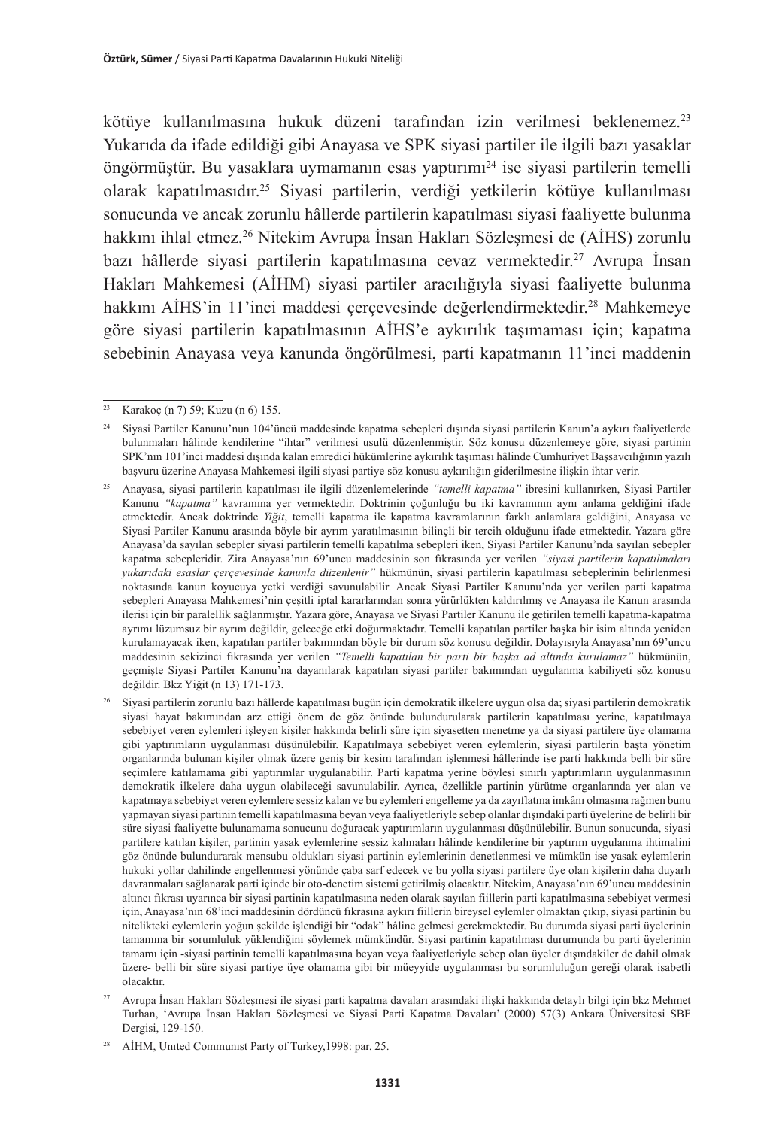kötüye kullanılmasına hukuk düzeni tarafından izin verilmesi beklenemez.<sup>23</sup> Yukarıda da ifade edildiği gibi Anayasa ve SPK siyasi partiler ile ilgili bazı yasaklar öngörmüştür. Bu yasaklara uymamanın esas yaptırımı<sup>24</sup> ise siyasi partilerin temelli olarak kapatılmasıdır.<sup>25</sup> Siyasi partilerin, verdiği yetkilerin kötüye kullanılması sonucunda ve ancak zorunlu hâllerde partilerin kapatılması siyasi faaliyette bulunma hakkını ihlal etmez.26 Nitekim Avrupa İnsan Hakları Sözleşmesi de (AİHS) zorunlu bazı hâllerde siyasi partilerin kapatılmasına cevaz vermektedir.<sup>27</sup> Avrupa İnsan Hakları Mahkemesi (AİHM) siyasi partiler aracılığıyla siyasi faaliyette bulunma hakkını AİHS'in 11'inci maddesi çerçevesinde değerlendirmektedir.<sup>28</sup> Mahkemeye göre siyasi partilerin kapatılmasının AİHS'e aykırılık taşımaması için; kapatma sebebinin Anayasa veya kanunda öngörülmesi, parti kapatmanın 11'inci maddenin

 $\frac{23}{23}$  Karakoç (n 7) 59; Kuzu (n 6) 155.

<sup>24</sup> Siyasi Partiler Kanunu'nun 104'üncü maddesinde kapatma sebepleri dışında siyasi partilerin Kanun'a aykırı faaliyetlerde bulunmaları hâlinde kendilerine "ihtar" verilmesi usulü düzenlenmiştir. Söz konusu düzenlemeye göre, siyasi partinin SPK'nın 101'inci maddesi dışında kalan emredici hükümlerine aykırılık taşıması hâlinde Cumhuriyet Başsavcılığının yazılı başvuru üzerine Anayasa Mahkemesi ilgili siyasi partiye söz konusu aykırılığın giderilmesine ilişkin ihtar verir.

<sup>25</sup> Anayasa, siyasi partilerin kapatılması ile ilgili düzenlemelerinde *"temelli kapatma"* ibresini kullanırken, Siyasi Partiler Kanunu *"kapatma"* kavramına yer vermektedir. Doktrinin çoğunluğu bu iki kavramının aynı anlama geldiğini ifade etmektedir. Ancak doktrinde *Yiğit*, temelli kapatma ile kapatma kavramlarının farklı anlamlara geldiğini, Anayasa ve Siyasi Partiler Kanunu arasında böyle bir ayrım yaratılmasının bilinçli bir tercih olduğunu ifade etmektedir. Yazara göre Anayasa'da sayılan sebepler siyasi partilerin temelli kapatılma sebepleri iken, Siyasi Partiler Kanunu'nda sayılan sebepler kapatma sebepleridir. Zira Anayasa'nın 69'uncu maddesinin son fıkrasında yer verilen *"siyasi partilerin kapatılmaları yukarıdaki esaslar çerçevesinde kanunla düzenlenir"* hükmünün, siyasi partilerin kapatılması sebeplerinin belirlenmesi noktasında kanun koyucuya yetki verdiği savunulabilir. Ancak Siyasi Partiler Kanunu'nda yer verilen parti kapatma sebepleri Anayasa Mahkemesi'nin çeşitli iptal kararlarından sonra yürürlükten kaldırılmış ve Anayasa ile Kanun arasında ilerisi için bir paralellik sağlanmıştır. Yazara göre, Anayasa ve Siyasi Partiler Kanunu ile getirilen temelli kapatma-kapatma ayrımı lüzumsuz bir ayrım değildir, geleceğe etki doğurmaktadır. Temelli kapatılan partiler başka bir isim altında yeniden kurulamayacak iken, kapatılan partiler bakımından böyle bir durum söz konusu değildir. Dolayısıyla Anayasa'nın 69'uncu maddesinin sekizinci fıkrasında yer verilen *"Temelli kapatılan bir parti bir başka ad altında kurulamaz"* hükmünün, geçmişte Siyasi Partiler Kanunu'na dayanılarak kapatılan siyasi partiler bakımından uygulanma kabiliyeti söz konusu değildir. Bkz Yiğit (n 13) 171-173.

<sup>26</sup> Siyasi partilerin zorunlu bazı hâllerde kapatılması bugün için demokratik ilkelere uygun olsa da; siyasi partilerin demokratik siyasi hayat bakımından arz ettiği önem de göz önünde bulundurularak partilerin kapatılması yerine, kapatılmaya sebebiyet veren eylemleri işleyen kişiler hakkında belirli süre için siyasetten menetme ya da siyasi partilere üye olamama gibi yaptırımların uygulanması düşünülebilir. Kapatılmaya sebebiyet veren eylemlerin, siyasi partilerin başta yönetim organlarında bulunan kişiler olmak üzere geniş bir kesim tarafından işlenmesi hâllerinde ise parti hakkında belli bir süre seçimlere katılamama gibi yaptırımlar uygulanabilir. Parti kapatma yerine böylesi sınırlı yaptırımların uygulanmasının demokratik ilkelere daha uygun olabileceği savunulabilir. Ayrıca, özellikle partinin yürütme organlarında yer alan ve kapatmaya sebebiyet veren eylemlere sessiz kalan ve bu eylemleri engelleme ya da zayıflatma imkânı olmasına rağmen bunu yapmayan siyasi partinin temelli kapatılmasına beyan veya faaliyetleriyle sebep olanlar dışındaki parti üyelerine de belirli bir süre siyasi faaliyette bulunamama sonucunu doğuracak yaptırımların uygulanması düşünülebilir. Bunun sonucunda, siyasi partilere katılan kişiler, partinin yasak eylemlerine sessiz kalmaları hâlinde kendilerine bir yaptırım uygulanma ihtimalini göz önünde bulundurarak mensubu oldukları siyasi partinin eylemlerinin denetlenmesi ve mümkün ise yasak eylemlerin hukuki yollar dahilinde engellenmesi yönünde çaba sarf edecek ve bu yolla siyasi partilere üye olan kişilerin daha duyarlı davranmaları sağlanarak parti içinde bir oto-denetim sistemi getirilmiş olacaktır. Nitekim, Anayasa'nın 69'uncu maddesinin altıncı fıkrası uyarınca bir siyasi partinin kapatılmasına neden olarak sayılan fiillerin parti kapatılmasına sebebiyet vermesi için, Anayasa'nın 68'inci maddesinin dördüncü fıkrasına aykırı fiillerin bireysel eylemler olmaktan çıkıp, siyasi partinin bu nitelikteki eylemlerin yoğun şekilde işlendiği bir "odak" hâline gelmesi gerekmektedir. Bu durumda siyasi parti üyelerinin tamamına bir sorumluluk yüklendiğini söylemek mümkündür. Siyasi partinin kapatılması durumunda bu parti üyelerinin tamamı için -siyasi partinin temelli kapatılmasına beyan veya faaliyetleriyle sebep olan üyeler dışındakiler de dahil olmak üzere- belli bir süre siyasi partiye üye olamama gibi bir müeyyide uygulanması bu sorumluluğun gereği olarak isabetli olacaktır.

<sup>27</sup> Avrupa İnsan Hakları Sözleşmesi ile siyasi parti kapatma davaları arasındaki ilişki hakkında detaylı bilgi için bkz Mehmet Turhan, 'Avrupa İnsan Hakları Sözleşmesi ve Siyasi Parti Kapatma Davaları' (2000) 57(3) Ankara Üniversitesi SBF Dergisi, 129-150.

AİHM, United Communist Party of Turkey, 1998: par. 25.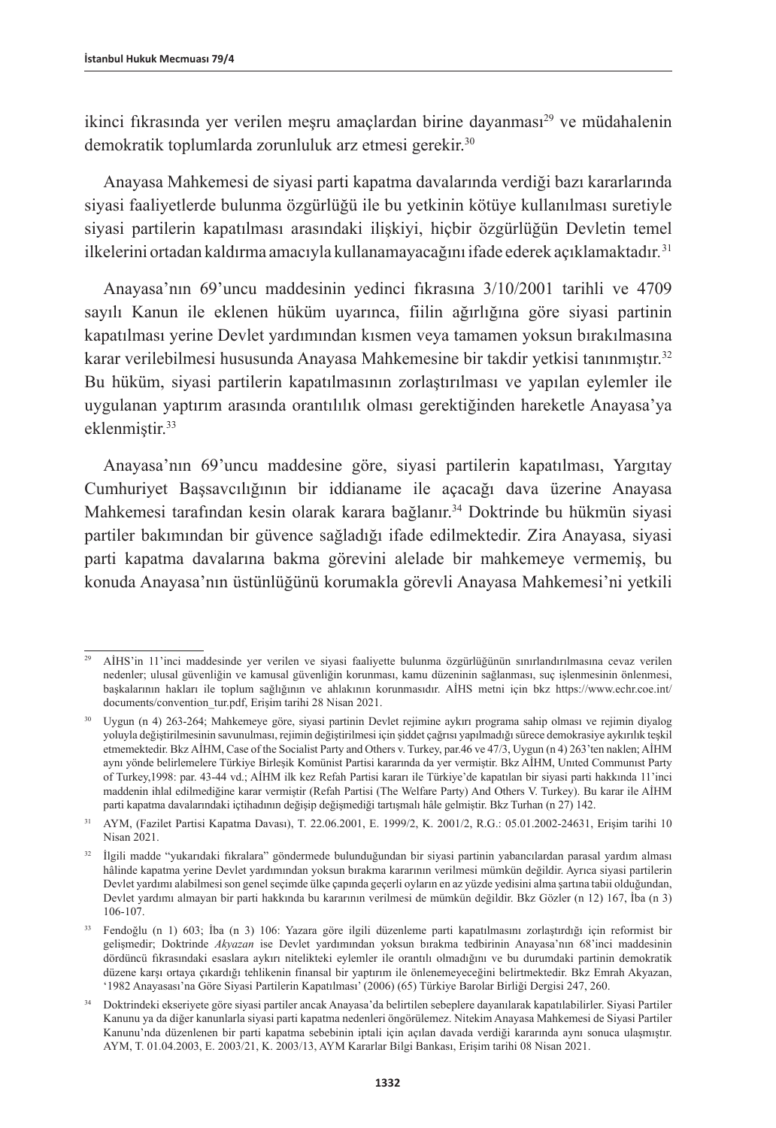ikinci fikrasında yer verilen mesru amaçlardan birine dayanması<sup>29</sup> ve müdahalenin demokratik toplumlarda zorunluluk arz etmesi gerekir.<sup>30</sup>

Anayasa Mahkemesi de siyasi parti kapatma davalarında verdiği bazı kararlarında siyasi faaliyetlerde bulunma özgürlüğü ile bu yetkinin kötüye kullanılması suretiyle siyasi partilerin kapatılması arasındaki ilişkiyi, hiçbir özgürlüğün Devletin temel ilkelerini ortadan kaldırma amacıyla kullanamayacağını ifade ederek açıklamaktadır*.* 31

Anayasa'nın 69'uncu maddesinin yedinci fıkrasına 3/10/2001 tarihli ve 4709 sayılı Kanun ile eklenen hüküm uyarınca, fiilin ağırlığına göre siyasi partinin kapatılması yerine Devlet yardımından kısmen veya tamamen yoksun bırakılmasına karar verilebilmesi hususunda Anayasa Mahkemesine bir takdir yetkisi tanınmıştır.<sup>32</sup> Bu hüküm, siyasi partilerin kapatılmasının zorlaştırılması ve yapılan eylemler ile uygulanan yaptırım arasında orantılılık olması gerektiğinden hareketle Anayasa'ya eklenmiştir.33

Anayasa'nın 69'uncu maddesine göre, siyasi partilerin kapatılması, Yargıtay Cumhuriyet Başsavcılığının bir iddianame ile açacağı dava üzerine Anayasa Mahkemesi tarafından kesin olarak karara bağlanır.34 Doktrinde bu hükmün siyasi partiler bakımından bir güvence sağladığı ifade edilmektedir. Zira Anayasa, siyasi parti kapatma davalarına bakma görevini alelade bir mahkemeye vermemiş, bu konuda Anayasa'nın üstünlüğünü korumakla görevli Anayasa Mahkemesi'ni yetkili

<sup>29</sup> AİHS'in 11'inci maddesinde yer verilen ve siyasi faaliyette bulunma özgürlüğünün sınırlandırılmasına cevaz verilen nedenler; ulusal güvenliğin ve kamusal güvenliğin korunması, kamu düzeninin sağlanması, suç işlenmesinin önlenmesi, başkalarının hakları ile toplum sağlığının ve ahlakının korunmasıdır. AİHS metni için bkz [https://www.echr.coe.int/](https://www.echr.coe.int/documents/convention_tur.pdf) [documents/convention\\_tur.pdf,](https://www.echr.coe.int/documents/convention_tur.pdf) Erişim tarihi 28 Nisan 2021.

<sup>30</sup> Uygun (n 4) 263-264; Mahkemeye göre, siyasi partinin Devlet rejimine aykırı programa sahip olması ve rejimin diyalog yoluyla değiştirilmesinin savunulması, rejimin değiştirilmesi için şiddet çağrısı yapılmadığı sürece demokrasiye aykırılık teşkil etmemektedir. Bkz AİHM, Case of the Socialist Party and Others v. Turkey, par.46 ve 47/3, Uygun (n 4) 263'ten naklen; AİHM aynı yönde belirlemelere Türkiye Birleşik Komünist Partisi kararında da yer vermiştir. Bkz AİHM, Unıted Communıst Party of Turkey,1998: par. 43-44 vd.; AİHM ilk kez Refah Partisi kararı ile Türkiye'de kapatılan bir siyasi parti hakkında 11'inci maddenin ihlal edilmediğine karar vermiştir (Refah Partisi (The Welfare Party) And Others V. Turkey). Bu karar ile AİHM parti kapatma davalarındaki içtihadının değişip değişmediği tartışmalı hâle gelmiştir. Bkz Turhan (n 27) 142.

<sup>31</sup> AYM, (Fazilet Partisi Kapatma Davası), T. 22.06.2001, E. 1999/2, K. 2001/2, R.G.: 05.01.2002-24631, Erişim tarihi 10 Nisan 2021.

<sup>32</sup> İlgili madde "yukarıdaki fıkralara" göndermede bulunduğundan bir siyasi partinin yabancılardan parasal yardım alması hâlinde kapatma yerine Devlet yardımından yoksun bırakma kararının verilmesi mümkün değildir. Ayrıca siyasi partilerin Devlet yardımı alabilmesi son genel seçimde ülke çapında geçerli oyların en az yüzde yedisini alma şartına tabii olduğundan, Devlet yardımı almayan bir parti hakkında bu kararının verilmesi de mümkün değildir. Bkz Gözler (n 12) 167, İba (n 3) 106-107.

<sup>33</sup> Fendoğlu (n 1) 603; İba (n 3) 106: Yazara göre ilgili düzenleme parti kapatılmasını zorlaştırdığı için reformist bir gelişmedir; Doktrinde *Akyazan* ise Devlet yardımından yoksun bırakma tedbirinin Anayasa'nın 68'inci maddesinin dördüncü fıkrasındaki esaslara aykırı nitelikteki eylemler ile orantılı olmadığını ve bu durumdaki partinin demokratik düzene karşı ortaya çıkardığı tehlikenin finansal bir yaptırım ile önlenemeyeceğini belirtmektedir. Bkz Emrah Akyazan, '1982 Anayasası'na Göre Siyasi Partilerin Kapatılması' (2006) (65) Türkiye Barolar Birliği Dergisi 247, 260.

<sup>34</sup> Doktrindeki ekseriyete göre siyasi partiler ancak Anayasa'da belirtilen sebeplere dayanılarak kapatılabilirler. Siyasi Partiler Kanunu ya da diğer kanunlarla siyasi parti kapatma nedenleri öngörülemez. Nitekim Anayasa Mahkemesi de Siyasi Partiler Kanunu'nda düzenlenen bir parti kapatma sebebinin iptali için açılan davada verdiği kararında aynı sonuca ulaşmıştır. AYM, T. 01.04.2003, E. 2003/21, K. 2003/13, AYM Kararlar Bilgi Bankası, Erişim tarihi 08 Nisan 2021.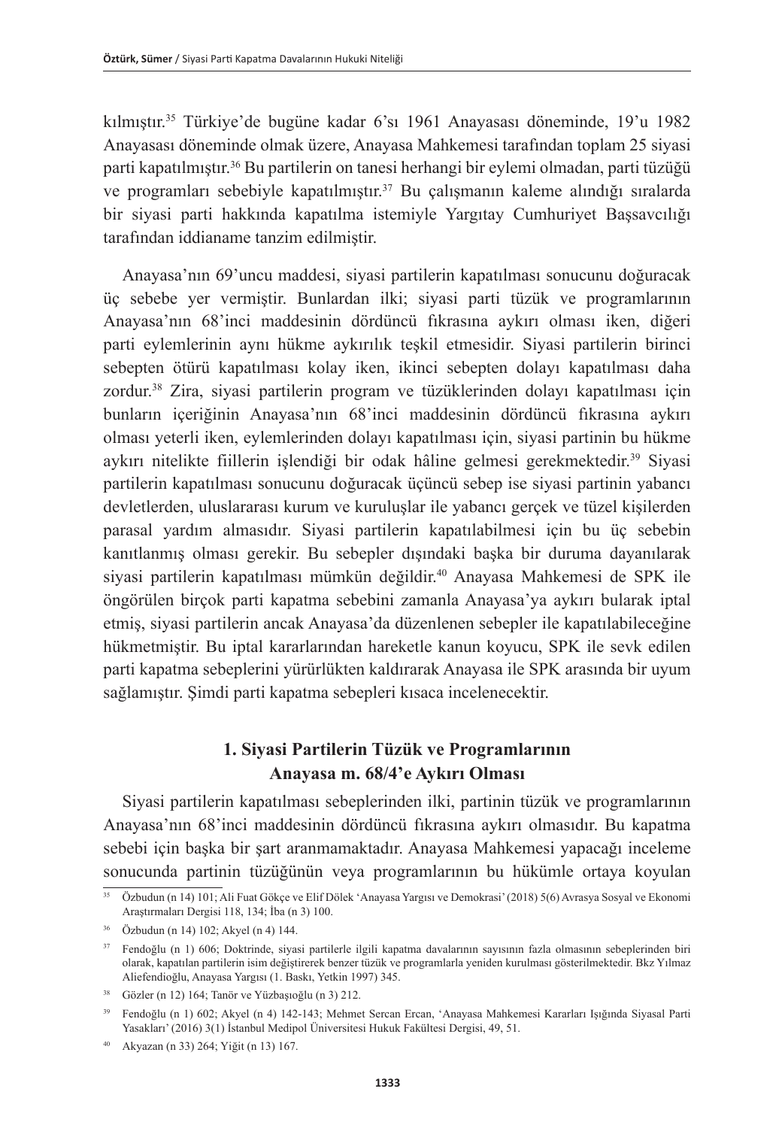kılmıştır.35 Türkiye'de bugüne kadar 6'sı 1961 Anayasası döneminde, 19'u 1982 Anayasası döneminde olmak üzere, Anayasa Mahkemesi tarafından toplam 25 siyasi parti kapatılmıştır.36 Bu partilerin on tanesi herhangi bir eylemi olmadan, parti tüzüğü ve programları sebebiyle kapatılmıştır.<sup>37</sup> Bu çalışmanın kaleme alındığı sıralarda bir siyasi parti hakkında kapatılma istemiyle Yargıtay Cumhuriyet Başsavcılığı tarafından iddianame tanzim edilmiştir.

Anayasa'nın 69'uncu maddesi, siyasi partilerin kapatılması sonucunu doğuracak üç sebebe yer vermiştir. Bunlardan ilki; siyasi parti tüzük ve programlarının Anayasa'nın 68'inci maddesinin dördüncü fıkrasına aykırı olması iken, diğeri parti eylemlerinin aynı hükme aykırılık teşkil etmesidir. Siyasi partilerin birinci sebepten ötürü kapatılması kolay iken, ikinci sebepten dolayı kapatılması daha zordur.38 Zira, siyasi partilerin program ve tüzüklerinden dolayı kapatılması için bunların içeriğinin Anayasa'nın 68'inci maddesinin dördüncü fıkrasına aykırı olması yeterli iken, eylemlerinden dolayı kapatılması için, siyasi partinin bu hükme aykırı nitelikte fiillerin işlendiği bir odak hâline gelmesi gerekmektedir.<sup>39</sup> Siyasi partilerin kapatılması sonucunu doğuracak üçüncü sebep ise siyasi partinin yabancı devletlerden, uluslararası kurum ve kuruluşlar ile yabancı gerçek ve tüzel kişilerden parasal yardım almasıdır. Siyasi partilerin kapatılabilmesi için bu üç sebebin kanıtlanmış olması gerekir. Bu sebepler dışındaki başka bir duruma dayanılarak siyasi partilerin kapatılması mümkün değildir.<sup>40</sup> Anayasa Mahkemesi de SPK ile öngörülen birçok parti kapatma sebebini zamanla Anayasa'ya aykırı bularak iptal etmiş, siyasi partilerin ancak Anayasa'da düzenlenen sebepler ile kapatılabileceğine hükmetmiştir. Bu iptal kararlarından hareketle kanun koyucu, SPK ile sevk edilen parti kapatma sebeplerini yürürlükten kaldırarak Anayasa ile SPK arasında bir uyum sağlamıştır. Şimdi parti kapatma sebepleri kısaca incelenecektir.

## **1. Siyasi Partilerin Tüzük ve Programlarının Anayasa m. 68/4'e Aykırı Olması**

Siyasi partilerin kapatılması sebeplerinden ilki, partinin tüzük ve programlarının Anayasa'nın 68'inci maddesinin dördüncü fıkrasına aykırı olmasıdır. Bu kapatma sebebi için başka bir şart aranmamaktadır. Anayasa Mahkemesi yapacağı inceleme sonucunda partinin tüzüğünün veya programlarının bu hükümle ortaya koyulan

<sup>35</sup> Özbudun (n 14) 101; Ali Fuat Gökçe ve Elif Dölek 'Anayasa Yargısı ve Demokrasi' (2018) 5(6) Avrasya Sosyal ve Ekonomi Araştırmaları Dergisi 118, 134; İba (n 3) 100.

<sup>36</sup> Özbudun (n 14) 102; Akyel (n 4) 144.

<sup>37</sup> Fendoğlu (n 1) 606; Doktrinde, siyasi partilerle ilgili kapatma davalarının sayısının fazla olmasının sebeplerinden biri olarak, kapatılan partilerin isim değiştirerek benzer tüzük ve programlarla yeniden kurulması gösterilmektedir. Bkz Yılmaz Aliefendioğlu, Anayasa Yargısı (1. Baskı, Yetkin 1997) 345.

<sup>38</sup> Gözler (n 12) 164; Tanör ve Yüzbaşıoğlu (n 3) 212.

<sup>39</sup> Fendoğlu (n 1) 602; Akyel (n 4) 142-143; Mehmet Sercan Ercan, 'Anayasa Mahkemesi Kararları Işığında Siyasal Parti Yasakları' (2016) 3(1) İstanbul Medipol Üniversitesi Hukuk Fakültesi Dergisi, 49, 51.

<sup>40</sup> Akyazan (n 33) 264; Yiğit (n 13) 167.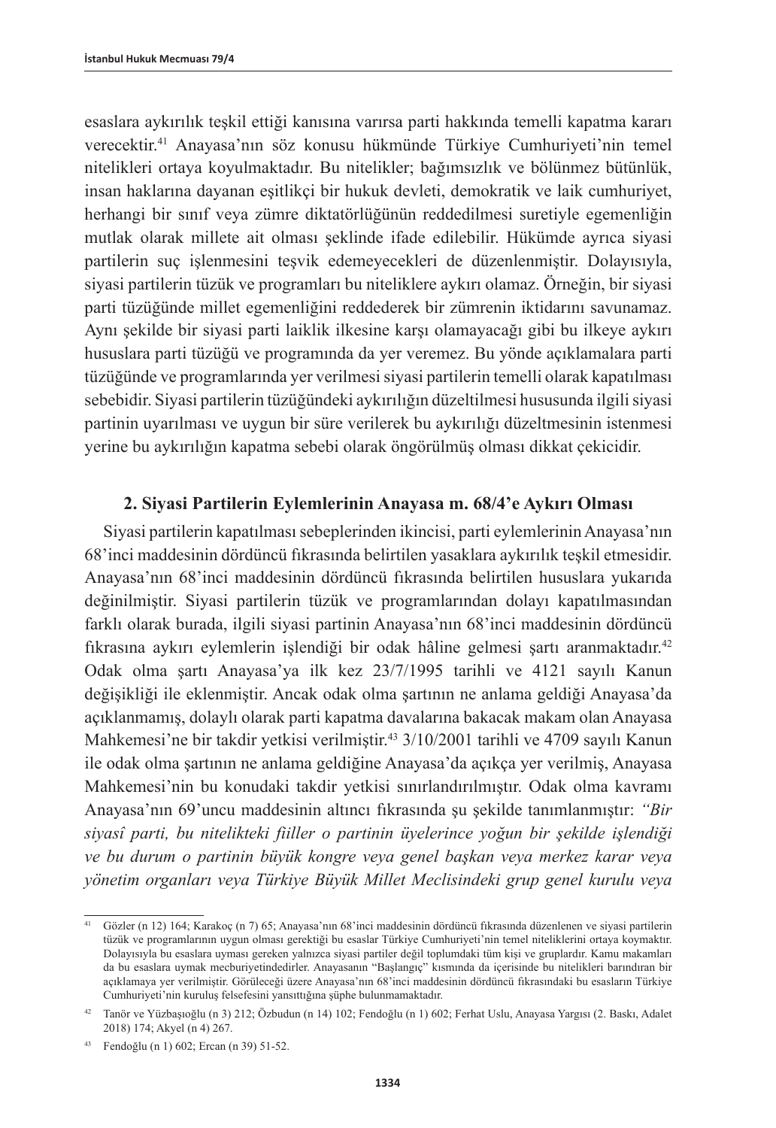esaslara aykırılık teşkil ettiği kanısına varırsa parti hakkında temelli kapatma kararı verecektir.41 Anayasa'nın söz konusu hükmünde Türkiye Cumhuriyeti'nin temel nitelikleri ortaya koyulmaktadır. Bu nitelikler; bağımsızlık ve bölünmez bütünlük, insan haklarına dayanan eşitlikçi bir hukuk devleti, demokratik ve laik cumhuriyet, herhangi bir sınıf veya zümre diktatörlüğünün reddedilmesi suretiyle egemenliğin mutlak olarak millete ait olması şeklinde ifade edilebilir. Hükümde ayrıca siyasi partilerin suç işlenmesini teşvik edemeyecekleri de düzenlenmiştir. Dolayısıyla, siyasi partilerin tüzük ve programları bu niteliklere aykırı olamaz. Örneğin, bir siyasi parti tüzüğünde millet egemenliğini reddederek bir zümrenin iktidarını savunamaz. Aynı şekilde bir siyasi parti laiklik ilkesine karşı olamayacağı gibi bu ilkeye aykırı hususlara parti tüzüğü ve programında da yer veremez. Bu yönde açıklamalara parti tüzüğünde ve programlarında yer verilmesi siyasi partilerin temelli olarak kapatılması sebebidir. Siyasi partilerin tüzüğündeki aykırılığın düzeltilmesi hususunda ilgili siyasi partinin uyarılması ve uygun bir süre verilerek bu aykırılığı düzeltmesinin istenmesi yerine bu aykırılığın kapatma sebebi olarak öngörülmüş olması dikkat çekicidir.

## **2. Siyasi Partilerin Eylemlerinin Anayasa m. 68/4'e Aykırı Olması**

Siyasi partilerin kapatılması sebeplerinden ikincisi, parti eylemlerinin Anayasa'nın 68'inci maddesinin dördüncü fıkrasında belirtilen yasaklara aykırılık teşkil etmesidir. Anayasa'nın 68'inci maddesinin dördüncü fıkrasında belirtilen hususlara yukarıda değinilmiştir. Siyasi partilerin tüzük ve programlarından dolayı kapatılmasından farklı olarak burada, ilgili siyasi partinin Anayasa'nın 68'inci maddesinin dördüncü fıkrasına aykırı eylemlerin işlendiği bir odak hâline gelmesi şartı aranmaktadır.<sup>42</sup> Odak olma şartı Anayasa'ya ilk kez 23/7/1995 tarihli ve 4121 sayılı Kanun değişikliği ile eklenmiştir. Ancak odak olma şartının ne anlama geldiği Anayasa'da açıklanmamış, dolaylı olarak parti kapatma davalarına bakacak makam olan Anayasa Mahkemesi'ne bir takdir yetkisi verilmiştir.<sup>43</sup> 3/10/2001 tarihli ve 4709 sayılı Kanun ile odak olma şartının ne anlama geldiğine Anayasa'da açıkça yer verilmiş, Anayasa Mahkemesi'nin bu konudaki takdir yetkisi sınırlandırılmıştır. Odak olma kavramı Anayasa'nın 69'uncu maddesinin altıncı fıkrasında şu şekilde tanımlanmıştır: *"Bir siyasî parti, bu nitelikteki fiiller o partinin üyelerince yoğun bir şekilde işlendiği ve bu durum o partinin büyük kongre veya genel başkan veya merkez karar veya yönetim organları veya Türkiye Büyük Millet Meclisindeki grup genel kurulu veya* 

<sup>41</sup> Gözler (n 12) 164; Karakoç (n 7) 65; Anayasa'nın 68'inci maddesinin dördüncü fıkrasında düzenlenen ve siyasi partilerin tüzük ve programlarının uygun olması gerektiği bu esaslar Türkiye Cumhuriyeti'nin temel niteliklerini ortaya koymaktır. Dolayısıyla bu esaslara uyması gereken yalnızca siyasi partiler değil toplumdaki tüm kişi ve gruplardır. Kamu makamları da bu esaslara uymak mecburiyetindedirler. Anayasanın "Başlangıç" kısmında da içerisinde bu nitelikleri barındıran bir açıklamaya yer verilmiştir. Görüleceği üzere Anayasa'nın 68'inci maddesinin dördüncü fıkrasındaki bu esasların Türkiye Cumhuriyeti'nin kuruluş felsefesini yansıttığına şüphe bulunmamaktadır.

<sup>42</sup> Tanör ve Yüzbaşıoğlu (n 3) 212; Özbudun (n 14) 102; Fendoğlu (n 1) 602; Ferhat Uslu, Anayasa Yargısı (2. Baskı, Adalet 2018) 174; Akyel (n 4) 267.

<sup>43</sup> Fendoğlu (n 1) 602; Ercan (n 39) 51-52.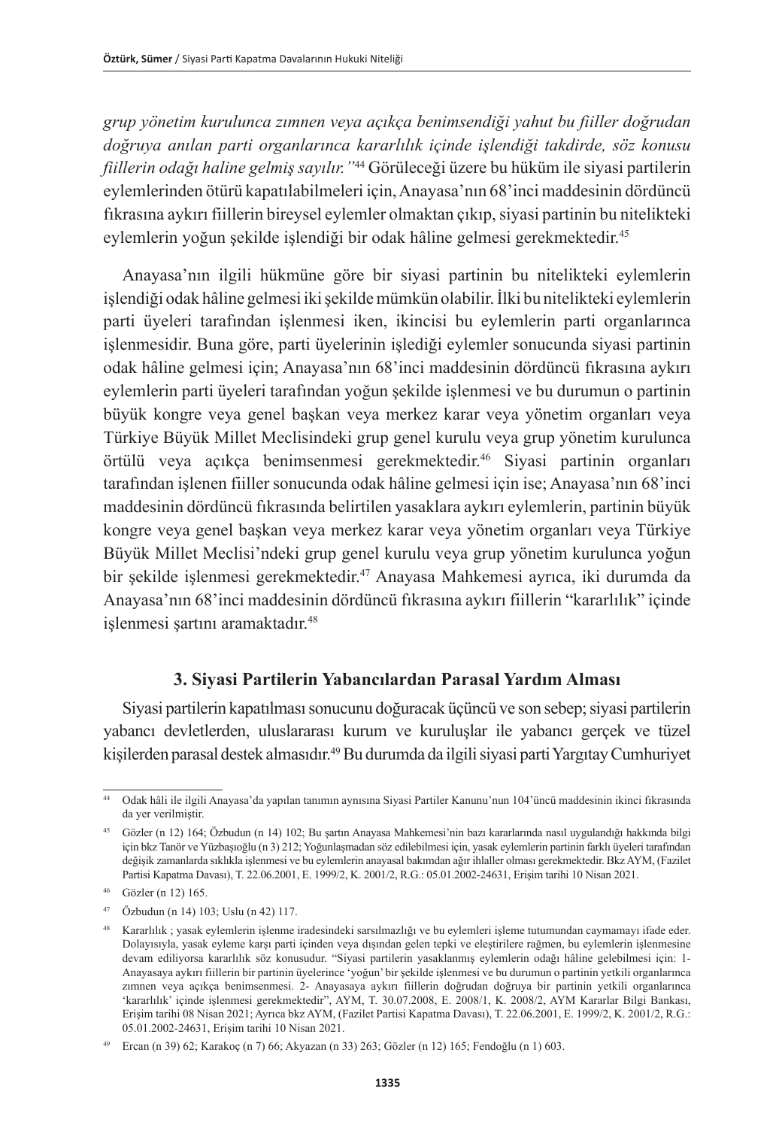*grup yönetim kurulunca zımnen veya açıkça benimsendiği yahut bu fiiller doğrudan doğruya anılan parti organlarınca kararlılık içinde işlendiği takdirde, söz konusu fiillerin odağı haline gelmiş sayılır."*44 Görüleceği üzere bu hüküm ile siyasi partilerin eylemlerinden ötürü kapatılabilmeleri için, Anayasa'nın 68'inci maddesinin dördüncü fıkrasına aykırı fiillerin bireysel eylemler olmaktan çıkıp, siyasi partinin bu nitelikteki eylemlerin yoğun şekilde işlendiği bir odak hâline gelmesi gerekmektedir. 45

Anayasa'nın ilgili hükmüne göre bir siyasi partinin bu nitelikteki eylemlerin işlendiği odak hâline gelmesi iki şekilde mümkün olabilir. İlki bu nitelikteki eylemlerin parti üyeleri tarafından işlenmesi iken, ikincisi bu eylemlerin parti organlarınca işlenmesidir. Buna göre, parti üyelerinin işlediği eylemler sonucunda siyasi partinin odak hâline gelmesi için; Anayasa'nın 68'inci maddesinin dördüncü fıkrasına aykırı eylemlerin parti üyeleri tarafından yoğun şekilde işlenmesi ve bu durumun o partinin büyük kongre veya genel başkan veya merkez karar veya yönetim organları veya Türkiye Büyük Millet Meclisindeki grup genel kurulu veya grup yönetim kurulunca örtülü veya açıkça benimsenmesi gerekmektedir.46 Siyasi partinin organları tarafından işlenen fiiller sonucunda odak hâline gelmesi için ise; Anayasa'nın 68'inci maddesinin dördüncü fıkrasında belirtilen yasaklara aykırı eylemlerin, partinin büyük kongre veya genel başkan veya merkez karar veya yönetim organları veya Türkiye Büyük Millet Meclisi'ndeki grup genel kurulu veya grup yönetim kurulunca yoğun bir şekilde işlenmesi gerekmektedir.<sup>47</sup> Anayasa Mahkemesi ayrıca, iki durumda da Anayasa'nın 68'inci maddesinin dördüncü fıkrasına aykırı fiillerin "kararlılık" içinde islenmesi sartını aramaktadır.<sup>48</sup>

## **3. Siyasi Partilerin Yabancılardan Parasal Yardım Alması**

Siyasi partilerin kapatılması sonucunu doğuracak üçüncü ve son sebep; siyasi partilerin yabancı devletlerden, uluslararası kurum ve kuruluşlar ile yabancı gerçek ve tüzel kişilerden parasal destek almasıdır.49 Bu durumda da ilgili siyasi parti Yargıtay Cumhuriyet

<sup>44</sup> Odak hâli ile ilgili Anayasa'da yapılan tanımın aynısına Siyasi Partiler Kanunu'nun 104'üncü maddesinin ikinci fıkrasında da yer verilmiştir.

<sup>45</sup> Gözler (n 12) 164; Özbudun (n 14) 102; Bu şartın Anayasa Mahkemesi'nin bazı kararlarında nasıl uygulandığı hakkında bilgi için bkz Tanör ve Yüzbaşıoğlu (n 3) 212; Yoğunlaşmadan söz edilebilmesi için, yasak eylemlerin partinin farklı üyeleri tarafından değişik zamanlarda sıklıkla işlenmesi ve bu eylemlerin anayasal bakımdan ağır ihlaller olması gerekmektedir. Bkz AYM, (Fazilet Partisi Kapatma Davası), T. 22.06.2001, E. 1999/2, K. 2001/2, R.G.: 05.01.2002-24631, Erişim tarihi 10 Nisan 2021.

<sup>46</sup> Gözler (n 12) 165.

<sup>47</sup> Özbudun (n 14) 103; Uslu (n 42) 117.

<sup>48</sup> Kararlılık ; yasak eylemlerin işlenme iradesindeki sarsılmazlığı ve bu eylemleri işleme tutumundan caymamayı ifade eder. Dolayısıyla, yasak eyleme karşı parti içinden veya dışından gelen tepki ve eleştirilere rağmen, bu eylemlerin işlenmesine devam ediliyorsa kararlılık söz konusudur. "Siyasi partilerin yasaklanmış eylemlerin odağı hâline gelebilmesi için: 1- Anayasaya aykırı fiillerin bir partinin üyelerince 'yoğun' bir şekilde işlenmesi ve bu durumun o partinin yetkili organlarınca zımnen veya açıkça benimsenmesi. 2- Anayasaya aykırı fiillerin doğrudan doğruya bir partinin yetkili organlarınca 'kararlılık' içinde işlenmesi gerekmektedir", AYM, T. 30.07.2008, E. 2008/1, K. 2008/2, AYM Kararlar Bilgi Bankası, Erişim tarihi 08 Nisan 2021; Ayrıca bkz AYM, (Fazilet Partisi Kapatma Davası), T. 22.06.2001, E. 1999/2, K. 2001/2, R.G.: 05.01.2002-24631, Erişim tarihi 10 Nisan 2021.

<sup>49</sup> Ercan (n 39) 62; Karakoç (n 7) 66; Akyazan (n 33) 263; Gözler (n 12) 165; Fendoğlu (n 1) 603.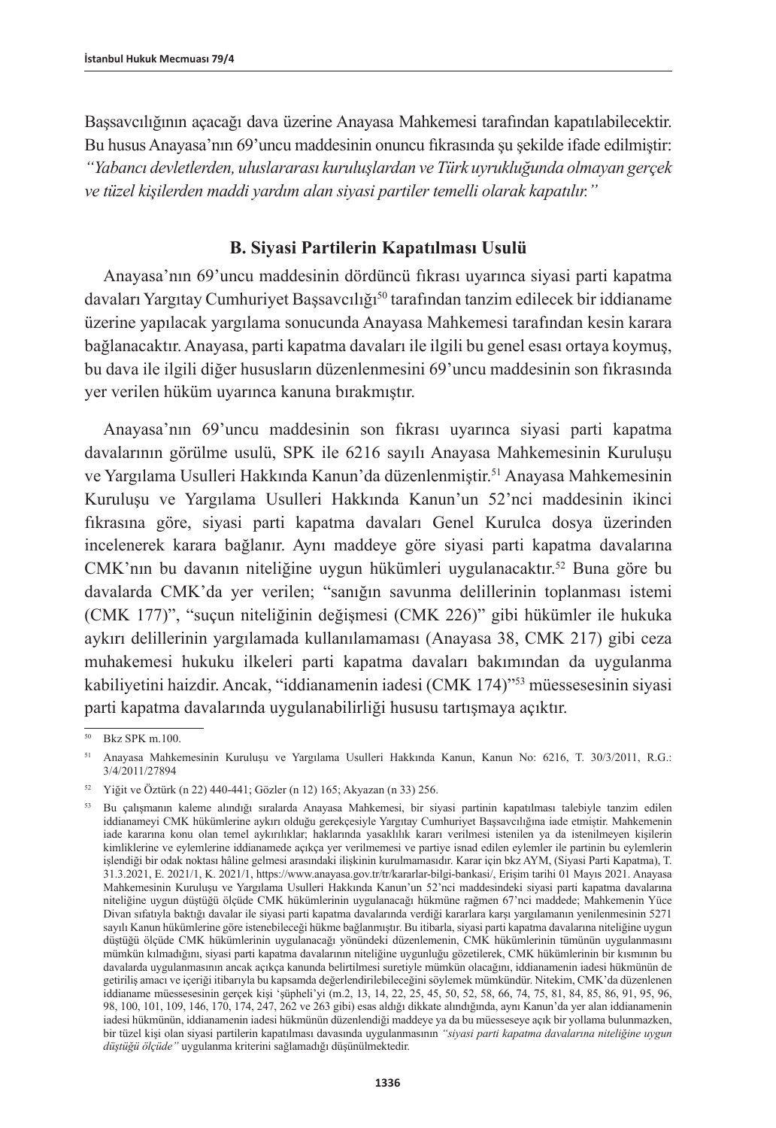Başsavcılığının açacağı dava üzerine Anayasa Mahkemesi tarafından kapatılabilecektir. Bu husus Anayasa'nın 69'uncu maddesinin onuncu fıkrasında şu şekilde ifade edilmiştir: *"Yabancı devletlerden, uluslararası kuruluşlardan ve Türk uyrukluğunda olmayan gerçek ve tüzel kişilerden maddi yardım alan siyasi partiler temelli olarak kapatılır."*

## **B. Siyasi Partilerin Kapatılması Usulü**

Anayasa'nın 69'uncu maddesinin dördüncü fıkrası uyarınca siyasi parti kapatma davaları Yargıtay Cumhuriyet Başsavcılığı50 tarafından tanzim edilecek bir iddianame üzerine yapılacak yargılama sonucunda Anayasa Mahkemesi tarafından kesin karara bağlanacaktır. Anayasa, parti kapatma davaları ile ilgili bu genel esası ortaya koymuş, bu dava ile ilgili diğer hususların düzenlenmesini 69'uncu maddesinin son fıkrasında yer verilen hüküm uyarınca kanuna bırakmıştır.

Anayasa'nın 69'uncu maddesinin son fıkrası uyarınca siyasi parti kapatma davalarının görülme usulü, SPK ile 6216 sayılı Anayasa Mahkemesinin Kuruluşu ve Yargılama Usulleri Hakkında Kanun'da düzenlenmiştir.51 Anayasa Mahkemesinin Kuruluşu ve Yargılama Usulleri Hakkında Kanun'un 52'nci maddesinin ikinci fıkrasına göre, siyasi parti kapatma davaları Genel Kurulca dosya üzerinden incelenerek karara bağlanır. Aynı maddeye göre siyasi parti kapatma davalarına CMK'nın bu davanın niteliğine uygun hükümleri uygulanacaktır.52 Buna göre bu davalarda CMK'da yer verilen; "sanığın savunma delillerinin toplanması istemi (CMK 177)", "suçun niteliğinin değişmesi (CMK 226)" gibi hükümler ile hukuka aykırı delillerinin yargılamada kullanılamaması (Anayasa 38, CMK 217) gibi ceza muhakemesi hukuku ilkeleri parti kapatma davaları bakımından da uygulanma kabiliyetini haizdir. Ancak, "iddianamenin iadesi (CMK 174)"53 müessesesinin siyasi parti kapatma davalarında uygulanabilirliği hususu tartışmaya açıktır.

<sup>50</sup> Bkz SPK m.100.

<sup>51</sup> Anayasa Mahkemesinin Kuruluşu ve Yargılama Usulleri Hakkında Kanun, Kanun No: 6216, T. 30/3/2011, R.G.: 3/4/2011/27894

<sup>52</sup> Yiğit ve Öztürk (n 22) 440-441; Gözler (n 12) 165; Akyazan (n 33) 256.

<sup>53</sup> Bu çalışmanın kaleme alındığı sıralarda Anayasa Mahkemesi, bir siyasi partinin kapatılması talebiyle tanzim edilen iddianameyi CMK hükümlerine aykırı olduğu gerekçesiyle Yargıtay Cumhuriyet Başsavcılığına iade etmiştir. Mahkemenin iade kararına konu olan temel aykırılıklar; haklarında yasaklılık kararı verilmesi istenilen ya da istenilmeyen kişilerin kimliklerine ve eylemlerine iddianamede açıkça yer verilmemesi ve partiye isnad edilen eylemler ile partinin bu eylemlerin işlendiği bir odak noktası hâline gelmesi arasındaki ilişkinin kurulmamasıdır. Karar için bkz AYM, (Siyasi Parti Kapatma), T. 31.3.2021, E. 2021/1, K. 2021/1, <https://www.anayasa.gov.tr/tr/kararlar-bilgi-bankasi/>, Erişim tarihi 01 Mayıs 2021. Anayasa Mahkemesinin Kuruluşu ve Yargılama Usulleri Hakkında Kanun'un 52'nci maddesindeki siyasi parti kapatma davalarına niteliğine uygun düştüğü ölçüde CMK hükümlerinin uygulanacağı hükmüne rağmen 67'nci maddede; Mahkemenin Yüce Divan sıfatıyla baktığı davalar ile siyasi parti kapatma davalarında verdiği kararlara karşı yargılamanın yenilenmesinin 5271 sayılı Kanun hükümlerine göre istenebileceği hükme bağlanmıştır. Bu itibarla, siyasi parti kapatma davalarına niteliğine uygun düştüğü ölçüde CMK hükümlerinin uygulanacağı yönündeki düzenlemenin, CMK hükümlerinin tümünün uygulanmasını mümkün kılmadığını, siyasi parti kapatma davalarının niteliğine uygunluğu gözetilerek, CMK hükümlerinin bir kısmının bu davalarda uygulanmasının ancak açıkça kanunda belirtilmesi suretiyle mümkün olacağını, iddianamenin iadesi hükmünün de getiriliş amacı ve içeriği itibarıyla bu kapsamda değerlendirilebileceğini söylemek mümkündür. Nitekim, CMK'da düzenlenen iddianame müessesesinin gerçek kişi 'şüpheli'yi (m.2, 13, 14, 22, 25, 45, 50, 52, 58, 66, 74, 75, 81, 84, 85, 86, 91, 95, 96, 98, 100, 101, 109, 146, 170, 174, 247, 262 ve 263 gibi) esas aldığı dikkate alındığında, aynı Kanun'da yer alan iddianamenin iadesi hükmünün, iddianamenin iadesi hükmünün düzenlendiği maddeye ya da bu müesseseye açık bir yollama bulunmazken, bir tüzel kişi olan siyasi partilerin kapatılması davasında uygulanmasının *"siyasi parti kapatma davalarına niteliğine uygun düştüğü ölçüde"* uygulanma kriterini sağlamadığı düşünülmektedir.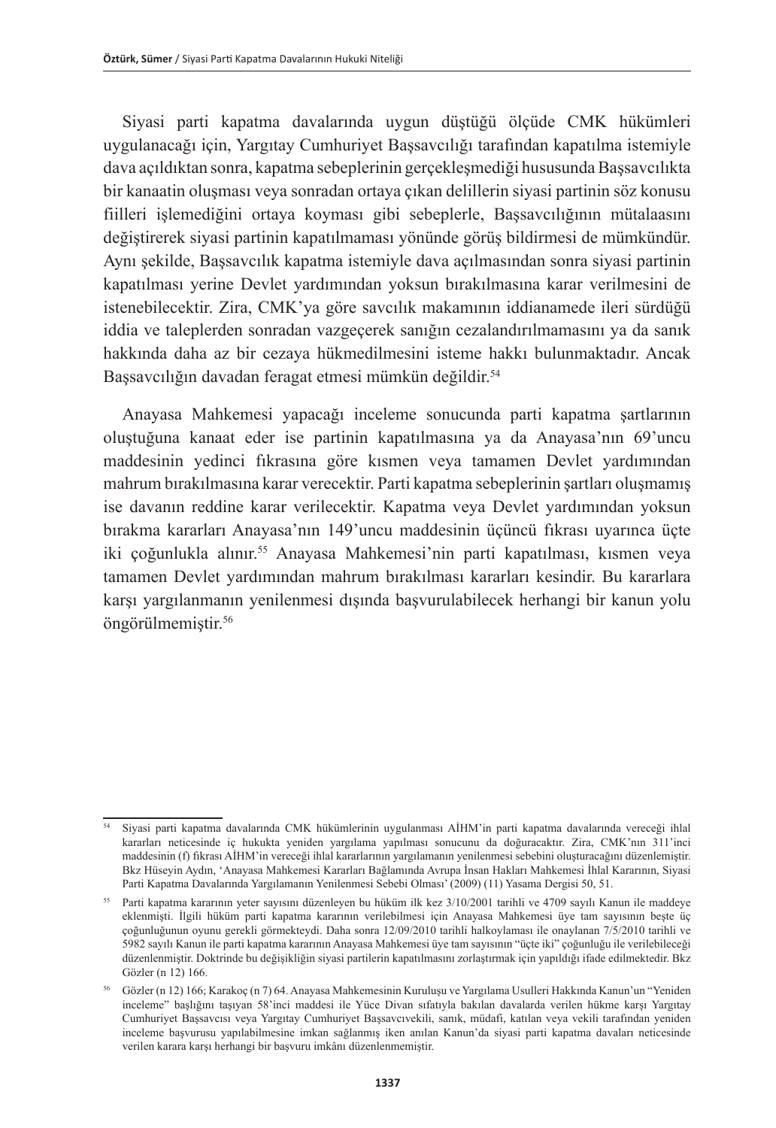Siyasi parti kapatma davalarında uygun düştüğü ölçüde CMK hükümleri uygulanacağı için, Yargıtay Cumhuriyet Başsavcılığı tarafından kapatılma istemiyle dava açıldıktan sonra, kapatma sebeplerinin gerçekleşmediği hususunda Başsavcılıkta bir kanaatin oluşması veya sonradan ortaya çıkan delillerin siyasi partinin söz konusu fiilleri işlemediğini ortaya koyması gibi sebeplerle, Başsavcılığının mütalaasını değiştirerek siyasi partinin kapatılmaması yönünde görüş bildirmesi de mümkündür. Aynı şekilde, Başsavcılık kapatma istemiyle dava açılmasından sonra siyasi partinin kapatılması yerine Devlet yardımından yoksun bırakılmasına karar verilmesini de istenebilecektir. Zira, CMK'ya göre savcılık makamının iddianamede ileri sürdüğü iddia ve taleplerden sonradan vazgeçerek sanığın cezalandırılmamasını ya da sanık hakkında daha az bir cezaya hükmedilmesini isteme hakkı bulunmaktadır. Ancak Başsavcılığın davadan feragat etmesi mümkün değildir.<sup>54</sup>

Anayasa Mahkemesi yapacağı inceleme sonucunda parti kapatma şartlarının oluştuğuna kanaat eder ise partinin kapatılmasına ya da Anayasa'nın 69'uncu maddesinin yedinci fıkrasına göre kısmen veya tamamen Devlet yardımından mahrum bırakılmasına karar verecektir. Parti kapatma sebeplerinin şartları oluşmamış ise davanın reddine karar verilecektir. Kapatma veya Devlet yardımından yoksun bırakma kararları Anayasa'nın 149'uncu maddesinin üçüncü fıkrası uyarınca üçte iki çoğunlukla alınır.<sup>55</sup> Anayasa Mahkemesi'nin parti kapatılması, kısmen veya tamamen Devlet yardımından mahrum bırakılması kararları kesindir. Bu kararlara karşı yargılanmanın yenilenmesi dışında başvurulabilecek herhangi bir kanun yolu öngörülmemiştir.56

<sup>54</sup> Siyasi parti kapatma davalarında CMK hükümlerinin uygulanması AİHM'in parti kapatma davalarında vereceği ihlal kararları neticesinde iç hukukta yeniden yargılama yapılması sonucunu da doğuracaktır. Zira, CMK'nın 311'inci maddesinin (f) fıkrası AİHM'in vereceği ihlal kararlarının yargılamanın yenilenmesi sebebini oluşturacağını düzenlemiştir. Bkz Hüseyin Aydın, 'Anayasa Mahkemesi Kararları Bağlamında Avrupa İnsan Hakları Mahkemesi İhlal Kararının, Siyasi Parti Kapatma Davalarında Yargılamanın Yenilenmesi Sebebi Olması' (2009) (11) Yasama Dergisi 50, 51.

<sup>55</sup> Parti kapatma kararının yeter sayısını düzenleyen bu hüküm ilk kez 3/10/2001 tarihli ve 4709 sayılı Kanun ile maddeye eklenmişti. İlgili hüküm parti kapatma kararının verilebilmesi için Anayasa Mahkemesi üye tam sayısının beşte üç çoğunluğunun oyunu gerekli görmekteydi. Daha sonra 12/09/2010 tarihli halkoylaması ile onaylanan 7/5/2010 tarihli ve 5982 sayılı Kanun ile parti kapatma kararının Anayasa Mahkemesi üye tam sayısının "üçte iki" çoğunluğu ile verilebileceği düzenlenmiştir. Doktrinde bu değişikliğin siyasi partilerin kapatılmasını zorlaştırmak için yapıldığı ifade edilmektedir. Bkz Gözler (n 12) 166.

<sup>56</sup> Gözler (n 12) 166; Karakoç (n 7) 64. Anayasa Mahkemesinin Kuruluşu ve Yargılama Usulleri Hakkında Kanun'un "Yeniden inceleme" başlığını taşıyan 58'inci maddesi ile Yüce Divan sıfatıyla bakılan davalarda verilen hükme karşı Yargıtay Cumhuriyet Başsavcısı veya Yargıtay Cumhuriyet Başsavcıvekili, sanık, müdafi, katılan veya vekili tarafından yeniden inceleme başvurusu yapılabilmesine imkan sağlanmış iken anılan Kanun'da siyasi parti kapatma davaları neticesinde verilen karara karşı herhangi bir başvuru imkânı düzenlenmemiştir.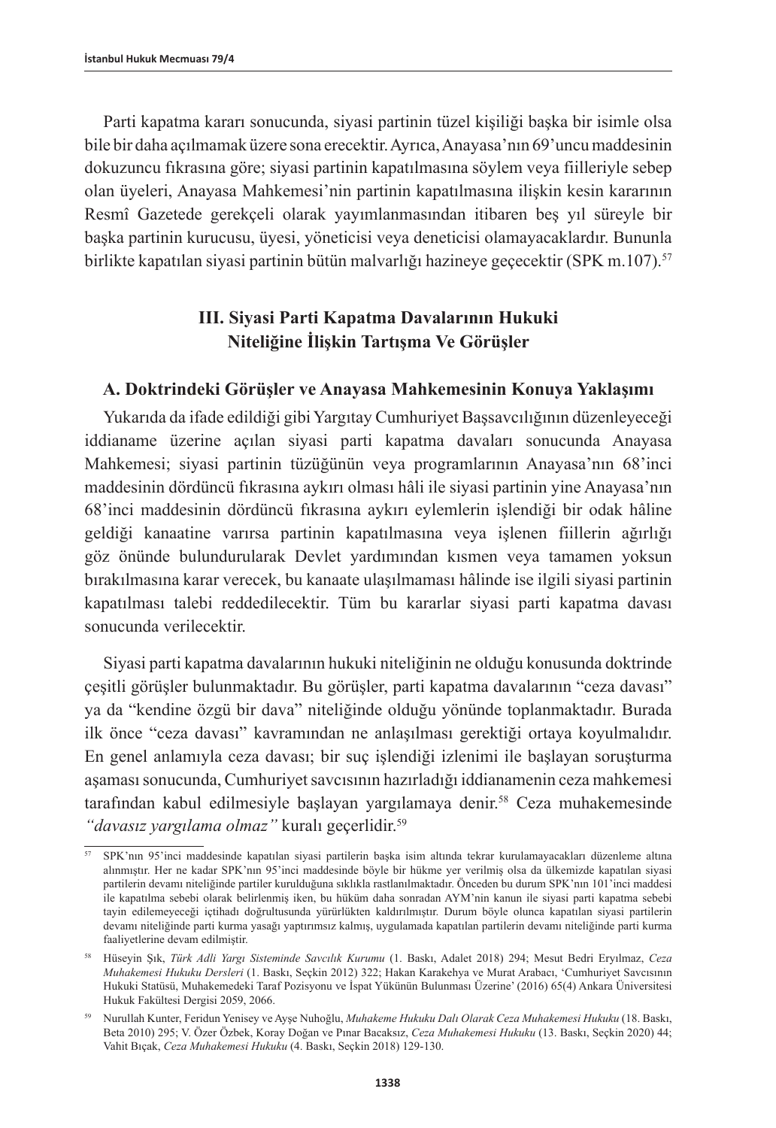Parti kapatma kararı sonucunda, siyasi partinin tüzel kişiliği başka bir isimle olsa bile bir daha açılmamak üzere sona erecektir. Ayrıca, Anayasa'nın 69'uncu maddesinin dokuzuncu fıkrasına göre; siyasi partinin kapatılmasına söylem veya fiilleriyle sebep olan üyeleri, Anayasa Mahkemesi'nin partinin kapatılmasına ilişkin kesin kararının Resmî Gazetede gerekçeli olarak yayımlanmasından itibaren beş yıl süreyle bir başka partinin kurucusu, üyesi, yöneticisi veya deneticisi olamayacaklardır. Bununla birlikte kapatılan siyasi partinin bütün malvarlığı hazineye geçecektir (SPK m.107).<sup>57</sup>

## **III. Siyasi Parti Kapatma Davalarının Hukuki Niteliğine İlişkin Tartışma Ve Görüşler**

## **A. Doktrindeki Görüşler ve Anayasa Mahkemesinin Konuya Yaklaşımı**

Yukarıda da ifade edildiği gibi Yargıtay Cumhuriyet Başsavcılığının düzenleyeceği iddianame üzerine açılan siyasi parti kapatma davaları sonucunda Anayasa Mahkemesi; siyasi partinin tüzüğünün veya programlarının Anayasa'nın 68'inci maddesinin dördüncü fıkrasına aykırı olması hâli ile siyasi partinin yine Anayasa'nın 68'inci maddesinin dördüncü fıkrasına aykırı eylemlerin işlendiği bir odak hâline geldiği kanaatine varırsa partinin kapatılmasına veya işlenen fiillerin ağırlığı göz önünde bulundurularak Devlet yardımından kısmen veya tamamen yoksun bırakılmasına karar verecek, bu kanaate ulaşılmaması hâlinde ise ilgili siyasi partinin kapatılması talebi reddedilecektir. Tüm bu kararlar siyasi parti kapatma davası sonucunda verilecektir.

Siyasi parti kapatma davalarının hukuki niteliğinin ne olduğu konusunda doktrinde çeşitli görüşler bulunmaktadır. Bu görüşler, parti kapatma davalarının "ceza davası" ya da "kendine özgü bir dava" niteliğinde olduğu yönünde toplanmaktadır. Burada ilk önce "ceza davası" kavramından ne anlaşılması gerektiği ortaya koyulmalıdır. En genel anlamıyla ceza davası; bir suç işlendiği izlenimi ile başlayan soruşturma aşaması sonucunda, Cumhuriyet savcısının hazırladığı iddianamenin ceza mahkemesi tarafından kabul edilmesiyle başlayan yargılamaya denir.<sup>58</sup> Ceza muhakemesinde *"davasız yargılama olmaz"* kuralı geçerlidir.59

<sup>57</sup> SPK'nın 95'inci maddesinde kapatılan siyasi partilerin başka isim altında tekrar kurulamayacakları düzenleme altına alınmıştır. Her ne kadar SPK'nın 95'inci maddesinde böyle bir hükme yer verilmiş olsa da ülkemizde kapatılan siyasi partilerin devamı niteliğinde partiler kurulduğuna sıklıkla rastlanılmaktadır. Önceden bu durum SPK'nın 101'inci maddesi ile kapatılma sebebi olarak belirlenmiş iken, bu hüküm daha sonradan AYM'nin kanun ile siyasi parti kapatma sebebi tayin edilemeyeceği içtihadı doğrultusunda yürürlükten kaldırılmıştır. Durum böyle olunca kapatılan siyasi partilerin devamı niteliğinde parti kurma yasağı yaptırımsız kalmış, uygulamada kapatılan partilerin devamı niteliğinde parti kurma faaliyetlerine devam edilmiştir.

<sup>58</sup> Hüseyin Şık, *Türk Adli Yargı Sisteminde Savcılık Kurumu* (1. Baskı, Adalet 2018) 294; Mesut Bedri Eryılmaz, *Ceza Muhakemesi Hukuku Dersleri* (1. Baskı, Seçkin 2012) 322; Hakan Karakehya ve Murat Arabacı, 'Cumhuriyet Savcısının Hukuki Statüsü, Muhakemedeki Taraf Pozisyonu ve İspat Yükünün Bulunması Üzerine' (2016) 65(4) Ankara Üniversitesi Hukuk Fakültesi Dergisi 2059, 2066.

<sup>59</sup> Nurullah Kunter, Feridun Yenisey ve Ayşe Nuhoğlu, *Muhakeme Hukuku Dalı Olarak Ceza Muhakemesi Hukuku* (18. Baskı, Beta 2010) 295; V. Özer Özbek, Koray Doğan ve Pınar Bacaksız, *Ceza Muhakemesi Hukuku* (13. Baskı, Seçkin 2020) 44; Vahit Bıçak, *Ceza Muhakemesi Hukuku* (4. Baskı, Seçkin 2018) 129-130.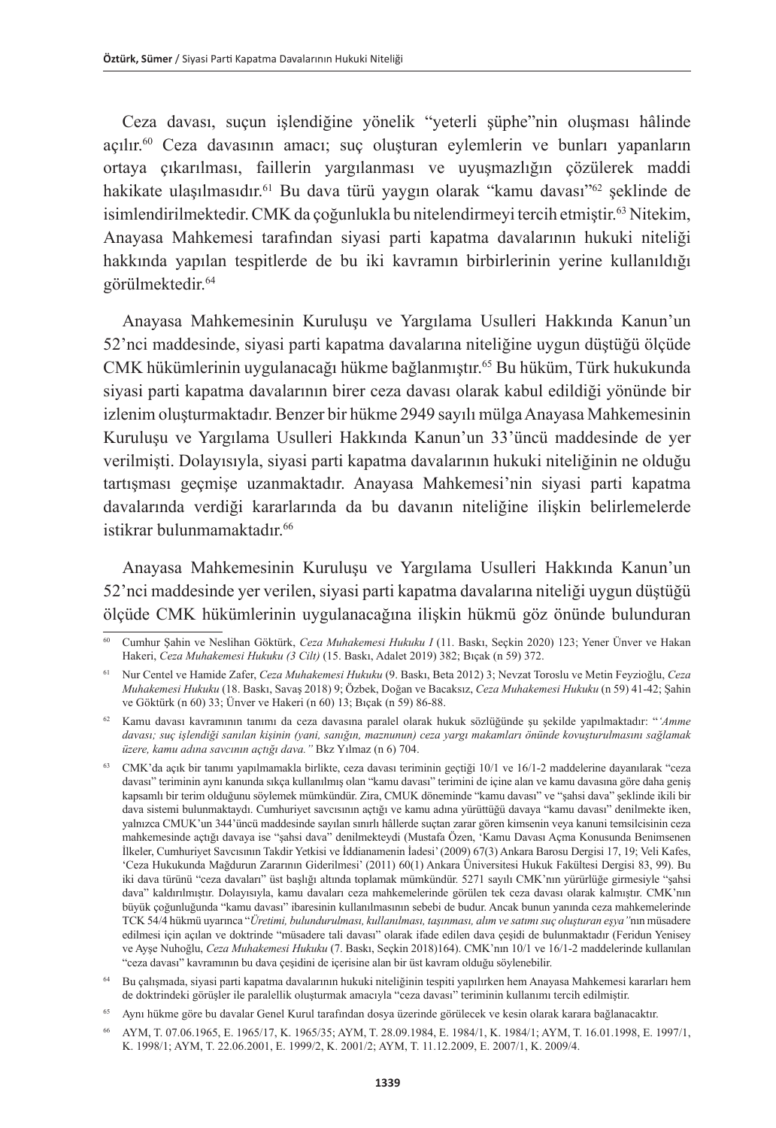Ceza davası, suçun işlendiğine yönelik "yeterli şüphe"nin oluşması hâlinde açılır.60 Ceza davasının amacı; suç oluşturan eylemlerin ve bunları yapanların ortaya çıkarılması, faillerin yargılanması ve uyuşmazlığın çözülerek maddi hakikate ulaşılmasıdır.<sup>61</sup> Bu dava türü yaygın olarak "kamu davası"<sup>62</sup> şeklinde de isimlendirilmektedir. CMK da çoğunlukla bu nitelendirmeyi tercih etmiştir.63 Nitekim, Anayasa Mahkemesi tarafından siyasi parti kapatma davalarının hukuki niteliği hakkında yapılan tespitlerde de bu iki kavramın birbirlerinin yerine kullanıldığı görülmektedir.64

Anayasa Mahkemesinin Kuruluşu ve Yargılama Usulleri Hakkında Kanun'un 52'nci maddesinde, siyasi parti kapatma davalarına niteliğine uygun düştüğü ölçüde CMK hükümlerinin uygulanacağı hükme bağlanmıştır.<sup>65</sup> Bu hüküm, Türk hukukunda siyasi parti kapatma davalarının birer ceza davası olarak kabul edildiği yönünde bir izlenim oluşturmaktadır. Benzer bir hükme 2949 sayılı mülga Anayasa Mahkemesinin Kuruluşu ve Yargılama Usulleri Hakkında Kanun'un 33'üncü maddesinde de yer verilmişti. Dolayısıyla, siyasi parti kapatma davalarının hukuki niteliğinin ne olduğu tartışması geçmişe uzanmaktadır. Anayasa Mahkemesi'nin siyasi parti kapatma davalarında verdiği kararlarında da bu davanın niteliğine ilişkin belirlemelerde istikrar bulunmamaktadır.<sup>66</sup>

Anayasa Mahkemesinin Kuruluşu ve Yargılama Usulleri Hakkında Kanun'un 52'nci maddesinde yer verilen, siyasi parti kapatma davalarına niteliği uygun düştüğü ölçüde CMK hükümlerinin uygulanacağına ilişkin hükmü göz önünde bulunduran

<sup>60</sup> Cumhur Şahin ve Neslihan Göktürk, *Ceza Muhakemesi Hukuku I* (11. Baskı, Seçkin 2020) 123; Yener Ünver ve Hakan Hakeri, *Ceza Muhakemesi Hukuku (3 Cilt)* (15. Baskı, Adalet 2019) 382; Bıçak (n 59) 372.

<sup>61</sup> Nur Centel ve Hamide Zafer, *Ceza Muhakemesi Hukuku* (9. Baskı, Beta 2012) 3; Nevzat Toroslu ve Metin Feyzioğlu, *Ceza Muhakemesi Hukuku* (18. Baskı, Savaş 2018) 9; Özbek, Doğan ve Bacaksız, *Ceza Muhakemesi Hukuku* (n 59) 41-42; Şahin ve Göktürk (n 60) 33; Ünver ve Hakeri (n 60) 13; Bıçak (n 59) 86-88.

<sup>62</sup> Kamu davası kavramının tanımı da ceza davasına paralel olarak hukuk sözlüğünde şu şekilde yapılmaktadır: "*'Amme davası; suç işlendiği sanılan kişinin (yani, sanığın, maznunun) ceza yargı makamları önünde kovuşturulmasını sağlamak üzere, kamu adına savcının açtığı dava."* Bkz Yılmaz (n 6) 704.

<sup>63</sup> CMK'da açık bir tanımı yapılmamakla birlikte, ceza davası teriminin geçtiği 10/1 ve 16/1-2 maddelerine dayanılarak "ceza davası" teriminin aynı kanunda sıkça kullanılmış olan "kamu davası" terimini de içine alan ve kamu davasına göre daha geniş kapsamlı bir terim olduğunu söylemek mümkündür. Zira, CMUK döneminde "kamu davası" ve "şahsi dava" şeklinde ikili bir dava sistemi bulunmaktaydı. Cumhuriyet savcısının açtığı ve kamu adına yürüttüğü davaya "kamu davası" denilmekte iken, yalnızca CMUK'un 344'üncü maddesinde sayılan sınırlı hâllerde suçtan zarar gören kimsenin veya kanuni temsilcisinin ceza mahkemesinde açtığı davaya ise "şahsi dava" denilmekteydi (Mustafa Özen, 'Kamu Davası Açma Konusunda Benimsenen İlkeler, Cumhuriyet Savcısının Takdir Yetkisi ve İddianamenin İadesi' (2009) 67(3) Ankara Barosu Dergisi 17, 19; Veli Kafes, 'Ceza Hukukunda Mağdurun Zararının Giderilmesi' (2011) 60(1) Ankara Üniversitesi Hukuk Fakültesi Dergisi 83, 99). Bu iki dava türünü "ceza davaları" üst başlığı altında toplamak mümkündür. 5271 sayılı CMK'nın yürürlüğe girmesiyle "şahsi dava" kaldırılmıştır. Dolayısıyla, kamu davaları ceza mahkemelerinde görülen tek ceza davası olarak kalmıştır. CMK'nın büyük çoğunluğunda "kamu davası" ibaresinin kullanılmasının sebebi de budur. Ancak bunun yanında ceza mahkemelerinde TCK 54/4 hükmü uyarınca "*Üretimi, bulundurulması, kullanılması, taşınması, alım ve satımı suç oluşturan eşya"*nın müsadere edilmesi için açılan ve doktrinde "müsadere tali davası" olarak ifade edilen dava çeşidi de bulunmaktadır (Feridun Yenisey ve Ayşe Nuhoğlu, *Ceza Muhakemesi Hukuku* (7. Baskı, Seçkin 2018)164). CMK'nın 10/1 ve 16/1-2 maddelerinde kullanılan "ceza davası" kavramının bu dava çeşidini de içerisine alan bir üst kavram olduğu söylenebilir.

<sup>64</sup> Bu çalışmada, siyasi parti kapatma davalarının hukuki niteliğinin tespiti yapılırken hem Anayasa Mahkemesi kararları hem de doktrindeki görüşler ile paralellik oluşturmak amacıyla "ceza davası" teriminin kullanımı tercih edilmiştir.

<sup>65</sup> Aynı hükme göre bu davalar Genel Kurul tarafından dosya üzerinde görülecek ve kesin olarak karara bağlanacaktır.

<sup>66</sup> AYM, T. 07.06.1965, E. 1965/17, K. 1965/35; AYM, T. 28.09.1984, E. 1984/1, K. 1984/1; AYM, T. 16.01.1998, E. 1997/1, K. 1998/1; AYM, T. 22.06.2001, E. 1999/2, K. 2001/2; AYM, T. 11.12.2009, E. 2007/1, K. 2009/4.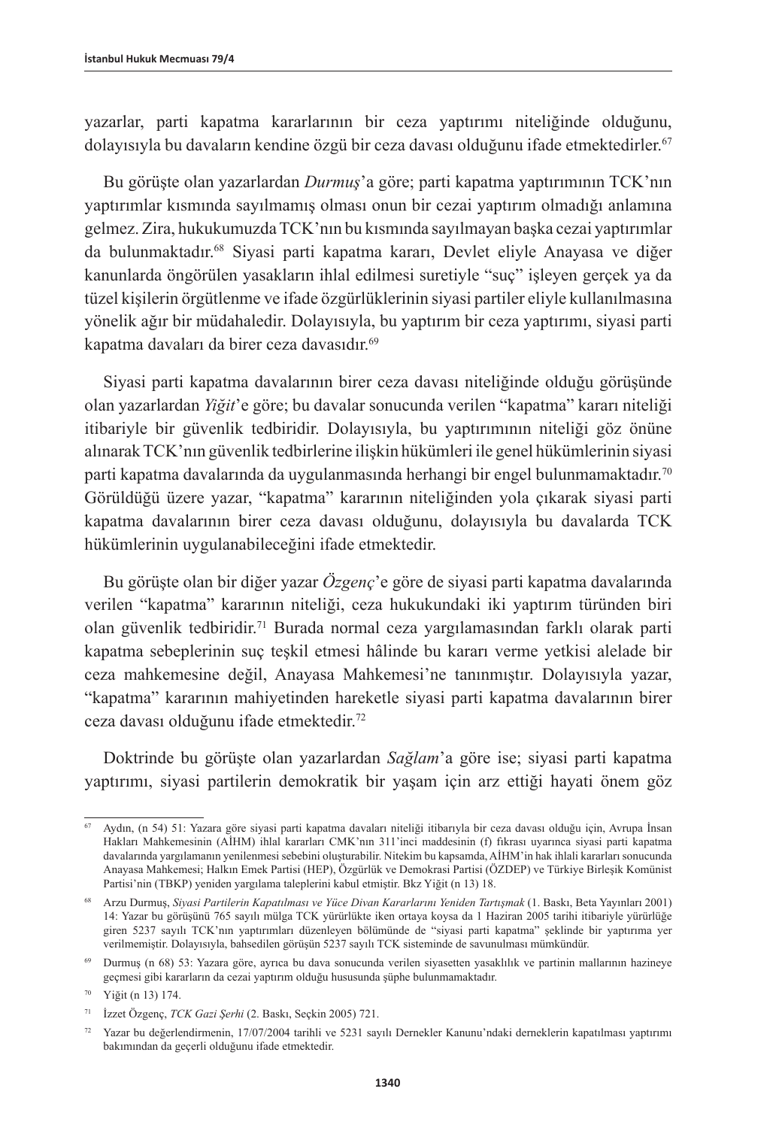yazarlar, parti kapatma kararlarının bir ceza yaptırımı niteliğinde olduğunu, dolayısıyla bu davaların kendine özgü bir ceza davası olduğunu ifade etmektedirler.<sup>67</sup>

Bu görüşte olan yazarlardan *Durmuş*'a göre; parti kapatma yaptırımının TCK'nın yaptırımlar kısmında sayılmamış olması onun bir cezai yaptırım olmadığı anlamına gelmez. Zira, hukukumuzda TCK'nın bu kısmında sayılmayan başka cezai yaptırımlar da bulunmaktadır.68 Siyasi parti kapatma kararı, Devlet eliyle Anayasa ve diğer kanunlarda öngörülen yasakların ihlal edilmesi suretiyle "suç" işleyen gerçek ya da tüzel kişilerin örgütlenme ve ifade özgürlüklerinin siyasi partiler eliyle kullanılmasına yönelik ağır bir müdahaledir. Dolayısıyla, bu yaptırım bir ceza yaptırımı, siyasi parti kapatma davaları da birer ceza davasıdır.<sup>69</sup>

Siyasi parti kapatma davalarının birer ceza davası niteliğinde olduğu görüşünde olan yazarlardan *Yiğit*'e göre; bu davalar sonucunda verilen "kapatma" kararı niteliği itibariyle bir güvenlik tedbiridir. Dolayısıyla, bu yaptırımının niteliği göz önüne alınarak TCK'nın güvenlik tedbirlerine ilişkin hükümleri ile genel hükümlerinin siyasi parti kapatma davalarında da uygulanmasında herhangi bir engel bulunmamaktadır.70 Görüldüğü üzere yazar, "kapatma" kararının niteliğinden yola çıkarak siyasi parti kapatma davalarının birer ceza davası olduğunu, dolayısıyla bu davalarda TCK hükümlerinin uygulanabileceğini ifade etmektedir.

Bu görüşte olan bir diğer yazar *Özgenç*'e göre de siyasi parti kapatma davalarında verilen "kapatma" kararının niteliği, ceza hukukundaki iki yaptırım türünden biri olan güvenlik tedbiridir.<sup>71</sup> Burada normal ceza yargılamasından farklı olarak parti kapatma sebeplerinin suç teşkil etmesi hâlinde bu kararı verme yetkisi alelade bir ceza mahkemesine değil, Anayasa Mahkemesi'ne tanınmıştır. Dolayısıyla yazar, "kapatma" kararının mahiyetinden hareketle siyasi parti kapatma davalarının birer ceza davası olduğunu ifade etmektedir.72

Doktrinde bu görüşte olan yazarlardan *Sağlam*'a göre ise; siyasi parti kapatma yaptırımı, siyasi partilerin demokratik bir yaşam için arz ettiği hayati önem göz

<sup>67</sup> Aydın, (n 54) 51: Yazara göre siyasi parti kapatma davaları niteliği itibarıyla bir ceza davası olduğu için, Avrupa İnsan Hakları Mahkemesinin (AİHM) ihlal kararları CMK'nın 311'inci maddesinin (f) fıkrası uyarınca siyasi parti kapatma davalarında yargılamanın yenilenmesi sebebini oluşturabilir. Nitekim bu kapsamda, AİHM'in hak ihlali kararları sonucunda Anayasa Mahkemesi; Halkın Emek Partisi (HEP), Özgürlük ve Demokrasi Partisi (ÖZDEP) ve Türkiye Birleşik Komünist Partisi'nin (TBKP) yeniden yargılama taleplerini kabul etmiştir. Bkz Yiğit (n 13) 18.

<sup>68</sup> Arzu Durmuş, *Siyasi Partilerin Kapatılması ve Yüce Divan Kararlarını Yeniden Tartışmak* (1. Baskı, Beta Yayınları 2001) 14: Yazar bu görüşünü 765 sayılı mülga TCK yürürlükte iken ortaya koysa da 1 Haziran 2005 tarihi itibariyle yürürlüğe giren 5237 sayılı TCK'nın yaptırımları düzenleyen bölümünde de "siyasi parti kapatma" şeklinde bir yaptırıma yer verilmemiştir. Dolayısıyla, bahsedilen görüşün 5237 sayılı TCK sisteminde de savunulması mümkündür.

<sup>69</sup> Durmuş (n 68) 53: Yazara göre, ayrıca bu dava sonucunda verilen siyasetten yasaklılık ve partinin mallarının hazineye geçmesi gibi kararların da cezai yaptırım olduğu hususunda şüphe bulunmamaktadır.

<sup>70</sup> Yiğit (n 13) 174.

<sup>71</sup> İzzet Özgenç, *TCK Gazi Şerhi* (2. Baskı, Seçkin 2005) 721.

<sup>72</sup> Yazar bu değerlendirmenin, 17/07/2004 tarihli ve 5231 sayılı Dernekler Kanunu'ndaki derneklerin kapatılması yaptırımı bakımından da geçerli olduğunu ifade etmektedir.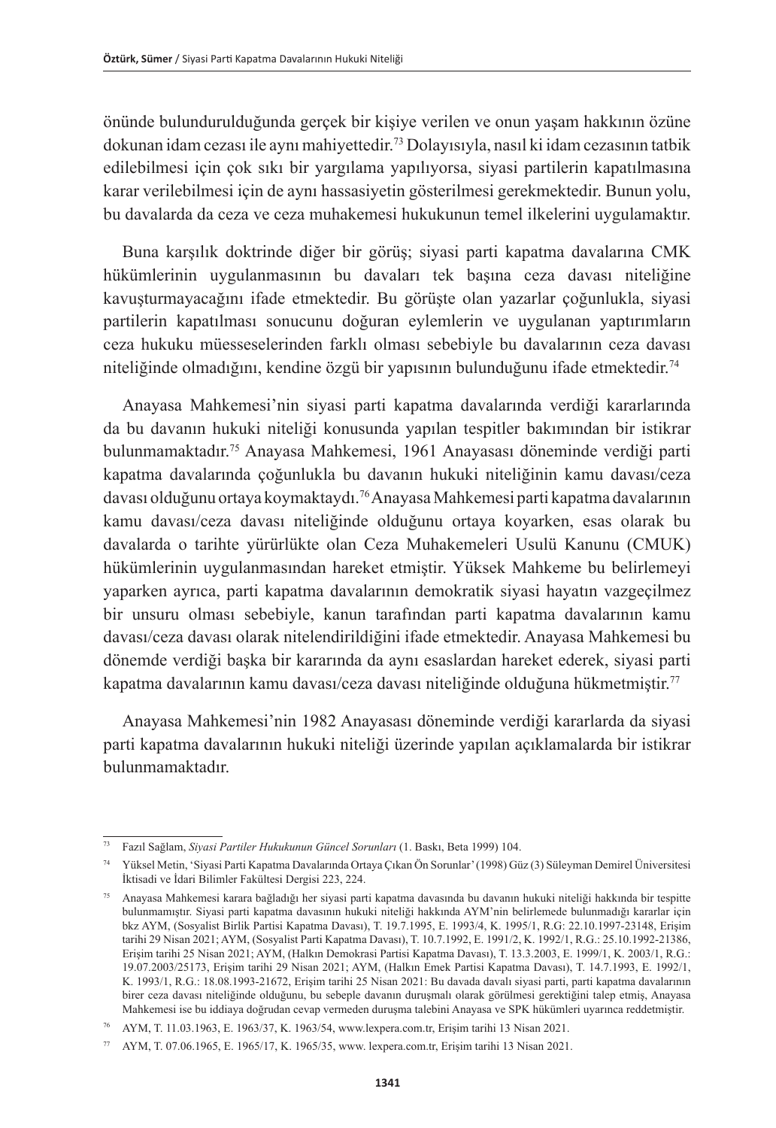önünde bulundurulduğunda gerçek bir kişiye verilen ve onun yaşam hakkının özüne dokunan idam cezası ile aynı mahiyettedir.73 Dolayısıyla, nasıl ki idam cezasının tatbik edilebilmesi için çok sıkı bir yargılama yapılıyorsa, siyasi partilerin kapatılmasına karar verilebilmesi için de aynı hassasiyetin gösterilmesi gerekmektedir. Bunun yolu, bu davalarda da ceza ve ceza muhakemesi hukukunun temel ilkelerini uygulamaktır.

Buna karşılık doktrinde diğer bir görüş; siyasi parti kapatma davalarına CMK hükümlerinin uygulanmasının bu davaları tek başına ceza davası niteliğine kavuşturmayacağını ifade etmektedir. Bu görüşte olan yazarlar çoğunlukla, siyasi partilerin kapatılması sonucunu doğuran eylemlerin ve uygulanan yaptırımların ceza hukuku müesseselerinden farklı olması sebebiyle bu davalarının ceza davası niteliğinde olmadığını, kendine özgü bir yapısının bulunduğunu ifade etmektedir. 74

Anayasa Mahkemesi'nin siyasi parti kapatma davalarında verdiği kararlarında da bu davanın hukuki niteliği konusunda yapılan tespitler bakımından bir istikrar bulunmamaktadır.75 Anayasa Mahkemesi, 1961 Anayasası döneminde verdiği parti kapatma davalarında çoğunlukla bu davanın hukuki niteliğinin kamu davası/ceza davası olduğunu ortaya koymaktaydı.76 Anayasa Mahkemesi parti kapatma davalarının kamu davası/ceza davası niteliğinde olduğunu ortaya koyarken, esas olarak bu davalarda o tarihte yürürlükte olan Ceza Muhakemeleri Usulü Kanunu (CMUK) hükümlerinin uygulanmasından hareket etmiştir. Yüksek Mahkeme bu belirlemeyi yaparken ayrıca, parti kapatma davalarının demokratik siyasi hayatın vazgeçilmez bir unsuru olması sebebiyle, kanun tarafından parti kapatma davalarının kamu davası/ceza davası olarak nitelendirildiğini ifade etmektedir. Anayasa Mahkemesi bu dönemde verdiği başka bir kararında da aynı esaslardan hareket ederek, siyasi parti kapatma davalarının kamu davası/ceza davası niteliğinde olduğuna hükmetmiştir. 77

Anayasa Mahkemesi'nin 1982 Anayasası döneminde verdiği kararlarda da siyasi parti kapatma davalarının hukuki niteliği üzerinde yapılan açıklamalarda bir istikrar bulunmamaktadır.

<sup>73</sup> Fazıl Sağlam, *Siyasi Partiler Hukukunun Güncel Sorunları* (1. Baskı, Beta 1999) 104.

<sup>74</sup> Yüksel Metin, 'Siyasi Parti Kapatma Davalarında Ortaya Çıkan Ön Sorunlar' (1998) Güz (3) Süleyman Demirel Üniversitesi İktisadi ve İdari Bilimler Fakültesi Dergisi 223, 224.

<sup>75</sup> Anayasa Mahkemesi karara bağladığı her siyasi parti kapatma davasında bu davanın hukuki niteliği hakkında bir tespitte bulunmamıştır. Siyasi parti kapatma davasının hukuki niteliği hakkında AYM'nin belirlemede bulunmadığı kararlar için bkz AYM, (Sosyalist Birlik Partisi Kapatma Davası), T. 19.7.1995, E. 1993/4, K. 1995/1, R.G: 22.10.1997-23148, Erişim tarihi 29 Nisan 2021; AYM, (Sosyalist Parti Kapatma Davası), T. 10.7.1992, E. 1991/2, K. 1992/1, R.G.: 25.10.1992-21386, Erişim tarihi 25 Nisan 2021; AYM, (Halkın Demokrasi Partisi Kapatma Davası), T. 13.3.2003, E. 1999/1, K. 2003/1, R.G.: 19.07.2003/25173, Erişim tarihi 29 Nisan 2021; AYM, (Halkın Emek Partisi Kapatma Davası), T. 14.7.1993, E. 1992/1, K. 1993/1, R.G.: 18.08.1993-21672, Erişim tarihi 25 Nisan 2021: Bu davada davalı siyasi parti, parti kapatma davalarının birer ceza davası niteliğinde olduğunu, bu sebeple davanın duruşmalı olarak görülmesi gerektiğini talep etmiş, Anayasa Mahkemesi ise bu iddiaya doğrudan cevap vermeden duruşma talebini Anayasa ve SPK hükümleri uyarınca reddetmiştir.

<sup>76</sup> AYM, T. 11.03.1963, E. 1963/37, K. 1963/54, [www.lexpera.com.tr,](http://www.lexpera.com.tr) Erişim tarihi 13 Nisan 2021.

<sup>77</sup> AYM, T. 07.06.1965, E. 1965/17, K. 1965/35, www. lexpera.com.tr, Erişim tarihi 13 Nisan 2021.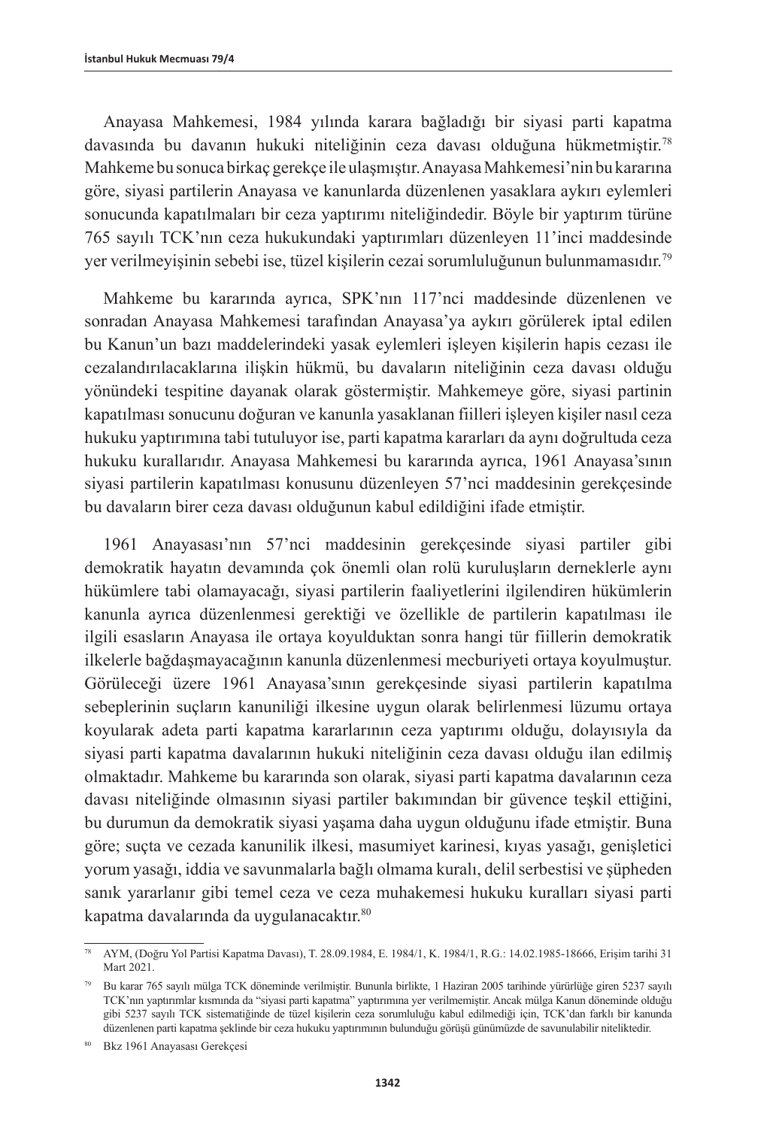Anayasa Mahkemesi, 1984 yılında karara bağladığı bir siyasi parti kapatma davasında bu davanın hukuki niteliğinin ceza davası olduğuna hükmetmiştir.78 Mahkeme bu sonuca birkaç gerekçe ile ulaşmıştır. Anayasa Mahkemesi'nin bu kararına göre, siyasi partilerin Anayasa ve kanunlarda düzenlenen yasaklara aykırı eylemleri sonucunda kapatılmaları bir ceza yaptırımı niteliğindedir. Böyle bir yaptırım türüne 765 sayılı TCK'nın ceza hukukundaki yaptırımları düzenleyen 11'inci maddesinde yer verilmeyişinin sebebi ise, tüzel kişilerin cezai sorumluluğunun bulunmamasıdır.79

Mahkeme bu kararında ayrıca, SPK'nın 117'nci maddesinde düzenlenen ve sonradan Anayasa Mahkemesi tarafından Anayasa'ya aykırı görülerek iptal edilen bu Kanun'un bazı maddelerindeki yasak eylemleri işleyen kişilerin hapis cezası ile cezalandırılacaklarına ilişkin hükmü, bu davaların niteliğinin ceza davası olduğu yönündeki tespitine dayanak olarak göstermiştir. Mahkemeye göre, siyasi partinin kapatılması sonucunu doğuran ve kanunla yasaklanan fiilleri işleyen kişiler nasıl ceza hukuku yaptırımına tabi tutuluyor ise, parti kapatma kararları da aynı doğrultuda ceza hukuku kurallarıdır. Anayasa Mahkemesi bu kararında ayrıca, 1961 Anayasa'sının siyasi partilerin kapatılması konusunu düzenleyen 57'nci maddesinin gerekçesinde bu davaların birer ceza davası olduğunun kabul edildiğini ifade etmiştir.

1961 Anayasası'nın 57'nci maddesinin gerekçesinde siyasi partiler gibi demokratik hayatın devamında çok önemli olan rolü kuruluşların derneklerle aynı hükümlere tabi olamayacağı, siyasi partilerin faaliyetlerini ilgilendiren hükümlerin kanunla ayrıca düzenlenmesi gerektiği ve özellikle de partilerin kapatılması ile ilgili esasların Anayasa ile ortaya koyulduktan sonra hangi tür fiillerin demokratik ilkelerle bağdaşmayacağının kanunla düzenlenmesi mecburiyeti ortaya koyulmuştur. Görüleceği üzere 1961 Anayasa'sının gerekçesinde siyasi partilerin kapatılma sebeplerinin suçların kanuniliği ilkesine uygun olarak belirlenmesi lüzumu ortaya koyularak adeta parti kapatma kararlarının ceza yaptırımı olduğu, dolayısıyla da siyasi parti kapatma davalarının hukuki niteliğinin ceza davası olduğu ilan edilmiş olmaktadır. Mahkeme bu kararında son olarak, siyasi parti kapatma davalarının ceza davası niteliğinde olmasının siyasi partiler bakımından bir güvence teşkil ettiğini, bu durumun da demokratik siyasi yaşama daha uygun olduğunu ifade etmiştir. Buna göre; suçta ve cezada kanunilik ilkesi, masumiyet karinesi, kıyas yasağı, genişletici yorum yasağı, iddia ve savunmalarla bağlı olmama kuralı, delil serbestisi ve şüpheden sanık yararlanır gibi temel ceza ve ceza muhakemesi hukuku kuralları siyasi parti kapatma davalarında da uygulanacaktır.<sup>80</sup>

<sup>78</sup> AYM, (Doğru Yol Partisi Kapatma Davası), T. 28.09.1984, E. 1984/1, K. 1984/1, R.G.: 14.02.1985-18666, Erişim tarihi 31 Mart 2021.

<sup>79</sup> Bu karar 765 sayılı mülga TCK döneminde verilmiştir. Bununla birlikte, 1 Haziran 2005 tarihinde yürürlüğe giren 5237 sayılı TCK'nın yaptırımlar kısmında da "siyasi parti kapatma" yaptırımına yer verilmemiştir. Ancak mülga Kanun döneminde olduğu gibi 5237 sayılı TCK sistematiğinde de tüzel kişilerin ceza sorumluluğu kabul edilmediği için, TCK'dan farklı bir kanunda düzenlenen parti kapatma şeklinde bir ceza hukuku yaptırımının bulunduğu görüşü günümüzde de savunulabilir niteliktedir.

<sup>80</sup> Bkz 1961 Anayasası Gerekçesi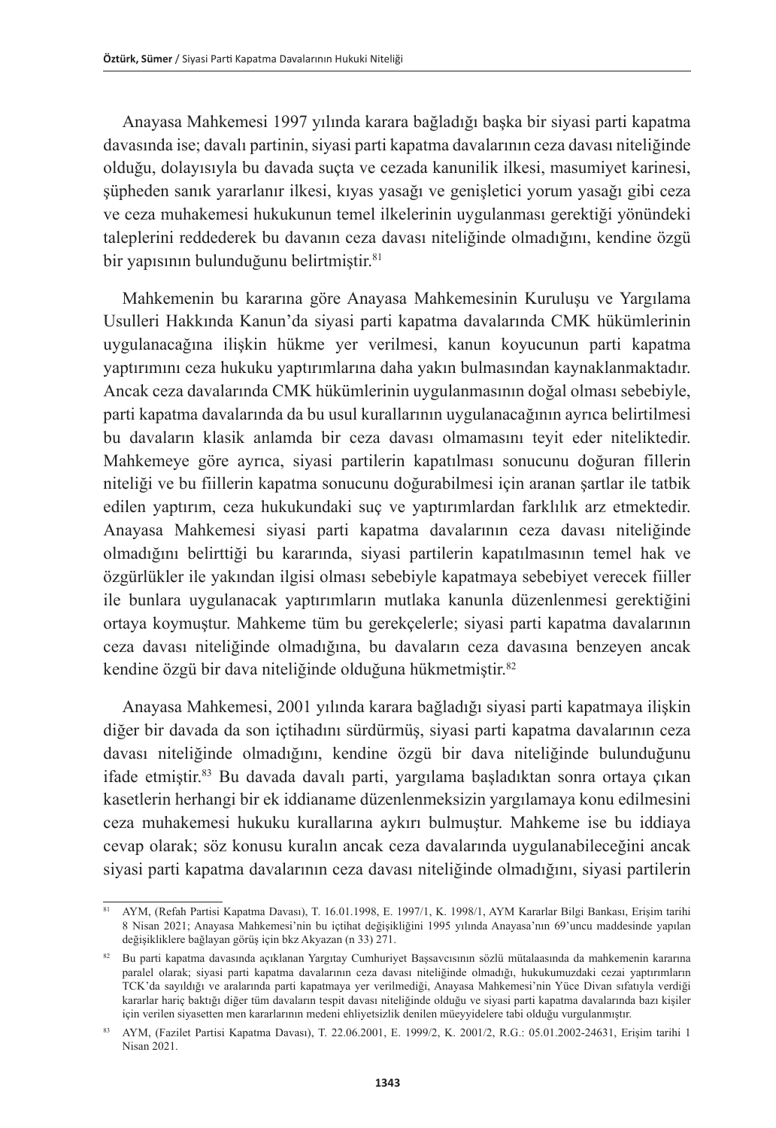Anayasa Mahkemesi 1997 yılında karara bağladığı başka bir siyasi parti kapatma davasında ise; davalı partinin, siyasi parti kapatma davalarının ceza davası niteliğinde olduğu, dolayısıyla bu davada suçta ve cezada kanunilik ilkesi, masumiyet karinesi, şüpheden sanık yararlanır ilkesi, kıyas yasağı ve genişletici yorum yasağı gibi ceza ve ceza muhakemesi hukukunun temel ilkelerinin uygulanması gerektiği yönündeki taleplerini reddederek bu davanın ceza davası niteliğinde olmadığını, kendine özgü bir yapısının bulunduğunu belirtmiştir.<sup>81</sup>

Mahkemenin bu kararına göre Anayasa Mahkemesinin Kuruluşu ve Yargılama Usulleri Hakkında Kanun'da siyasi parti kapatma davalarında CMK hükümlerinin uygulanacağına ilişkin hükme yer verilmesi, kanun koyucunun parti kapatma yaptırımını ceza hukuku yaptırımlarına daha yakın bulmasından kaynaklanmaktadır. Ancak ceza davalarında CMK hükümlerinin uygulanmasının doğal olması sebebiyle, parti kapatma davalarında da bu usul kurallarının uygulanacağının ayrıca belirtilmesi bu davaların klasik anlamda bir ceza davası olmamasını teyit eder niteliktedir. Mahkemeye göre ayrıca, siyasi partilerin kapatılması sonucunu doğuran fillerin niteliği ve bu fiillerin kapatma sonucunu doğurabilmesi için aranan şartlar ile tatbik edilen yaptırım, ceza hukukundaki suç ve yaptırımlardan farklılık arz etmektedir. Anayasa Mahkemesi siyasi parti kapatma davalarının ceza davası niteliğinde olmadığını belirttiği bu kararında, siyasi partilerin kapatılmasının temel hak ve özgürlükler ile yakından ilgisi olması sebebiyle kapatmaya sebebiyet verecek fiiller ile bunlara uygulanacak yaptırımların mutlaka kanunla düzenlenmesi gerektiğini ortaya koymuştur. Mahkeme tüm bu gerekçelerle; siyasi parti kapatma davalarının ceza davası niteliğinde olmadığına, bu davaların ceza davasına benzeyen ancak kendine özgü bir dava niteliğinde olduğuna hükmetmiştir.82

Anayasa Mahkemesi, 2001 yılında karara bağladığı siyasi parti kapatmaya ilişkin diğer bir davada da son içtihadını sürdürmüş, siyasi parti kapatma davalarının ceza davası niteliğinde olmadığını, kendine özgü bir dava niteliğinde bulunduğunu ifade etmiştir.83 Bu davada davalı parti, yargılama başladıktan sonra ortaya çıkan kasetlerin herhangi bir ek iddianame düzenlenmeksizin yargılamaya konu edilmesini ceza muhakemesi hukuku kurallarına aykırı bulmuştur. Mahkeme ise bu iddiaya cevap olarak; söz konusu kuralın ancak ceza davalarında uygulanabileceğini ancak siyasi parti kapatma davalarının ceza davası niteliğinde olmadığını, siyasi partilerin

<sup>81</sup> AYM, (Refah Partisi Kapatma Davası), T. 16.01.1998, E. 1997/1, K. 1998/1, AYM Kararlar Bilgi Bankası, Erişim tarihi 8 Nisan 2021; Anayasa Mahkemesi'nin bu içtihat değişikliğini 1995 yılında Anayasa'nın 69'uncu maddesinde yapılan değişikliklere bağlayan görüş için bkz Akyazan (n 33) 271.

<sup>82</sup> Bu parti kapatma davasında açıklanan Yargıtay Cumhuriyet Başsavcısının sözlü mütalaasında da mahkemenin kararına paralel olarak; siyasi parti kapatma davalarının ceza davası niteliğinde olmadığı, hukukumuzdaki cezai yaptırımların TCK'da sayıldığı ve aralarında parti kapatmaya yer verilmediği, Anayasa Mahkemesi'nin Yüce Divan sıfatıyla verdiği kararlar hariç baktığı diğer tüm davaların tespit davası niteliğinde olduğu ve siyasi parti kapatma davalarında bazı kişiler için verilen siyasetten men kararlarının medeni ehliyetsizlik denilen müeyyidelere tabi olduğu vurgulanmıştır.

<sup>83</sup> AYM, (Fazilet Partisi Kapatma Davası), T. 22.06.2001, E. 1999/2, K. 2001/2, R.G.: 05.01.2002-24631, Erişim tarihi 1 Nisan 2021.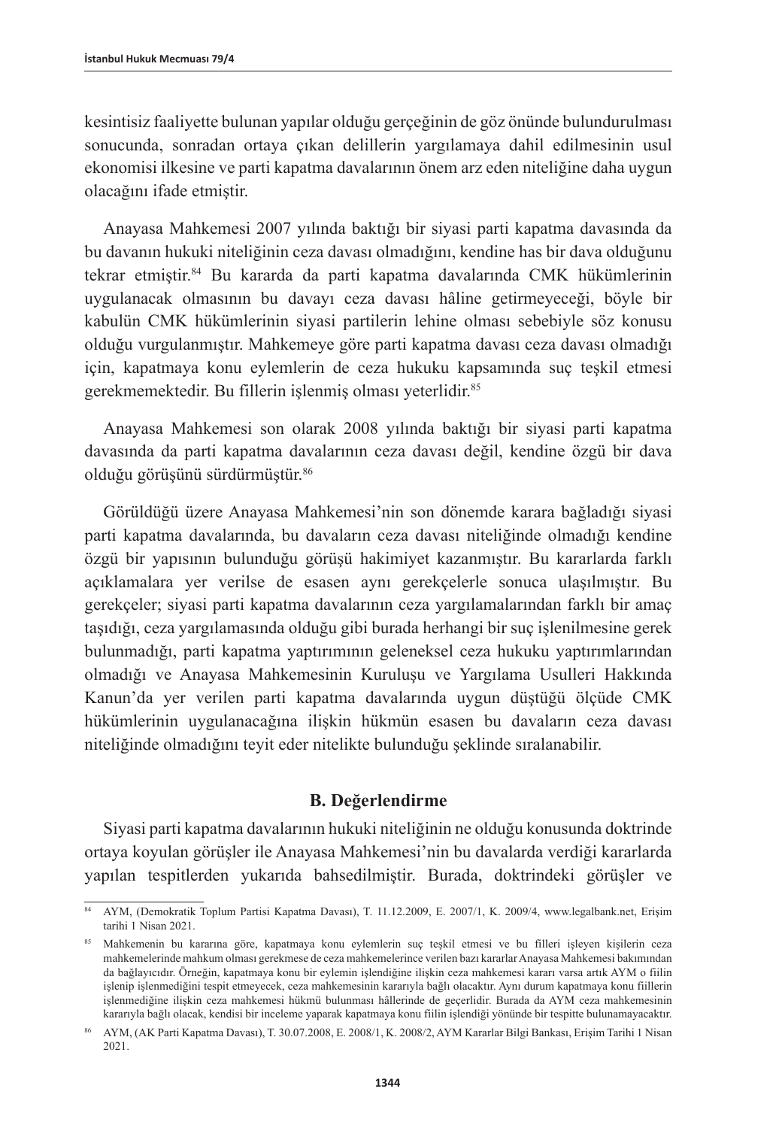kesintisiz faaliyette bulunan yapılar olduğu gerçeğinin de göz önünde bulundurulması sonucunda, sonradan ortaya çıkan delillerin yargılamaya dahil edilmesinin usul ekonomisi ilkesine ve parti kapatma davalarının önem arz eden niteliğine daha uygun olacağını ifade etmiştir.

Anayasa Mahkemesi 2007 yılında baktığı bir siyasi parti kapatma davasında da bu davanın hukuki niteliğinin ceza davası olmadığını, kendine has bir dava olduğunu tekrar etmiştir.84 Bu kararda da parti kapatma davalarında CMK hükümlerinin uygulanacak olmasının bu davayı ceza davası hâline getirmeyeceği, böyle bir kabulün CMK hükümlerinin siyasi partilerin lehine olması sebebiyle söz konusu olduğu vurgulanmıştır. Mahkemeye göre parti kapatma davası ceza davası olmadığı için, kapatmaya konu eylemlerin de ceza hukuku kapsamında suç teşkil etmesi gerekmemektedir. Bu fillerin işlenmiş olması yeterlidir.85

Anayasa Mahkemesi son olarak 2008 yılında baktığı bir siyasi parti kapatma davasında da parti kapatma davalarının ceza davası değil, kendine özgü bir dava olduğu görüşünü sürdürmüştür.<sup>86</sup>

Görüldüğü üzere Anayasa Mahkemesi'nin son dönemde karara bağladığı siyasi parti kapatma davalarında, bu davaların ceza davası niteliğinde olmadığı kendine özgü bir yapısının bulunduğu görüşü hakimiyet kazanmıştır. Bu kararlarda farklı açıklamalara yer verilse de esasen aynı gerekçelerle sonuca ulaşılmıştır. Bu gerekçeler; siyasi parti kapatma davalarının ceza yargılamalarından farklı bir amaç taşıdığı, ceza yargılamasında olduğu gibi burada herhangi bir suç işlenilmesine gerek bulunmadığı, parti kapatma yaptırımının geleneksel ceza hukuku yaptırımlarından olmadığı ve Anayasa Mahkemesinin Kuruluşu ve Yargılama Usulleri Hakkında Kanun'da yer verilen parti kapatma davalarında uygun düştüğü ölçüde CMK hükümlerinin uygulanacağına ilişkin hükmün esasen bu davaların ceza davası niteliğinde olmadığını teyit eder nitelikte bulunduğu şeklinde sıralanabilir.

## **B. Değerlendirme**

Siyasi parti kapatma davalarının hukuki niteliğinin ne olduğu konusunda doktrinde ortaya koyulan görüşler ile Anayasa Mahkemesi'nin bu davalarda verdiği kararlarda yapılan tespitlerden yukarıda bahsedilmiştir. Burada, doktrindeki görüşler ve

<sup>84</sup> AYM, (Demokratik Toplum Partisi Kapatma Davası), T. 11.12.2009, E. 2007/1, K. 2009/4, [www.legalbank.net](http://www.legalbank.net), Erişim tarihi 1 Nisan 2021.

<sup>85</sup> Mahkemenin bu kararına göre, kapatmaya konu eylemlerin suç teşkil etmesi ve bu filleri işleyen kişilerin ceza mahkemelerinde mahkum olması gerekmese de ceza mahkemelerince verilen bazı kararlar Anayasa Mahkemesi bakımından da bağlayıcıdır. Örneğin, kapatmaya konu bir eylemin işlendiğine ilişkin ceza mahkemesi kararı varsa artık AYM o fiilin işlenip işlenmediğini tespit etmeyecek, ceza mahkemesinin kararıyla bağlı olacaktır. Aynı durum kapatmaya konu fiillerin işlenmediğine ilişkin ceza mahkemesi hükmü bulunması hâllerinde de geçerlidir. Burada da AYM ceza mahkemesinin kararıyla bağlı olacak, kendisi bir inceleme yaparak kapatmaya konu fiilin işlendiği yönünde bir tespitte bulunamayacaktır.

<sup>86</sup> AYM, (AK Parti Kapatma Davası), T. 30.07.2008, E. 2008/1, K. 2008/2, AYM Kararlar Bilgi Bankası, Erişim Tarihi 1 Nisan 2021.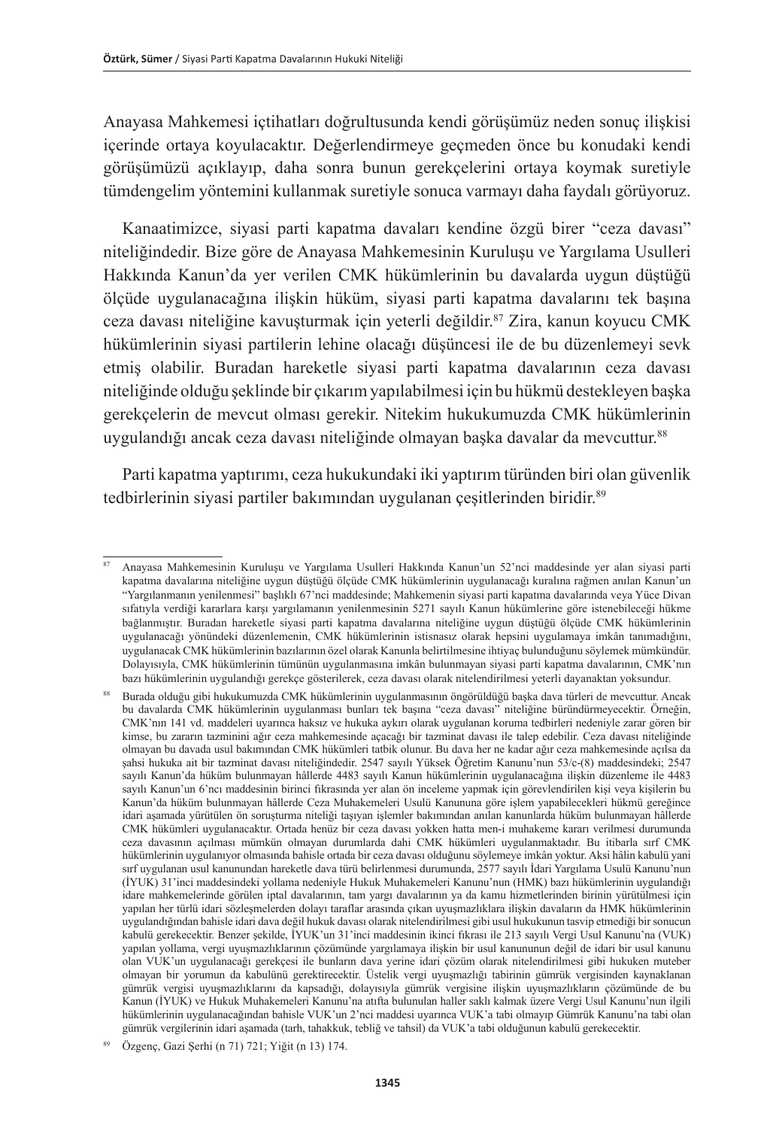Anayasa Mahkemesi içtihatları doğrultusunda kendi görüşümüz neden sonuç ilişkisi içerinde ortaya koyulacaktır. Değerlendirmeye geçmeden önce bu konudaki kendi görüşümüzü açıklayıp, daha sonra bunun gerekçelerini ortaya koymak suretiyle tümdengelim yöntemini kullanmak suretiyle sonuca varmayı daha faydalı görüyoruz.

Kanaatimizce, siyasi parti kapatma davaları kendine özgü birer "ceza davası" niteliğindedir. Bize göre de Anayasa Mahkemesinin Kuruluşu ve Yargılama Usulleri Hakkında Kanun'da yer verilen CMK hükümlerinin bu davalarda uygun düştüğü ölçüde uygulanacağına ilişkin hüküm, siyasi parti kapatma davalarını tek başına ceza davası niteliğine kavuşturmak için yeterli değildir.87 Zira, kanun koyucu CMK hükümlerinin siyasi partilerin lehine olacağı düşüncesi ile de bu düzenlemeyi sevk etmiş olabilir. Buradan hareketle siyasi parti kapatma davalarının ceza davası niteliğinde olduğu şeklinde bir çıkarım yapılabilmesi için bu hükmü destekleyen başka gerekçelerin de mevcut olması gerekir. Nitekim hukukumuzda CMK hükümlerinin uygulandığı ancak ceza davası niteliğinde olmayan başka davalar da mevcuttur. 88

Parti kapatma yaptırımı, ceza hukukundaki iki yaptırım türünden biri olan güvenlik tedbirlerinin siyasi partiler bakımından uygulanan çeşitlerinden biridir. 89

<sup>87</sup> Anayasa Mahkemesinin Kuruluşu ve Yargılama Usulleri Hakkında Kanun'un 52'nci maddesinde yer alan siyasi parti kapatma davalarına niteliğine uygun düştüğü ölçüde CMK hükümlerinin uygulanacağı kuralına rağmen anılan Kanun'un "Yargılanmanın yenilenmesi" başlıklı 67'nci maddesinde; Mahkemenin siyasi parti kapatma davalarında veya Yüce Divan sıfatıyla verdiği kararlara karsı yargılamanın yenilenmesinin 5271 sayılı Kanun hükümlerine göre istenebileceği hükme bağlanmıştır. Buradan hareketle siyasi parti kapatma davalarına niteliğine uygun düştüğü ölçüde CMK hükümlerinin uygulanacağı yönündeki düzenlemenin, CMK hükümlerinin istisnasız olarak hepsini uygulamaya imkân tanımadığını, uygulanacak CMK hükümlerinin bazılarının özel olarak Kanunla belirtilmesine ihtiyaç bulunduğunu söylemek mümkündür. Dolayısıyla, CMK hükümlerinin tümünün uygulanmasına imkân bulunmayan siyasi parti kapatma davalarının, CMK'nın bazı hükümlerinin uygulandığı gerekçe gösterilerek, ceza davası olarak nitelendirilmesi yeterli dayanaktan yoksundur.

<sup>88</sup> Burada olduğu gibi hukukumuzda CMK hükümlerinin uygulanmasının öngörüldüğü başka dava türleri de mevcuttur. Ancak bu davalarda CMK hükümlerinin uygulanması bunları tek başına "ceza davası" niteliğine büründürmeyecektir. Örneğin, CMK'nın 141 vd. maddeleri uyarınca haksız ve hukuka aykırı olarak uygulanan koruma tedbirleri nedeniyle zarar gören bir kimse, bu zararın tazminini ağır ceza mahkemesinde açacağı bir tazminat davası ile talep edebilir. Ceza davası niteliğinde olmayan bu davada usul bakımından CMK hükümleri tatbik olunur. Bu dava her ne kadar ağır ceza mahkemesinde açılsa da şahsi hukuka ait bir tazminat davası niteliğindedir. 2547 sayılı Yüksek Öğretim Kanunu'nun 53/c-(8) maddesindeki; 2547 sayılı Kanun'da hüküm bulunmayan hâllerde 4483 sayılı Kanun hükümlerinin uygulanacağına ilişkin düzenleme ile 4483 sayılı Kanun'un 6'ncı maddesinin birinci fıkrasında yer alan ön inceleme yapmak için görevlendirilen kişi veya kişilerin bu Kanun'da hüküm bulunmayan hâllerde Ceza Muhakemeleri Usulü Kanununa göre işlem yapabilecekleri hükmü gereğince idari aşamada yürütülen ön soruşturma niteliği taşıyan işlemler bakımından anılan kanunlarda hüküm bulunmayan hâllerde CMK hükümleri uygulanacaktır. Ortada henüz bir ceza davası yokken hatta men-i muhakeme kararı verilmesi durumunda ceza davasının açılması mümkün olmayan durumlarda dahi CMK hükümleri uygulanmaktadır. Bu itibarla sırf CMK hükümlerinin uygulanıyor olmasında bahisle ortada bir ceza davası olduğunu söylemeye imkân yoktur. Aksi hâlin kabulü yani sırf uygulanan usul kanunundan hareketle dava türü belirlenmesi durumunda, 2577 sayılı İdari Yargılama Usulü Kanunu'nun (İYUK) 31'inci maddesindeki yollama nedeniyle Hukuk Muhakemeleri Kanunu'nun (HMK) bazı hükümlerinin uygulandığı idare mahkemelerinde görülen iptal davalarının, tam yargı davalarının ya da kamu hizmetlerinden birinin yürütülmesi için yapılan her türlü idari sözleşmelerden dolayı taraflar arasında çıkan uyuşmazlıklara ilişkin davaların da HMK hükümlerinin uygulandığından bahisle idari dava değil hukuk davası olarak nitelendirilmesi gibi usul hukukunun tasvip etmediği bir sonucun kabulü gerekecektir. Benzer şekilde, İYUK'un 31'inci maddesinin ikinci fıkrası ile 213 sayılı Vergi Usul Kanunu'na (VUK) yapılan yollama, vergi uyuşmazlıklarının çözümünde yargılamaya ilişkin bir usul kanununun değil de idari bir usul kanunu olan VUK'un uygulanacağı gerekçesi ile bunların dava yerine idari çözüm olarak nitelendirilmesi gibi hukuken muteber olmayan bir yorumun da kabulünü gerektirecektir. Üstelik vergi uyuşmazlığı tabirinin gümrük vergisinden kaynaklanan gümrük vergisi uyuşmazlıklarını da kapsadığı, dolayısıyla gümrük vergisine ilişkin uyuşmazlıkların çözümünde de bu Kanun (İYUK) ve Hukuk Muhakemeleri Kanunu'na atıfta bulunulan haller saklı kalmak üzere Vergi Usul Kanunu'nun ilgili hükümlerinin uygulanacağından bahisle VUK'un 2'nci maddesi uyarınca VUK'a tabi olmayıp Gümrük Kanunu'na tabi olan gümrük vergilerinin idari aşamada (tarh, tahakkuk, tebliğ ve tahsil) da VUK'a tabi olduğunun kabulü gerekecektir.

Özgenç, Gazi Şerhi (n 71) 721; Yiğit (n 13) 174.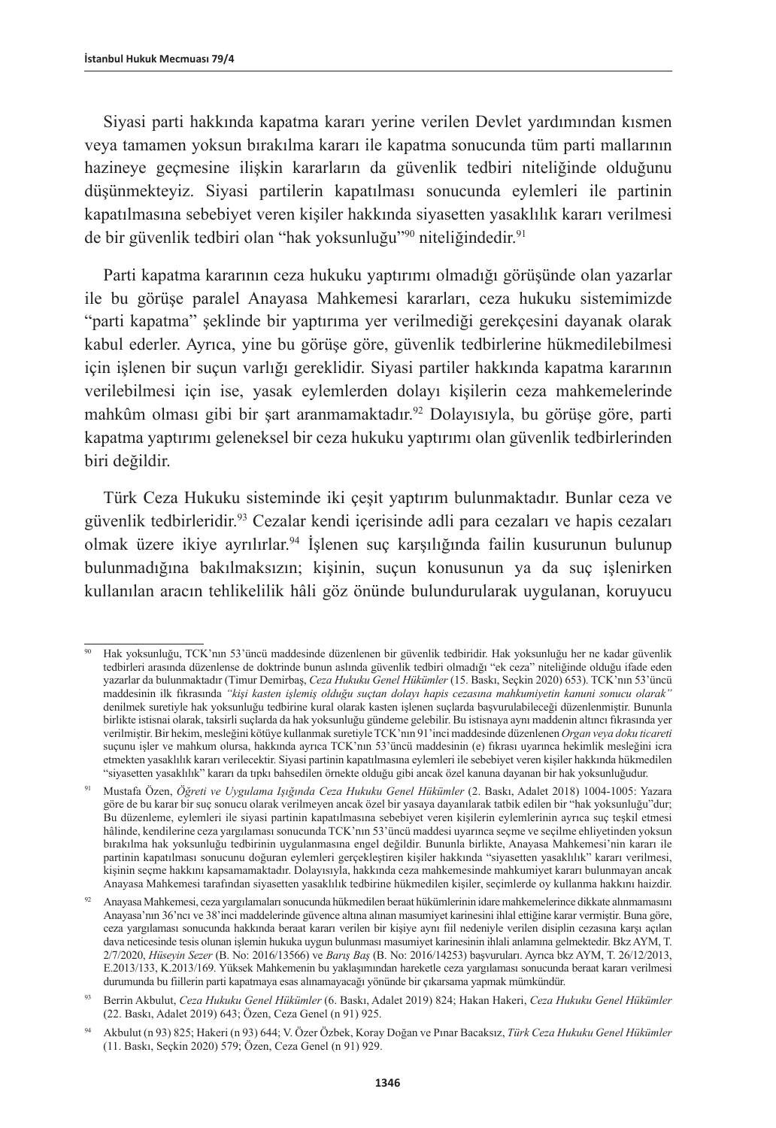Siyasi parti hakkında kapatma kararı yerine verilen Devlet yardımından kısmen veya tamamen yoksun bırakılma kararı ile kapatma sonucunda tüm parti mallarının hazineye geçmesine ilişkin kararların da güvenlik tedbiri niteliğinde olduğunu düşünmekteyiz. Siyasi partilerin kapatılması sonucunda eylemleri ile partinin kapatılmasına sebebiyet veren kişiler hakkında siyasetten yasaklılık kararı verilmesi de bir güvenlik tedbiri olan "hak yoksunluğu"<sup>90</sup> niteliğindedir.<sup>91</sup>

Parti kapatma kararının ceza hukuku yaptırımı olmadığı görüşünde olan yazarlar ile bu görüşe paralel Anayasa Mahkemesi kararları, ceza hukuku sistemimizde "parti kapatma" şeklinde bir yaptırıma yer verilmediği gerekçesini dayanak olarak kabul ederler. Ayrıca, yine bu görüşe göre, güvenlik tedbirlerine hükmedilebilmesi için işlenen bir suçun varlığı gereklidir. Siyasi partiler hakkında kapatma kararının verilebilmesi için ise, yasak eylemlerden dolayı kişilerin ceza mahkemelerinde mahkûm olması gibi bir şart aranmamaktadır.<sup>92</sup> Dolayısıyla, bu görüse göre, parti kapatma yaptırımı geleneksel bir ceza hukuku yaptırımı olan güvenlik tedbirlerinden biri değildir.

Türk Ceza Hukuku sisteminde iki çeşit yaptırım bulunmaktadır. Bunlar ceza ve güvenlik tedbirleridir.93 Cezalar kendi içerisinde adli para cezaları ve hapis cezaları olmak üzere ikiye ayrılırlar.<sup>94</sup> İşlenen suç karşılığında failin kusurunun bulunup bulunmadığına bakılmaksızın; kişinin, suçun konusunun ya da suç işlenirken kullanılan aracın tehlikelilik hâli göz önünde bulundurularak uygulanan, koruyucu

<sup>90</sup> Hak yoksunluğu, TCK'nın 53'üncü maddesinde düzenlenen bir güvenlik tedbiridir. Hak yoksunluğu her ne kadar güvenlik tedbirleri arasında düzenlense de doktrinde bunun aslında güvenlik tedbiri olmadığı "ek ceza" niteliğinde olduğu ifade eden yazarlar da bulunmaktadır (Timur Demirbaş, *Ceza Hukuku Genel Hükümler* (15. Baskı, Seçkin 2020) 653). TCK'nın 53'üncü maddesinin ilk fıkrasında *"kişi kasten işlemiş olduğu suçtan dolayı hapis cezasına mahkumiyetin kanuni sonucu olarak"*  denilmek suretiyle hak yoksunluğu tedbirine kural olarak kasten işlenen suçlarda başvurulabileceği düzenlenmiştir. Bununla birlikte istisnai olarak, taksirli suçlarda da hak yoksunluğu gündeme gelebilir. Bu istisnaya aynı maddenin altıncı fıkrasında yer verilmiştir. Bir hekim, mesleğini kötüye kullanmak suretiyle TCK'nın 91'inci maddesinde düzenlenen *Organ veya doku ticareti*  suçunu işler ve mahkum olursa, hakkında ayrıca TCK'nın 53'üncü maddesinin (e) fıkrası uyarınca hekimlik mesleğini icra etmekten yasaklılık kararı verilecektir. Siyasi partinin kapatılmasına eylemleri ile sebebiyet veren kişiler hakkında hükmedilen "siyasetten yasaklılık" kararı da tıpkı bahsedilen örnekte olduğu gibi ancak özel kanuna dayanan bir hak yoksunluğudur.

<sup>91</sup> Mustafa Özen, *Öğreti ve Uygulama Işığında Ceza Hukuku Genel Hükümler* (2. Baskı, Adalet 2018) 1004-1005: Yazara göre de bu karar bir suç sonucu olarak verilmeyen ancak özel bir yasaya dayanılarak tatbik edilen bir "hak yoksunluğu"dur; Bu düzenleme, eylemleri ile siyasi partinin kapatılmasına sebebiyet veren kişilerin eylemlerinin ayrıca suç teşkil etmesi hâlinde, kendilerine ceza yargılaması sonucunda TCK'nın 53'üncü maddesi uyarınca seçme ve seçilme ehliyetinden yoksun bırakılma hak yoksunluğu tedbirinin uygulanmasına engel değildir. Bununla birlikte, Anayasa Mahkemesi'nin kararı ile partinin kapatılması sonucunu doğuran eylemleri gerçekleştiren kişiler hakkında "siyasetten yasaklılık" kararı verilmesi, kişinin seçme hakkını kapsamamaktadır. Dolayısıyla, hakkında ceza mahkemesinde mahkumiyet kararı bulunmayan ancak Anayasa Mahkemesi tarafından siyasetten yasaklılık tedbirine hükmedilen kişiler, seçimlerde oy kullanma hakkını haizdir.

<sup>92</sup> Anayasa Mahkemesi, ceza yargılamaları sonucunda hükmedilen beraat hükümlerinin idare mahkemelerince dikkate alınmamasını Anayasa'nın 36'ncı ve 38'inci maddelerinde güvence altına alınan masumiyet karinesini ihlal ettiğine karar vermiştir. Buna göre, ceza yargılaması sonucunda hakkında beraat kararı verilen bir kişiye aynı fiil nedeniyle verilen disiplin cezasına karşı açılan dava neticesinde tesis olunan işlemin hukuka uygun bulunması masumiyet karinesinin ihlali anlamına gelmektedir. Bkz AYM, T. 2/7/2020, *[Hüseyin Sezer](https://www.anayasa.gov.tr/media/7016/2016-13566.pdf)* (B. No: 2016/13566) ve *[Barış Baş](https://www.anayasa.gov.tr/media/7017/2016-14253.pdf)* (B. No: 2016/14253) başvuruları. Ayrıca bkz AYM, T. 26/12/2013, E.2013/133, K.2013/169. Yüksek Mahkemenin bu yaklaşımından hareketle ceza yargılaması sonucunda beraat kararı verilmesi durumunda bu fiillerin parti kapatmaya esas alınamayacağı yönünde bir çıkarsama yapmak mümkündür.

<sup>93</sup> Berrin Akbulut, *Ceza Hukuku Genel Hükümler* (6. Baskı, Adalet 2019) 824; Hakan Hakeri, *Ceza Hukuku Genel Hükümler*  (22. Baskı, Adalet 2019) 643; Özen, Ceza Genel (n 91) 925.

<sup>94</sup> Akbulut (n 93) 825; Hakeri (n 93) 644; V. Özer Özbek, Koray Doğan ve Pınar Bacaksız, *Türk Ceza Hukuku Genel Hükümler* (11. Baskı, Seçkin 2020) 579; Özen, Ceza Genel (n 91) 929.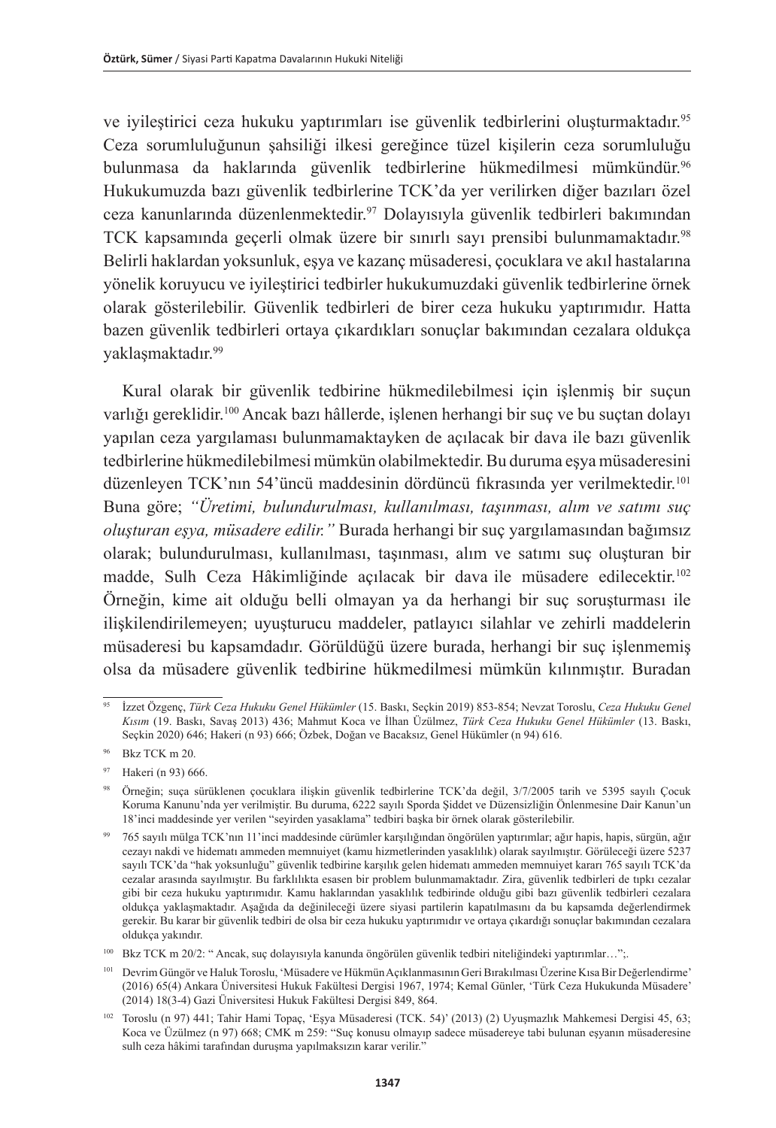ve iyileştirici ceza hukuku yaptırımları ise güvenlik tedbirlerini oluşturmaktadır.95 Ceza sorumluluğunun şahsiliği ilkesi gereğince tüzel kişilerin ceza sorumluluğu bulunmasa da haklarında güvenlik tedbirlerine hükmedilmesi mümkündür.96 Hukukumuzda bazı güvenlik tedbirlerine TCK'da yer verilirken diğer bazıları özel ceza kanunlarında düzenlenmektedir.97 Dolayısıyla güvenlik tedbirleri bakımından TCK kapsamında geçerli olmak üzere bir sınırlı sayı prensibi bulunmamaktadır.<sup>98</sup> Belirli haklardan yoksunluk, eşya ve kazanç müsaderesi, çocuklara ve akıl hastalarına yönelik koruyucu ve iyileştirici tedbirler hukukumuzdaki güvenlik tedbirlerine örnek olarak gösterilebilir. Güvenlik tedbirleri de birer ceza hukuku yaptırımıdır. Hatta bazen güvenlik tedbirleri ortaya çıkardıkları sonuçlar bakımından cezalara oldukça yaklaşmaktadır.99

Kural olarak bir güvenlik tedbirine hükmedilebilmesi için işlenmiş bir suçun varlığı gereklidir.100 Ancak bazı hâllerde, işlenen herhangi bir suç ve bu suçtan dolayı yapılan ceza yargılaması bulunmamaktayken de açılacak bir dava ile bazı güvenlik tedbirlerine hükmedilebilmesi mümkün olabilmektedir. Bu duruma eşya müsaderesini düzenleyen TCK'nın 54'üncü maddesinin dördüncü fıkrasında yer verilmektedir.<sup>101</sup> Buna göre; *"Üretimi, bulundurulması, kullanılması, taşınması, alım ve satımı suç oluşturan eşya, müsadere edilir."* Burada herhangi bir suç yargılamasından bağımsız olarak; bulundurulması, kullanılması, taşınması, alım ve satımı suç oluşturan bir madde, Sulh Ceza Hâkimliğinde açılacak bir dava ile müsadere edilecektir.102 Örneğin, kime ait olduğu belli olmayan ya da herhangi bir suç soruşturması ile ilişkilendirilemeyen; uyuşturucu maddeler, patlayıcı silahlar ve zehirli maddelerin müsaderesi bu kapsamdadır. Görüldüğü üzere burada, herhangi bir suç işlenmemiş olsa da müsadere güvenlik tedbirine hükmedilmesi mümkün kılınmıştır. Buradan

<sup>95</sup> İzzet Özgenç, *Türk Ceza Hukuku Genel Hükümler* (15. Baskı, Seçkin 2019) 853-854; Nevzat Toroslu, *Ceza Hukuku Genel Kısım* (19. Baskı, Savaş 2013) 436; Mahmut Koca ve İlhan Üzülmez, *Türk Ceza Hukuku Genel Hükümler* (13. Baskı, Seçkin 2020) 646; Hakeri (n 93) 666; Özbek, Doğan ve Bacaksız, Genel Hükümler (n 94) 616.

<sup>96</sup> Bkz TCK m 20.

<sup>97</sup> Hakeri (n 93) 666.

Örneğin; suça sürüklenen çocuklara ilişkin güvenlik tedbirlerine TCK'da değil, 3/7/2005 tarih ve 5395 sayılı Çocuk Koruma Kanunu'nda yer verilmiştir. Bu duruma, 6222 sayılı Sporda Şiddet ve Düzensizliğin Önlenmesine Dair Kanun'un 18'inci maddesinde yer verilen "seyirden yasaklama" tedbiri başka bir örnek olarak gösterilebilir.

<sup>99</sup> 765 sayılı mülga TCK'nın 11'inci maddesinde cürümler karşılığından öngörülen yaptırımlar; ağır hapis, hapis, sürgün, ağır cezayı nakdi ve hidematı ammeden memnuiyet (kamu hizmetlerinden yasaklılık) olarak sayılmıştır. Görüleceği üzere 5237 sayılı TCK'da "hak yoksunluğu" güvenlik tedbirine karşılık gelen hidematı ammeden memnuiyet kararı 765 sayılı TCK'da cezalar arasında sayılmıştır. Bu farklılıkta esasen bir problem bulunmamaktadır. Zira, güvenlik tedbirleri de tıpkı cezalar gibi bir ceza hukuku yaptırımıdır. Kamu haklarından yasaklılık tedbirinde olduğu gibi bazı güvenlik tedbirleri cezalara oldukça yaklaşmaktadır. Aşağıda da değinileceği üzere siyasi partilerin kapatılmasını da bu kapsamda değerlendirmek gerekir. Bu karar bir güvenlik tedbiri de olsa bir ceza hukuku yaptırımıdır ve ortaya çıkardığı sonuçlar bakımından cezalara oldukça yakındır.

<sup>100</sup> Bkz TCK m 20/2: " Ancak, suç dolayısıyla kanunda öngörülen güvenlik tedbiri niteliğindeki yaptırımlar…";.

<sup>101</sup> Devrim Güngör ve Haluk Toroslu, 'Müsadere ve Hükmün Açıklanmasının Geri Bırakılması Üzerine Kısa Bir Değerlendirme' (2016) 65(4) Ankara Üniversitesi Hukuk Fakültesi Dergisi 1967, 1974; Kemal Günler, 'Türk Ceza Hukukunda Müsadere' (2014) 18(3-4) Gazi Üniversitesi Hukuk Fakültesi Dergisi 849, 864.

<sup>102</sup> Toroslu (n 97) 441; Tahir Hami Topaç, 'Eşya Müsaderesi (TCK. 54)' (2013) (2) Uyuşmazlık Mahkemesi Dergisi 45, 63; Koca ve Üzülmez (n 97) 668; CMK m 259: "Suç konusu olmayıp sadece müsadereye tabi bulunan eşyanın müsaderesine sulh ceza hâkimi tarafından duruşma yapılmaksızın karar verilir."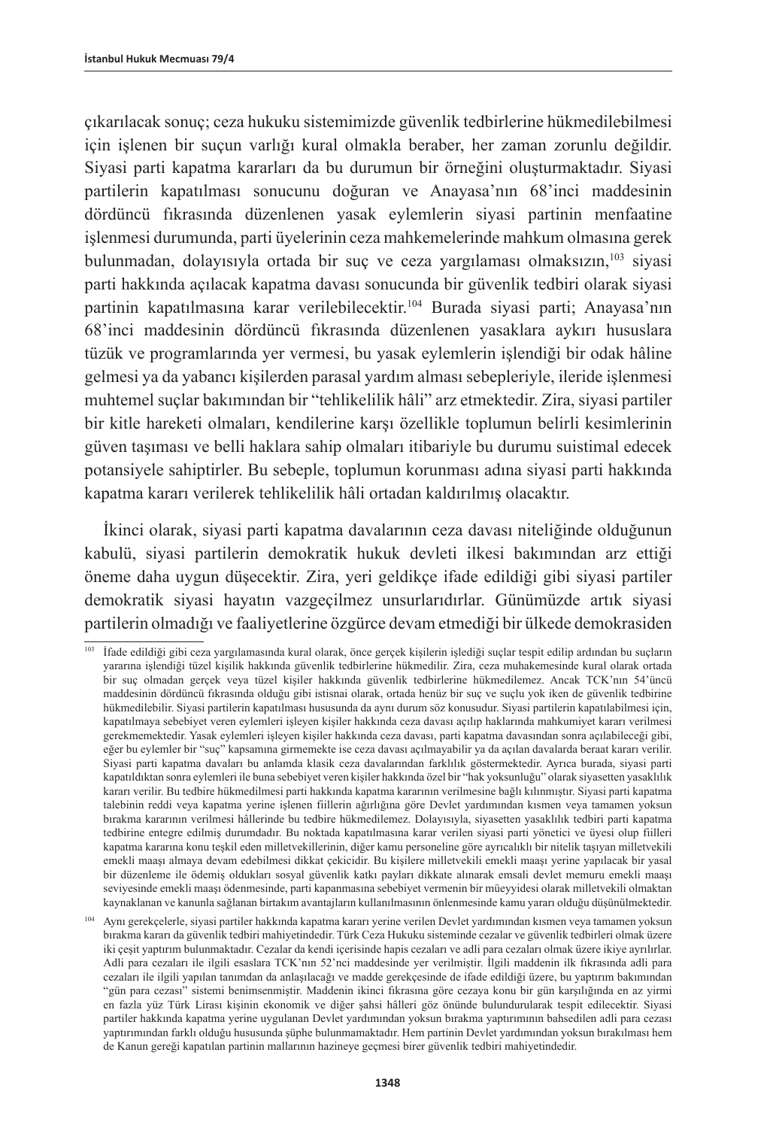çıkarılacak sonuç; ceza hukuku sistemimizde güvenlik tedbirlerine hükmedilebilmesi için işlenen bir suçun varlığı kural olmakla beraber, her zaman zorunlu değildir. Siyasi parti kapatma kararları da bu durumun bir örneğini oluşturmaktadır. Siyasi partilerin kapatılması sonucunu doğuran ve Anayasa'nın 68'inci maddesinin dördüncü fıkrasında düzenlenen yasak eylemlerin siyasi partinin menfaatine işlenmesi durumunda, parti üyelerinin ceza mahkemelerinde mahkum olmasına gerek bulunmadan, dolayısıyla ortada bir suç ve ceza yargılaması olmaksızın,103 siyasi parti hakkında açılacak kapatma davası sonucunda bir güvenlik tedbiri olarak siyasi partinin kapatılmasına karar verilebilecektir.104 Burada siyasi parti; Anayasa'nın 68'inci maddesinin dördüncü fıkrasında düzenlenen yasaklara aykırı hususlara tüzük ve programlarında yer vermesi, bu yasak eylemlerin işlendiği bir odak hâline gelmesi ya da yabancı kişilerden parasal yardım alması sebepleriyle, ileride işlenmesi muhtemel suçlar bakımından bir "tehlikelilik hâli" arz etmektedir. Zira, siyasi partiler bir kitle hareketi olmaları, kendilerine karşı özellikle toplumun belirli kesimlerinin güven taşıması ve belli haklara sahip olmaları itibariyle bu durumu suistimal edecek potansiyele sahiptirler. Bu sebeple, toplumun korunması adına siyasi parti hakkında kapatma kararı verilerek tehlikelilik hâli ortadan kaldırılmış olacaktır.

İkinci olarak, siyasi parti kapatma davalarının ceza davası niteliğinde olduğunun kabulü, siyasi partilerin demokratik hukuk devleti ilkesi bakımından arz ettiği öneme daha uygun düşecektir. Zira, yeri geldikçe ifade edildiği gibi siyasi partiler demokratik siyasi hayatın vazgeçilmez unsurlarıdırlar. Günümüzde artık siyasi partilerin olmadığı ve faaliyetlerine özgürce devam etmediği bir ülkede demokrasiden

<sup>103</sup> İfade edildiği gibi ceza yargılamasında kural olarak, önce gerçek kişilerin işlediği suçlar tespit edilip ardından bu suçların yararına işlendiği tüzel kişilik hakkında güvenlik tedbirlerine hükmedilir. Zira, ceza muhakemesinde kural olarak ortada bir suç olmadan gerçek veya tüzel kişiler hakkında güvenlik tedbirlerine hükmedilemez. Ancak TCK'nın 54'üncü maddesinin dördüncü fıkrasında olduğu gibi istisnai olarak, ortada henüz bir suç ve suçlu yok iken de güvenlik tedbirine hükmedilebilir. Siyasi partilerin kapatılması hususunda da aynı durum söz konusudur. Siyasi partilerin kapatılabilmesi için, kapatılmaya sebebiyet veren eylemleri işleyen kişiler hakkında ceza davası açılıp haklarında mahkumiyet kararı verilmesi gerekmemektedir. Yasak eylemleri işleyen kişiler hakkında ceza davası, parti kapatma davasından sonra açılabileceği gibi, eğer bu eylemler bir "suç" kapsamına girmemekte ise ceza davası açılmayabilir ya da açılan davalarda beraat kararı verilir. Siyasi parti kapatma davaları bu anlamda klasik ceza davalarından farklılık göstermektedir. Ayrıca burada, siyasi parti kapatıldıktan sonra eylemleri ile buna sebebiyet veren kişiler hakkında özel bir "hak yoksunluğu" olarak siyasetten yasaklılık kararı verilir. Bu tedbire hükmedilmesi parti hakkında kapatma kararının verilmesine bağlı kılınmıştır. Siyasi parti kapatma talebinin reddi veya kapatma yerine işlenen fiillerin ağırlığına göre Devlet yardımından kısmen veya tamamen yoksun bırakma kararının verilmesi hâllerinde bu tedbire hükmedilemez. Dolayısıyla, siyasetten yasaklılık tedbiri parti kapatma tedbirine entegre edilmiş durumdadır. Bu noktada kapatılmasına karar verilen siyasi parti yönetici ve üyesi olup fiilleri kapatma kararına konu teşkil eden milletvekillerinin, diğer kamu personeline göre ayrıcalıklı bir nitelik taşıyan milletvekili emekli maaşı almaya devam edebilmesi dikkat çekicidir. Bu kişilere milletvekili emekli maaşı yerine yapılacak bir yasal bir düzenleme ile ödemiş oldukları sosyal güvenlik katkı payları dikkate alınarak emsali devlet memuru emekli maaşı seviyesinde emekli maaşı ödenmesinde, parti kapanmasına sebebiyet vermenin bir müeyyidesi olarak milletvekili olmaktan kaynaklanan ve kanunla sağlanan birtakım avantajların kullanılmasının önlenmesinde kamu yararı olduğu düşünülmektedir.

<sup>104</sup> Aynı gerekçelerle, siyasi partiler hakkında kapatma kararı yerine verilen Devlet yardımından kısmen veya tamamen yoksun bırakma kararı da güvenlik tedbiri mahiyetindedir. Türk Ceza Hukuku sisteminde cezalar ve güvenlik tedbirleri olmak üzere iki çeşit yaptırım bulunmaktadır. Cezalar da kendi içerisinde hapis cezaları ve adli para cezaları olmak üzere ikiye ayrılırlar. Adli para cezaları ile ilgili esaslara TCK'nın 52'nci maddesinde yer verilmiştir. İlgili maddenin ilk fıkrasında adli para cezaları ile ilgili yapılan tanımdan da anlaşılacağı ve madde gerekçesinde de ifade edildiği üzere, bu yaptırım bakımından "gün para cezası" sistemi benimsenmiştir. Maddenin ikinci fıkrasına göre cezaya konu bir gün karşılığında en az yirmi en fazla yüz Türk Lirası kişinin ekonomik ve diğer şahsi hâlleri göz önünde bulundurularak tespit edilecektir. Siyasi partiler hakkında kapatma yerine uygulanan Devlet yardımından yoksun bırakma yaptırımının bahsedilen adli para cezası yaptırımından farklı olduğu hususunda şüphe bulunmamaktadır. Hem partinin Devlet yardımından yoksun bırakılması hem de Kanun gereği kapatılan partinin mallarının hazineye geçmesi birer güvenlik tedbiri mahiyetindedir.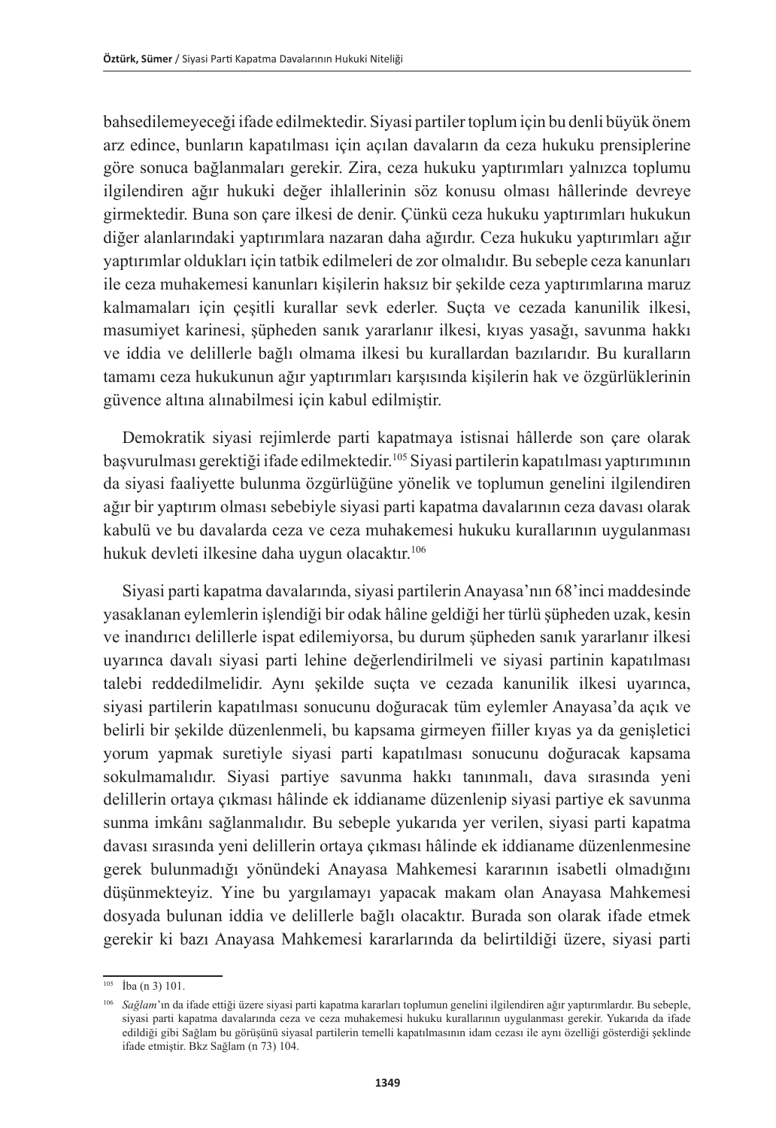bahsedilemeyeceği ifade edilmektedir. Siyasi partiler toplum için bu denli büyük önem arz edince, bunların kapatılması için açılan davaların da ceza hukuku prensiplerine göre sonuca bağlanmaları gerekir. Zira, ceza hukuku yaptırımları yalnızca toplumu ilgilendiren ağır hukuki değer ihlallerinin söz konusu olması hâllerinde devreye girmektedir. Buna son çare ilkesi de denir. Çünkü ceza hukuku yaptırımları hukukun diğer alanlarındaki yaptırımlara nazaran daha ağırdır. Ceza hukuku yaptırımları ağır yaptırımlar oldukları için tatbik edilmeleri de zor olmalıdır. Bu sebeple ceza kanunları ile ceza muhakemesi kanunları kişilerin haksız bir şekilde ceza yaptırımlarına maruz kalmamaları için çeşitli kurallar sevk ederler. Suçta ve cezada kanunilik ilkesi, masumiyet karinesi, şüpheden sanık yararlanır ilkesi, kıyas yasağı, savunma hakkı ve iddia ve delillerle bağlı olmama ilkesi bu kurallardan bazılarıdır. Bu kuralların tamamı ceza hukukunun ağır yaptırımları karşısında kişilerin hak ve özgürlüklerinin güvence altına alınabilmesi için kabul edilmiştir.

Demokratik siyasi rejimlerde parti kapatmaya istisnai hâllerde son çare olarak başvurulması gerektiği ifade edilmektedir.105 Siyasi partilerin kapatılması yaptırımının da siyasi faaliyette bulunma özgürlüğüne yönelik ve toplumun genelini ilgilendiren ağır bir yaptırım olması sebebiyle siyasi parti kapatma davalarının ceza davası olarak kabulü ve bu davalarda ceza ve ceza muhakemesi hukuku kurallarının uygulanması hukuk devleti ilkesine daha uygun olacaktır.<sup>106</sup>

Siyasi parti kapatma davalarında, siyasi partilerin Anayasa'nın 68'inci maddesinde yasaklanan eylemlerin işlendiği bir odak hâline geldiği her türlü şüpheden uzak, kesin ve inandırıcı delillerle ispat edilemiyorsa, bu durum şüpheden sanık yararlanır ilkesi uyarınca davalı siyasi parti lehine değerlendirilmeli ve siyasi partinin kapatılması talebi reddedilmelidir. Aynı şekilde suçta ve cezada kanunilik ilkesi uyarınca, siyasi partilerin kapatılması sonucunu doğuracak tüm eylemler Anayasa'da açık ve belirli bir şekilde düzenlenmeli, bu kapsama girmeyen fiiller kıyas ya da genişletici yorum yapmak suretiyle siyasi parti kapatılması sonucunu doğuracak kapsama sokulmamalıdır. Siyasi partiye savunma hakkı tanınmalı, dava sırasında yeni delillerin ortaya çıkması hâlinde ek iddianame düzenlenip siyasi partiye ek savunma sunma imkânı sağlanmalıdır. Bu sebeple yukarıda yer verilen, siyasi parti kapatma davası sırasında yeni delillerin ortaya çıkması hâlinde ek iddianame düzenlenmesine gerek bulunmadığı yönündeki Anayasa Mahkemesi kararının isabetli olmadığını düşünmekteyiz. Yine bu yargılamayı yapacak makam olan Anayasa Mahkemesi dosyada bulunan iddia ve delillerle bağlı olacaktır. Burada son olarak ifade etmek gerekir ki bazı Anayasa Mahkemesi kararlarında da belirtildiği üzere, siyasi parti

<sup>105</sup> İba (n 3) 101.

<sup>106</sup> *Sağlam*'ın da ifade ettiği üzere siyasi parti kapatma kararları toplumun genelini ilgilendiren ağır yaptırımlardır. Bu sebeple, siyasi parti kapatma davalarında ceza ve ceza muhakemesi hukuku kurallarının uygulanması gerekir. Yukarıda da ifade edildiği gibi Sağlam bu görüşünü siyasal partilerin temelli kapatılmasının idam cezası ile aynı özelliği gösterdiği şeklinde ifade etmiştir. Bkz Sağlam (n 73) 104.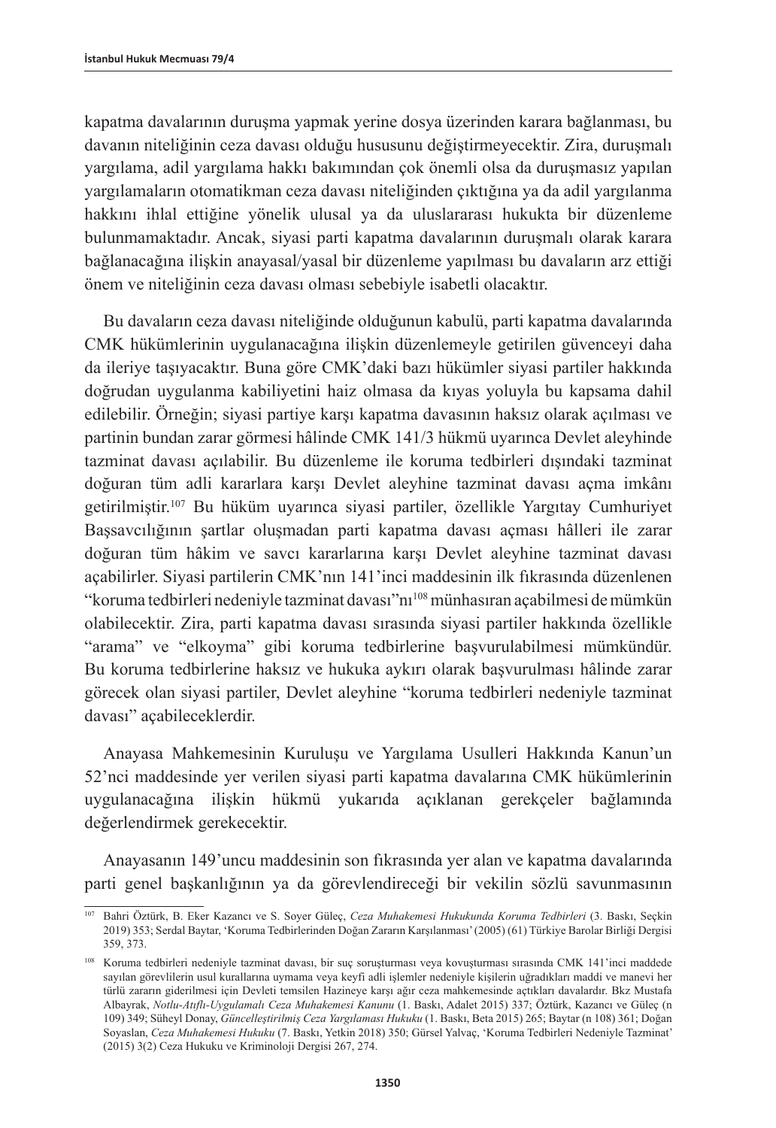kapatma davalarının duruşma yapmak yerine dosya üzerinden karara bağlanması, bu davanın niteliğinin ceza davası olduğu hususunu değiştirmeyecektir. Zira, duruşmalı yargılama, adil yargılama hakkı bakımından çok önemli olsa da duruşmasız yapılan yargılamaların otomatikman ceza davası niteliğinden çıktığına ya da adil yargılanma hakkını ihlal ettiğine yönelik ulusal ya da uluslararası hukukta bir düzenleme bulunmamaktadır. Ancak, siyasi parti kapatma davalarının duruşmalı olarak karara bağlanacağına ilişkin anayasal/yasal bir düzenleme yapılması bu davaların arz ettiği önem ve niteliğinin ceza davası olması sebebiyle isabetli olacaktır.

Bu davaların ceza davası niteliğinde olduğunun kabulü, parti kapatma davalarında CMK hükümlerinin uygulanacağına ilişkin düzenlemeyle getirilen güvenceyi daha da ileriye taşıyacaktır. Buna göre CMK'daki bazı hükümler siyasi partiler hakkında doğrudan uygulanma kabiliyetini haiz olmasa da kıyas yoluyla bu kapsama dahil edilebilir. Örneğin; siyasi partiye karşı kapatma davasının haksız olarak açılması ve partinin bundan zarar görmesi hâlinde CMK 141/3 hükmü uyarınca Devlet aleyhinde tazminat davası açılabilir. Bu düzenleme ile koruma tedbirleri dışındaki tazminat doğuran tüm adli kararlara karşı Devlet aleyhine tazminat davası açma imkânı getirilmiştir.107 Bu hüküm uyarınca siyasi partiler, özellikle Yargıtay Cumhuriyet Başsavcılığının şartlar oluşmadan parti kapatma davası açması hâlleri ile zarar doğuran tüm hâkim ve savcı kararlarına karşı Devlet aleyhine tazminat davası açabilirler. Siyasi partilerin CMK'nın 141'inci maddesinin ilk fıkrasında düzenlenen "koruma tedbirleri nedeniyle tazminat davası"nı108 münhasıran açabilmesi de mümkün olabilecektir. Zira, parti kapatma davası sırasında siyasi partiler hakkında özellikle "arama" ve "elkoyma" gibi koruma tedbirlerine başvurulabilmesi mümkündür. Bu koruma tedbirlerine haksız ve hukuka aykırı olarak başvurulması hâlinde zarar görecek olan siyasi partiler, Devlet aleyhine "koruma tedbirleri nedeniyle tazminat davası" açabileceklerdir.

Anayasa Mahkemesinin Kuruluşu ve Yargılama Usulleri Hakkında Kanun'un 52'nci maddesinde yer verilen siyasi parti kapatma davalarına CMK hükümlerinin uygulanacağına ilişkin hükmü yukarıda açıklanan gerekçeler bağlamında değerlendirmek gerekecektir.

Anayasanın 149'uncu maddesinin son fıkrasında yer alan ve kapatma davalarında parti genel başkanlığının ya da görevlendireceği bir vekilin sözlü savunmasının

<sup>107</sup> Bahri Öztürk, B. Eker Kazancı ve S. Soyer Güleç, *Ceza Muhakemesi Hukukunda Koruma Tedbirleri* (3. Baskı, Seçkin 2019) 353; Serdal Baytar, 'Koruma Tedbirlerinden Doğan Zararın Karşılanması' (2005) (61) Türkiye Barolar Birliği Dergisi 359, 373.

<sup>108</sup> Koruma tedbirleri nedeniyle tazminat davası, bir suç soruşturması veya kovuşturması sırasında CMK 141'inci maddede sayılan görevlilerin usul kurallarına uymama veya keyfi adli işlemler nedeniyle kişilerin uğradıkları maddi ve manevi her türlü zararın giderilmesi için Devleti temsilen Hazineye karşı ağır ceza mahkemesinde açtıkları davalardır. Bkz Mustafa Albayrak, *Notlu-Atıflı-Uygulamalı Ceza Muhakemesi Kanunu* (1. Baskı, Adalet 2015) 337; Öztürk, Kazancı ve Güleç (n 109) 349; Süheyl Donay, *Güncelleştirilmiş Ceza Yargılaması Hukuku* (1. Baskı, Beta 2015) 265; Baytar (n 108) 361; Doğan Soyaslan, *Ceza Muhakemesi Hukuku* (7. Baskı, Yetkin 2018) 350; Gürsel Yalvaç, 'Koruma Tedbirleri Nedeniyle Tazminat' (2015) 3(2) Ceza Hukuku ve Kriminoloji Dergisi 267, 274.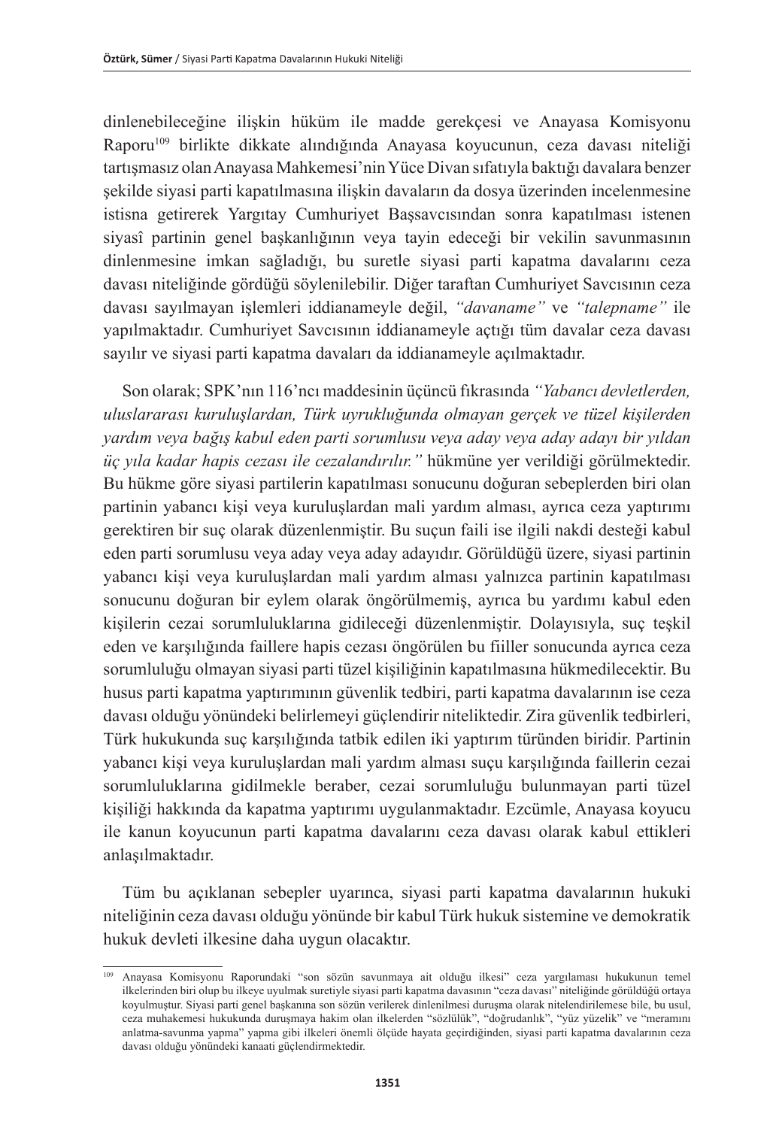dinlenebileceğine ilişkin hüküm ile madde gerekçesi ve Anayasa Komisyonu Raporu109 birlikte dikkate alındığında Anayasa koyucunun, ceza davası niteliği tartışmasız olan Anayasa Mahkemesi'nin Yüce Divan sıfatıyla baktığı davalara benzer şekilde siyasi parti kapatılmasına ilişkin davaların da dosya üzerinden incelenmesine istisna getirerek Yargıtay Cumhuriyet Başsavcısından sonra kapatılması istenen siyasî partinin genel başkanlığının veya tayin edeceği bir vekilin savunmasının dinlenmesine imkan sağladığı, bu suretle siyasi parti kapatma davalarını ceza davası niteliğinde gördüğü söylenilebilir. Diğer taraftan Cumhuriyet Savcısının ceza davası sayılmayan işlemleri iddianameyle değil, *"davaname"* ve *"talepname"* ile yapılmaktadır. Cumhuriyet Savcısının iddianameyle açtığı tüm davalar ceza davası sayılır ve siyasi parti kapatma davaları da iddianameyle açılmaktadır.

Son olarak; SPK'nın 116'ncı maddesinin üçüncü fıkrasında *"Yabancı devletlerden, uluslararası kuruluşlardan, Türk uyrukluğunda olmayan gerçek ve tüzel kişilerden yardım veya bağış kabul eden parti sorumlusu veya aday veya aday adayı bir yıldan üç yıla kadar hapis cezası ile cezalandırılır."* hükmüne yer verildiği görülmektedir. Bu hükme göre siyasi partilerin kapatılması sonucunu doğuran sebeplerden biri olan partinin yabancı kişi veya kuruluşlardan mali yardım alması, ayrıca ceza yaptırımı gerektiren bir suç olarak düzenlenmiştir. Bu suçun faili ise ilgili nakdi desteği kabul eden parti sorumlusu veya aday veya aday adayıdır. Görüldüğü üzere, siyasi partinin yabancı kişi veya kuruluşlardan mali yardım alması yalnızca partinin kapatılması sonucunu doğuran bir eylem olarak öngörülmemiş, ayrıca bu yardımı kabul eden kişilerin cezai sorumluluklarına gidileceği düzenlenmiştir. Dolayısıyla, suç teşkil eden ve karşılığında faillere hapis cezası öngörülen bu fiiller sonucunda ayrıca ceza sorumluluğu olmayan siyasi parti tüzel kişiliğinin kapatılmasına hükmedilecektir. Bu husus parti kapatma yaptırımının güvenlik tedbiri, parti kapatma davalarının ise ceza davası olduğu yönündeki belirlemeyi güçlendirir niteliktedir. Zira güvenlik tedbirleri, Türk hukukunda suç karşılığında tatbik edilen iki yaptırım türünden biridir. Partinin yabancı kişi veya kuruluşlardan mali yardım alması suçu karşılığında faillerin cezai sorumluluklarına gidilmekle beraber, cezai sorumluluğu bulunmayan parti tüzel kişiliği hakkında da kapatma yaptırımı uygulanmaktadır. Ezcümle, Anayasa koyucu ile kanun koyucunun parti kapatma davalarını ceza davası olarak kabul ettikleri anlaşılmaktadır.

Tüm bu açıklanan sebepler uyarınca, siyasi parti kapatma davalarının hukuki niteliğinin ceza davası olduğu yönünde bir kabul Türk hukuk sistemine ve demokratik hukuk devleti ilkesine daha uygun olacaktır.

<sup>109</sup> Anayasa Komisyonu Raporundaki "son sözün savunmaya ait olduğu ilkesi" ceza yargılaması hukukunun temel ilkelerinden biri olup bu ilkeye uyulmak suretiyle siyasi parti kapatma davasının "ceza davası" niteliğinde görüldüğü ortaya koyulmuştur. Siyasi parti genel başkanına son sözün verilerek dinlenilmesi duruşma olarak nitelendirilemese bile, bu usul, ceza muhakemesi hukukunda duruşmaya hakim olan ilkelerden "sözlülük", "doğrudanlık", "yüz yüzelik" ve "meramını anlatma-savunma yapma" yapma gibi ilkeleri önemli ölçüde hayata geçirdiğinden, siyasi parti kapatma davalarının ceza davası olduğu yönündeki kanaati güçlendirmektedir.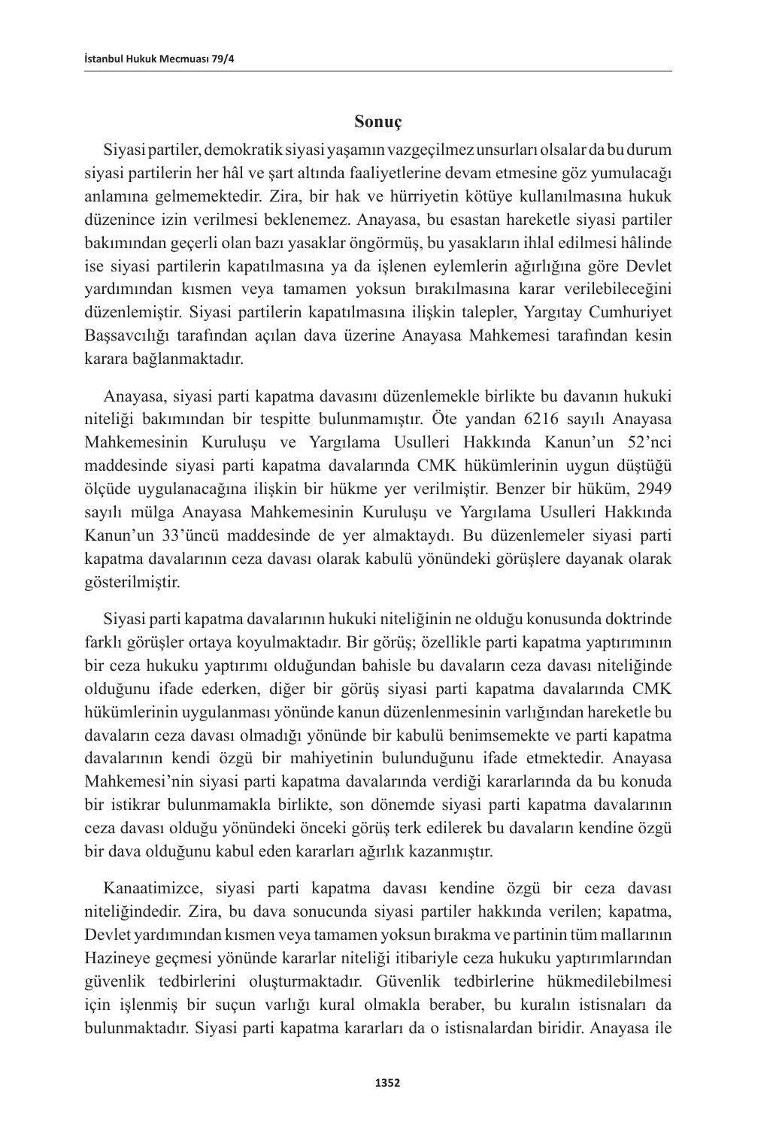#### **Sonuç**

Siyasi partiler, demokratik siyasi yaşamın vazgeçilmez unsurları olsalar da bu durum siyasi partilerin her hâl ve şart altında faaliyetlerine devam etmesine göz yumulacağı anlamına gelmemektedir. Zira, bir hak ve hürriyetin kötüye kullanılmasına hukuk düzenince izin verilmesi beklenemez. Anayasa, bu esastan hareketle siyasi partiler bakımından geçerli olan bazı yasaklar öngörmüş, bu yasakların ihlal edilmesi hâlinde ise siyasi partilerin kapatılmasına ya da işlenen eylemlerin ağırlığına göre Devlet yardımından kısmen veya tamamen yoksun bırakılmasına karar verilebileceğini düzenlemiştir. Siyasi partilerin kapatılmasına ilişkin talepler, Yargıtay Cumhuriyet Başsavcılığı tarafından açılan dava üzerine Anayasa Mahkemesi tarafından kesin karara bağlanmaktadır.

Anayasa, siyasi parti kapatma davasını düzenlemekle birlikte bu davanın hukuki niteliği bakımından bir tespitte bulunmamıştır. Öte yandan 6216 sayılı Anayasa Mahkemesinin Kuruluşu ve Yargılama Usulleri Hakkında Kanun'un 52'nci maddesinde siyasi parti kapatma davalarında CMK hükümlerinin uygun düştüğü ölçüde uygulanacağına ilişkin bir hükme yer verilmiştir. Benzer bir hüküm, 2949 sayılı mülga Anayasa Mahkemesinin Kuruluşu ve Yargılama Usulleri Hakkında Kanun'un 33'üncü maddesinde de yer almaktaydı. Bu düzenlemeler siyasi parti kapatma davalarının ceza davası olarak kabulü yönündeki görüşlere dayanak olarak gösterilmiştir.

Siyasi parti kapatma davalarının hukuki niteliğinin ne olduğu konusunda doktrinde farklı görüşler ortaya koyulmaktadır. Bir görüş; özellikle parti kapatma yaptırımının bir ceza hukuku yaptırımı olduğundan bahisle bu davaların ceza davası niteliğinde olduğunu ifade ederken, diğer bir görüş siyasi parti kapatma davalarında CMK hükümlerinin uygulanması yönünde kanun düzenlenmesinin varlığından hareketle bu davaların ceza davası olmadığı yönünde bir kabulü benimsemekte ve parti kapatma davalarının kendi özgü bir mahiyetinin bulunduğunu ifade etmektedir. Anayasa Mahkemesi'nin siyasi parti kapatma davalarında verdiği kararlarında da bu konuda bir istikrar bulunmamakla birlikte, son dönemde siyasi parti kapatma davalarının ceza davası olduğu yönündeki önceki görüş terk edilerek bu davaların kendine özgü bir dava olduğunu kabul eden kararları ağırlık kazanmıştır.

Kanaatimizce, siyasi parti kapatma davası kendine özgü bir ceza davası niteliğindedir. Zira, bu dava sonucunda siyasi partiler hakkında verilen; kapatma, Devlet yardımından kısmen veya tamamen yoksun bırakma ve partinin tüm mallarının Hazineye geçmesi yönünde kararlar niteliği itibariyle ceza hukuku yaptırımlarından güvenlik tedbirlerini oluşturmaktadır. Güvenlik tedbirlerine hükmedilebilmesi için işlenmiş bir suçun varlığı kural olmakla beraber, bu kuralın istisnaları da bulunmaktadır. Siyasi parti kapatma kararları da o istisnalardan biridir. Anayasa ile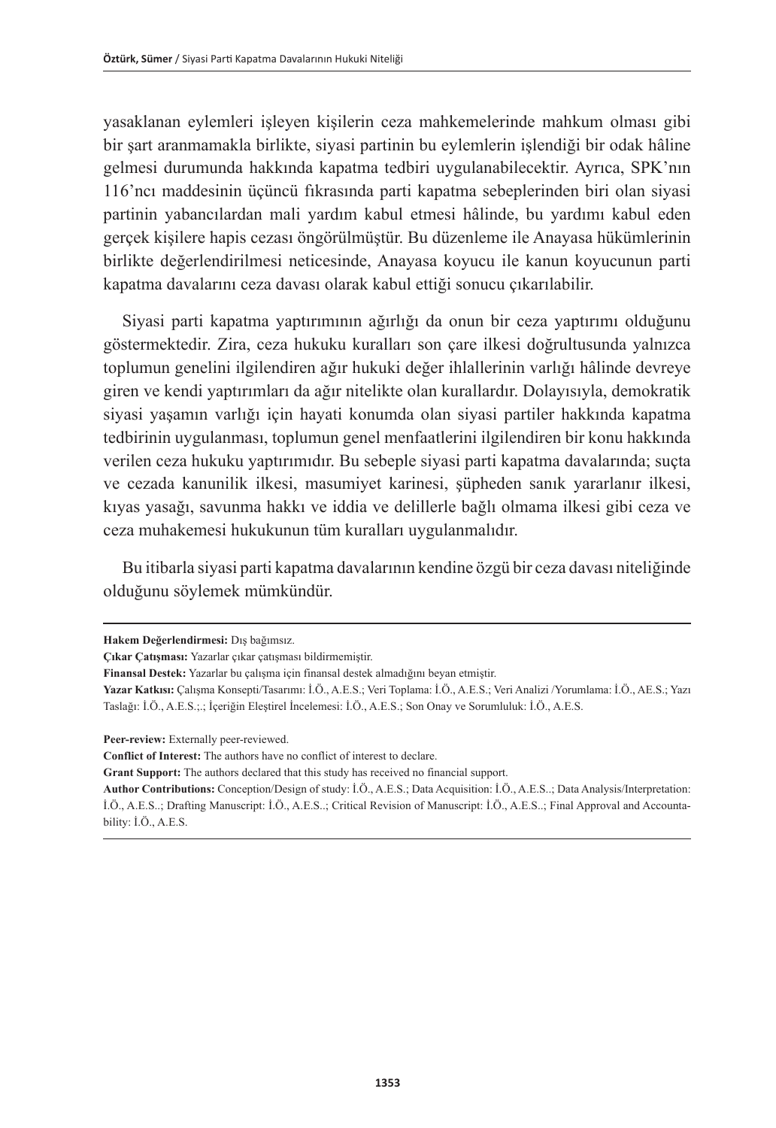yasaklanan eylemleri işleyen kişilerin ceza mahkemelerinde mahkum olması gibi bir şart aranmamakla birlikte, siyasi partinin bu eylemlerin işlendiği bir odak hâline gelmesi durumunda hakkında kapatma tedbiri uygulanabilecektir. Ayrıca, SPK'nın 116'ncı maddesinin üçüncü fıkrasında parti kapatma sebeplerinden biri olan siyasi partinin yabancılardan mali yardım kabul etmesi hâlinde, bu yardımı kabul eden gerçek kişilere hapis cezası öngörülmüştür. Bu düzenleme ile Anayasa hükümlerinin birlikte değerlendirilmesi neticesinde, Anayasa koyucu ile kanun koyucunun parti kapatma davalarını ceza davası olarak kabul ettiği sonucu çıkarılabilir.

Siyasi parti kapatma yaptırımının ağırlığı da onun bir ceza yaptırımı olduğunu göstermektedir. Zira, ceza hukuku kuralları son çare ilkesi doğrultusunda yalnızca toplumun genelini ilgilendiren ağır hukuki değer ihlallerinin varlığı hâlinde devreye giren ve kendi yaptırımları da ağır nitelikte olan kurallardır. Dolayısıyla, demokratik siyasi yaşamın varlığı için hayati konumda olan siyasi partiler hakkında kapatma tedbirinin uygulanması, toplumun genel menfaatlerini ilgilendiren bir konu hakkında verilen ceza hukuku yaptırımıdır. Bu sebeple siyasi parti kapatma davalarında; suçta ve cezada kanunilik ilkesi, masumiyet karinesi, şüpheden sanık yararlanır ilkesi, kıyas yasağı, savunma hakkı ve iddia ve delillerle bağlı olmama ilkesi gibi ceza ve ceza muhakemesi hukukunun tüm kuralları uygulanmalıdır.

Bu itibarla siyasi parti kapatma davalarının kendine özgü bir ceza davası niteliğinde olduğunu söylemek mümkündür.

**Peer-review:** Externally peer-reviewed.

**Conflict of Interest:** The authors have no conflict of interest to declare.

**Grant Support:** The authors declared that this study has received no financial support.

**Hakem Değerlendirmesi:** Dış bağımsız.

**Çıkar Çatışması:** Yazarlar çıkar çatışması bildirmemiştir.

**Finansal Destek:** Yazarlar bu çalışma için finansal destek almadığını beyan etmiştir.

**Yazar Katkısı:** Çalışma Konsepti/Tasarımı: İ.Ö., A.E.S.; Veri Toplama: İ.Ö., A.E.S.; Veri Analizi /Yorumlama: İ.Ö., AE.S.; Yazı Taslağı: İ.Ö., A.E.S.;.; İçeriğin Eleştirel İncelemesi: İ.Ö., A.E.S.; Son Onay ve Sorumluluk: İ.Ö., A.E.S.

**Author Contributions:** Conception/Design of study: İ.Ö., A.E.S.; Data Acquisition: İ.Ö., A.E.S..; Data Analysis/Interpretation: İ.Ö., A.E.S..; Drafting Manuscript: İ.Ö., A.E.S..; Critical Revision of Manuscript: İ.Ö., A.E.S..; Final Approval and Accountability: İ.Ö., A.E.S.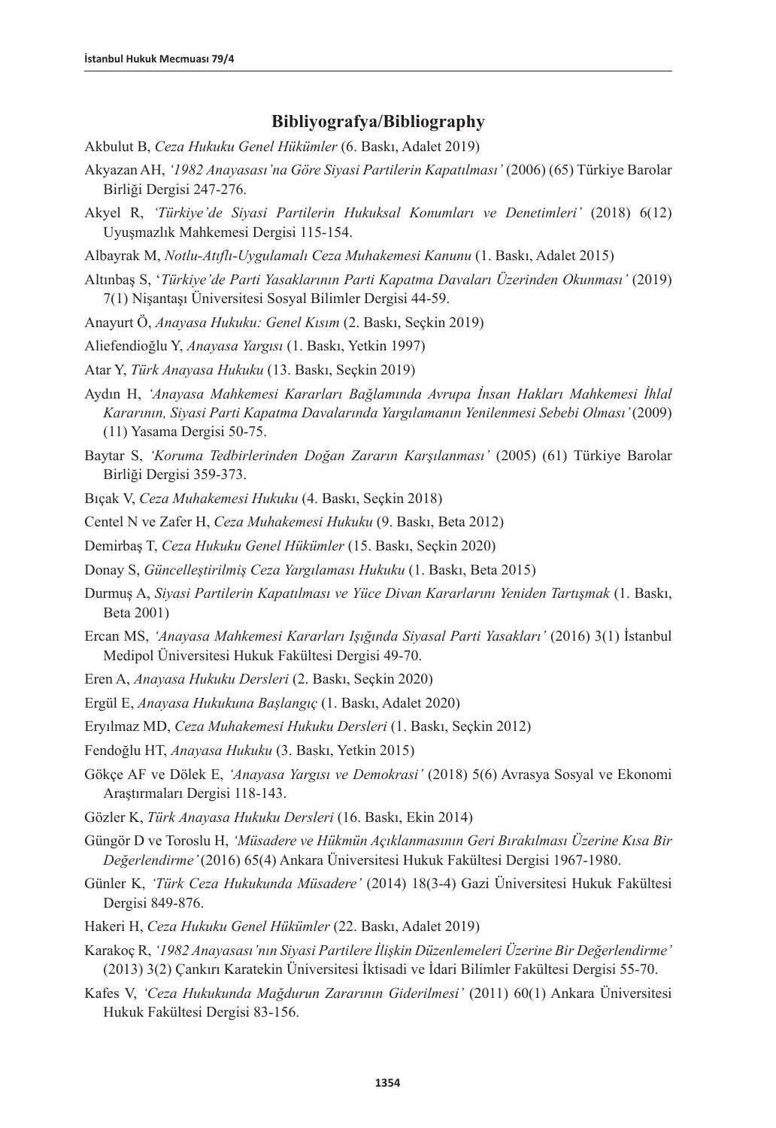## **Bibliyografya/Bibliography**

- Akbulut B, *Ceza Hukuku Genel Hükümler* (6. Baskı, Adalet 2019)
- Akyazan AH, *'1982 Anayasası'na Göre Siyasi Partilerin Kapatılması'* (2006) (65) Türkiye Barolar Birliği Dergisi 247-276.
- Akyel R, *'Türkiye'de Siyasi Partilerin Hukuksal Konumları ve Denetimleri'* (2018) 6(12) Uyuşmazlık Mahkemesi Dergisi 115-154.

Albayrak M, *Notlu-Atıflı-Uygulamalı Ceza Muhakemesi Kanunu* (1. Baskı, Adalet 2015)

Altınbaş S, '*Türkiye'de Parti Yasaklarının Parti Kapatma Davaları Üzerinden Okunması'* (2019) 7(1) Nişantaşı Üniversitesi Sosyal Bilimler Dergisi 44-59.

Anayurt Ö, *Anayasa Hukuku: Genel Kısım* (2. Baskı, Seçkin 2019)

Aliefendioğlu Y, *Anayasa Yargısı* (1. Baskı, Yetkin 1997)

Atar Y, *Türk Anayasa Hukuku* (13. Baskı, Seçkin 2019)

- Aydın H, *'Anayasa Mahkemesi Kararları Bağlamında Avrupa İnsan Hakları Mahkemesi İhlal Kararının, Siyasi Parti Kapatma Davalarında Yargılamanın Yenilenmesi Sebebi Olması'* (2009) (11) Yasama Dergisi 50-75.
- Baytar S, *'Koruma Tedbirlerinden Doğan Zararın Karşılanması'* (2005) (61) Türkiye Barolar Birliği Dergisi 359-373.

Bıçak V, *Ceza Muhakemesi Hukuku* (4. Baskı, Seçkin 2018)

Centel N ve Zafer H, *Ceza Muhakemesi Hukuku* (9. Baskı, Beta 2012)

Demirbaş T, *Ceza Hukuku Genel Hükümler* (15. Baskı, Seçkin 2020)

- Donay S, *Güncelleştirilmiş Ceza Yargılaması Hukuku* (1. Baskı, Beta 2015)
- Durmuş A, *Siyasi Partilerin Kapatılması ve Yüce Divan Kararlarını Yeniden Tartışmak* (1. Baskı, Beta 2001)
- Ercan MS, *'Anayasa Mahkemesi Kararları Işığında Siyasal Parti Yasakları'* (2016) 3(1) İstanbul Medipol Üniversitesi Hukuk Fakültesi Dergisi 49-70.
- Eren A, *Anayasa Hukuku Dersleri* (2. Baskı, Seçkin 2020)

Ergül E, *Anayasa Hukukuna Başlangıç* (1. Baskı, Adalet 2020)

Eryılmaz MD, *Ceza Muhakemesi Hukuku Dersleri* (1. Baskı, Seçkin 2012)

Fendoğlu HT, *Anayasa Hukuku* (3. Baskı, Yetkin 2015)

- Gökçe AF ve Dölek E, *'Anayasa Yargısı ve Demokrasi'* (2018) 5(6) Avrasya Sosyal ve Ekonomi Araştırmaları Dergisi 118-143.
- Gözler K, *Türk Anayasa Hukuku Dersleri* (16. Baskı, Ekin 2014)
- Güngör D ve Toroslu H, *'Müsadere ve Hükmün Açıklanmasının Geri Bırakılması Üzerine Kısa Bir Değerlendirme'* (2016) 65(4) Ankara Üniversitesi Hukuk Fakültesi Dergisi 1967-1980.
- Günler K, *'Türk Ceza Hukukunda Müsadere'* (2014) 18(3-4) Gazi Üniversitesi Hukuk Fakültesi Dergisi 849-876.
- Hakeri H, *Ceza Hukuku Genel Hükümler* (22. Baskı, Adalet 2019)
- Karakoç R, *'1982 Anayasası'nın Siyasi Partilere İlişkin Düzenlemeleri Üzerine Bir Değerlendirme'* (2013) 3(2) Çankırı Karatekin Üniversitesi İktisadi ve İdari Bilimler Fakültesi Dergisi 55-70.
- Kafes V, *'Ceza Hukukunda Mağdurun Zararının Giderilmesi'* (2011) 60(1) Ankara Üniversitesi Hukuk Fakültesi Dergisi 83-156.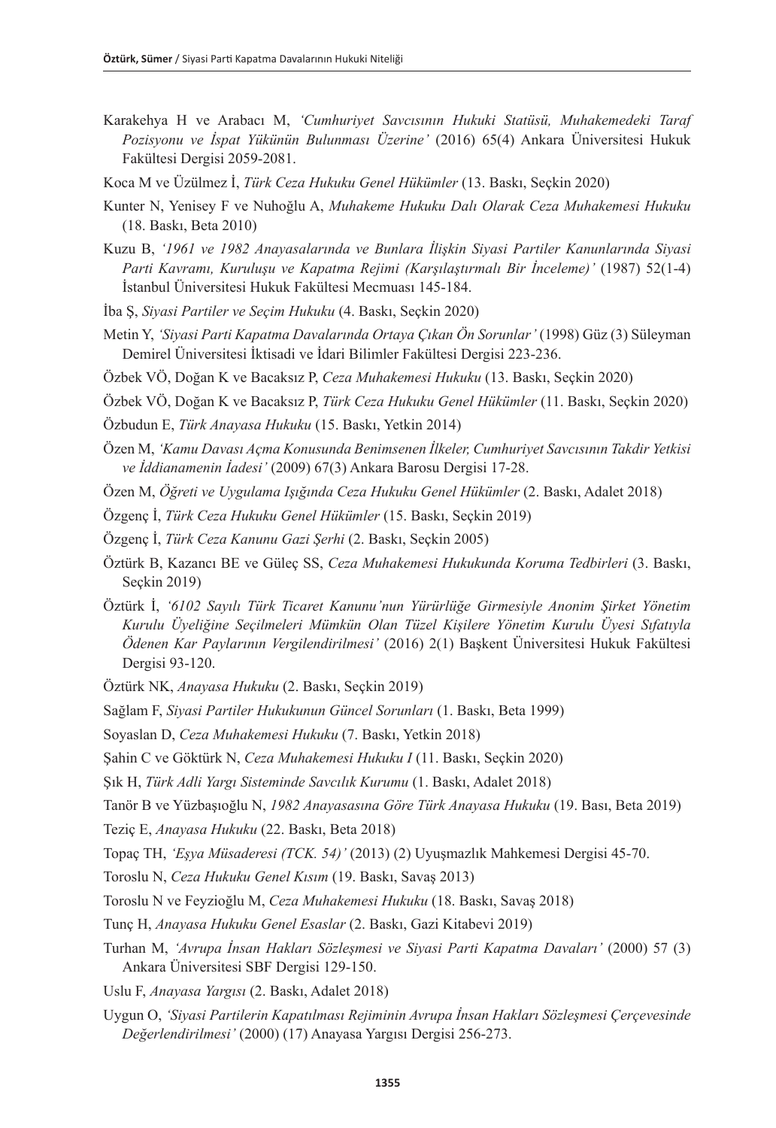- Karakehya H ve Arabacı M, *'Cumhuriyet Savcısının Hukuki Statüsü, Muhakemedeki Taraf Pozisyonu ve İspat Yükünün Bulunması Üzerine'* (2016) 65(4) Ankara Üniversitesi Hukuk Fakültesi Dergisi 2059-2081.
- Koca M ve Üzülmez İ, *Türk Ceza Hukuku Genel Hükümler* (13. Baskı, Seçkin 2020)
- Kunter N, Yenisey F ve Nuhoğlu A, *Muhakeme Hukuku Dalı Olarak Ceza Muhakemesi Hukuku*  (18. Baskı, Beta 2010)
- Kuzu B, *'1961 ve 1982 Anayasalarında ve Bunlara İlişkin Siyasi Partiler Kanunlarında Siyasi Parti Kavramı, Kuruluşu ve Kapatma Rejimi (Karşılaştırmalı Bir İnceleme)'* (1987) 52(1-4) İstanbul Üniversitesi Hukuk Fakültesi Mecmuası 145-184.
- İba Ş, *Siyasi Partiler ve Seçim Hukuku* (4. Baskı, Seçkin 2020)
- Metin Y, *'Siyasi Parti Kapatma Davalarında Ortaya Çıkan Ön Sorunlar'* (1998) Güz (3) Süleyman Demirel Üniversitesi İktisadi ve İdari Bilimler Fakültesi Dergisi 223-236.
- Özbek VÖ, Doğan K ve Bacaksız P, *Ceza Muhakemesi Hukuku* (13. Baskı, Seçkin 2020)
- Özbek VÖ, Doğan K ve Bacaksız P, *Türk Ceza Hukuku Genel Hükümler* (11. Baskı, Seçkin 2020)
- Özbudun E, *Türk Anayasa Hukuku* (15. Baskı, Yetkin 2014)
- Özen M, *'Kamu Davası Açma Konusunda Benimsenen İlkeler, Cumhuriyet Savcısının Takdir Yetkisi ve İddianamenin İadesi'* (2009) 67(3) Ankara Barosu Dergisi 17-28.
- Özen M, *Öğreti ve Uygulama Işığında Ceza Hukuku Genel Hükümler* (2. Baskı, Adalet 2018)
- Özgenç İ, *Türk Ceza Hukuku Genel Hükümler* (15. Baskı, Seçkin 2019)
- Özgenç İ, *Türk Ceza Kanunu Gazi Şerhi* (2. Baskı, Seçkin 2005)
- Öztürk B, Kazancı BE ve Güleç SS, *Ceza Muhakemesi Hukukunda Koruma Tedbirleri* (3. Baskı, Seçkin 2019)
- Öztürk İ, *'6102 Sayılı Türk Ticaret Kanunu'nun Yürürlüğe Girmesiyle Anonim Şirket Yönetim Kurulu Üyeliğine Seçilmeleri Mümkün Olan Tüzel Kişilere Yönetim Kurulu Üyesi Sıfatıyla Ödenen Kar Paylarının Vergilendirilmesi'* (2016) 2(1) Başkent Üniversitesi Hukuk Fakültesi Dergisi 93-120.
- Öztürk NK, *Anayasa Hukuku* (2. Baskı, Seçkin 2019)
- Sağlam F, *Siyasi Partiler Hukukunun Güncel Sorunları* (1. Baskı, Beta 1999)
- Soyaslan D, *Ceza Muhakemesi Hukuku* (7. Baskı, Yetkin 2018)
- Şahin C ve Göktürk N, *Ceza Muhakemesi Hukuku I* (11. Baskı, Seçkin 2020)
- Şık H, *Türk Adli Yargı Sisteminde Savcılık Kurumu* (1. Baskı, Adalet 2018)

Tanör B ve Yüzbaşıoğlu N, *1982 Anayasasına Göre Türk Anayasa Hukuku* (19. Bası, Beta 2019)

- Teziç E, *Anayasa Hukuku* (22. Baskı, Beta 2018)
- Topaç TH, *'Eşya Müsaderesi (TCK. 54)'* (2013) (2) Uyuşmazlık Mahkemesi Dergisi 45-70.
- Toroslu N, *Ceza Hukuku Genel Kısım* (19. Baskı, Savaş 2013)
- Toroslu N ve Feyzioğlu M, *Ceza Muhakemesi Hukuku* (18. Baskı, Savaş 2018)
- Tunç H, *Anayasa Hukuku Genel Esaslar* (2. Baskı, Gazi Kitabevi 2019)
- Turhan M, *'Avrupa İnsan Hakları Sözleşmesi ve Siyasi Parti Kapatma Davaları'* (2000) 57 (3) Ankara Üniversitesi SBF Dergisi 129-150.
- Uslu F, *Anayasa Yargısı* (2. Baskı, Adalet 2018)
- Uygun O, *'Siyasi Partilerin Kapatılması Rejiminin Avrupa İnsan Hakları Sözleşmesi Çerçevesinde Değerlendirilmesi'* (2000) (17) Anayasa Yargısı Dergisi 256-273.